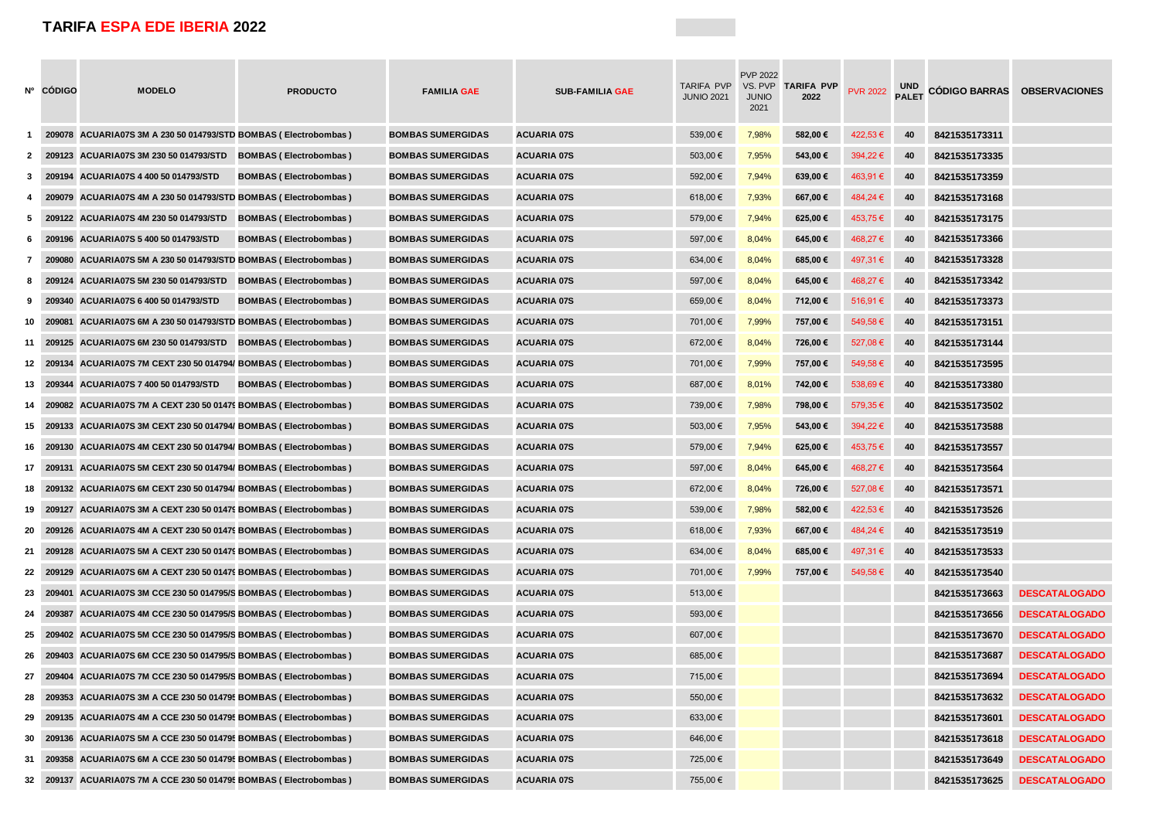## **TARIFA ESPA EDE IBERIA 2022**

|    | Nº CODIGO | <b>MODELO</b>                                                      | <b>PRODUCTO</b>               | <b>FAMILIA GAE</b>       | <b>SUB-FAMILIA GAE</b> | TARIFA PVP<br><b>JUNIO 2021</b> | <b>PVP 2022</b><br>VS. PVP<br><b>JUNIO</b><br>2021 | <b>TARIFA PVP</b><br>2022 | <b>PVR 2022</b> | <b>PALET</b> | <b>CODIGO BARRAS</b> | <b>OBSERVACIONES</b> |
|----|-----------|--------------------------------------------------------------------|-------------------------------|--------------------------|------------------------|---------------------------------|----------------------------------------------------|---------------------------|-----------------|--------------|----------------------|----------------------|
|    |           | 209078 ACUARIA07S 3M A 230 50 014793/STD BOMBAS (Electrobombas)    |                               | <b>BOMBAS SUMERGIDAS</b> | <b>ACUARIA 07S</b>     | 539,00 €                        | 7,98%                                              | 582,00 €                  | 422,53 €        | 40           | 8421535173311        |                      |
| 2  |           | 209123 ACUARIA07S 3M 230 50 014793/STD                             | <b>BOMBAS (Electrobombas)</b> | <b>BOMBAS SUMERGIDAS</b> | <b>ACUARIA 07S</b>     | 503,00 €                        | 7,95%                                              | 543,00 €                  | 394,22 €        | 40           | 8421535173335        |                      |
|    |           | 209194 ACUARIA07S 4 400 50 014793/STD                              | <b>BOMBAS (Electrobombas)</b> | <b>BOMBAS SUMERGIDAS</b> | <b>ACUARIA 07S</b>     | 592,00€                         | 7,94%                                              | 639,00€                   | 463,91 €        | 40           | 8421535173359        |                      |
|    | 209079    | ACUARIA07S 4M A 230 50 014793/STD BOMBAS (Electrobombas)           |                               | <b>BOMBAS SUMERGIDAS</b> | <b>ACUARIA 07S</b>     | 618,00€                         | 7,93%                                              | 667,00€                   | 484,24 €        | 40           | 8421535173168        |                      |
| 5  |           | 209122 ACUARIA07S 4M 230 50 014793/STD                             | <b>BOMBAS (Electrobombas)</b> | <b>BOMBAS SUMERGIDAS</b> | <b>ACUARIA 07S</b>     | 579,00 €                        | 7,94%                                              | 625,00 €                  | 453,75€         | 40           | 8421535173175        |                      |
| -6 |           | 209196 ACUARIA07S 5 400 50 014793/STD                              | <b>BOMBAS (Electrobombas)</b> | <b>BOMBAS SUMERGIDAS</b> | <b>ACUARIA 07S</b>     | 597,00 €                        | 8,04%                                              | 645,00€                   | 468,27 €        | 40           | 8421535173366        |                      |
|    |           | 209080 ACUARIA07S 5M A 230 50 014793/STD BOMBAS (Electrobombas)    |                               | <b>BOMBAS SUMERGIDAS</b> | <b>ACUARIA 07S</b>     | 634,00 €                        | 8,04%                                              | 685,00 €                  | 497,31 €        | 40           | 8421535173328        |                      |
| 8  |           | 209124 ACUARIA07S 5M 230 50 014793/STD                             | <b>BOMBAS (Electrobombas)</b> | <b>BOMBAS SUMERGIDAS</b> | <b>ACUARIA 07S</b>     | 597,00 €                        | 8,04%                                              | 645,00€                   | 468,27€         | 40           | 8421535173342        |                      |
| 9  |           | 209340 ACUARIA07S 6 400 50 014793/STD                              | <b>BOMBAS (Electrobombas)</b> | <b>BOMBAS SUMERGIDAS</b> | <b>ACUARIA 07S</b>     | 659,00€                         | 8,04%                                              | 712,00 €                  | 516,91 €        | 40           | 8421535173373        |                      |
| 10 |           | 209081 ACUARIA07S 6M A 230 50 014793/STD BOMBAS (Electrobombas)    |                               | <b>BOMBAS SUMERGIDAS</b> | <b>ACUARIA 07S</b>     | 701,00 €                        | 7,99%                                              | 757,00 €                  | 549,58€         | 40           | 8421535173151        |                      |
| 11 |           | 209125 ACUARIA07S 6M 230 50 014793/STD                             | <b>BOMBAS (Electrobombas)</b> | <b>BOMBAS SUMERGIDAS</b> | <b>ACUARIA 07S</b>     | 672,00 €                        | 8,04%                                              | 726,00 €                  | 527,08€         | 40           | 8421535173144        |                      |
| 12 |           | 209134 ACUARIA07S 7M CEXT 230 50 014794/ BOMBAS (Electrobombas)    |                               | <b>BOMBAS SUMERGIDAS</b> | <b>ACUARIA 07S</b>     | 701,00 €                        | 7,99%                                              | 757,00 €                  | 549,58€         | 40           | 8421535173595        |                      |
| 13 |           | 209344 ACUARIA07S 7 400 50 014793/STD                              | <b>BOMBAS (Electrobombas)</b> | <b>BOMBAS SUMERGIDAS</b> | <b>ACUARIA 07S</b>     | 687,00 €                        | 8,01%                                              | 742,00 €                  | 538,69€         | 40           | 8421535173380        |                      |
| 14 |           | 209082 ACUARIA07S 7M A CEXT 230 50 01479 BOMBAS (Electrobombas)    |                               | <b>BOMBAS SUMERGIDAS</b> | <b>ACUARIA 07S</b>     | 739,00 €                        | 7,98%                                              | 798,00 €                  | 579,35€         | 40           | 8421535173502        |                      |
| 15 |           | 209133 ACUARIA07S 3M CEXT 230 50 014794/ BOMBAS (Electrobombas)    |                               | <b>BOMBAS SUMERGIDAS</b> | <b>ACUARIA 07S</b>     | 503,00 €                        | 7,95%                                              | 543,00 €                  | 394,22€         | 40           | 8421535173588        |                      |
| 16 |           | 209130 ACUARIA07S 4M CEXT 230 50 014794/ BOMBAS (Electrobombas)    |                               | <b>BOMBAS SUMERGIDAS</b> | <b>ACUARIA 07S</b>     | 579,00€                         | 7,94%                                              | 625,00€                   | 453,75€         | 40           | 8421535173557        |                      |
| 17 |           | 209131 ACUARIA07S 5M CEXT 230 50 014794/ BOMBAS (Electrobombas)    |                               | <b>BOMBAS SUMERGIDAS</b> | <b>ACUARIA 07S</b>     | 597,00 €                        | 8,04%                                              | 645,00€                   | 468,27 €        | 40           | 8421535173564        |                      |
| 18 |           | 209132 ACUARIA07S 6M CEXT 230 50 014794/ BOMBAS (Electrobombas)    |                               | <b>BOMBAS SUMERGIDAS</b> | <b>ACUARIA 07S</b>     | 672,00 €                        | 8,04%                                              | 726,00 €                  | 527,08 €        | 40           | 8421535173571        |                      |
| 19 |           | 209127 ACUARIA07S 3M A CEXT 230 50 01479 BOMBAS (Electrobombas)    |                               | <b>BOMBAS SUMERGIDAS</b> | <b>ACUARIA 07S</b>     | 539,00 €                        | 7,98%                                              | 582,00€                   | 422,53 €        | 40           | 8421535173526        |                      |
| 20 |           | 209126 ACUARIA07S 4M A CEXT 230 50 01479 BOMBAS (Electrobombas)    |                               | <b>BOMBAS SUMERGIDAS</b> | <b>ACUARIA 07S</b>     | 618,00€                         | 7,93%                                              | 667,00€                   | 484,24 €        | 40           | 8421535173519        |                      |
| 21 |           | 209128 ACUARIA07S 5M A CEXT 230 50 01479 BOMBAS (Electrobombas)    |                               | <b>BOMBAS SUMERGIDAS</b> | <b>ACUARIA 07S</b>     | 634,00 €                        | 8,04%                                              | 685,00€                   | 497,31 €        | 40           | 8421535173533        |                      |
| 22 |           | 209129 ACUARIA07S 6M A CEXT 230 50 01479 BOMBAS (Electrobombas)    |                               | <b>BOMBAS SUMERGIDAS</b> | <b>ACUARIA 07S</b>     | 701,00 €                        | 7,99%                                              | 757,00€                   | 549,58€         | 40           | 8421535173540        |                      |
| 23 | 209401    | ACUARIA07S 3M CCE 230 50 014795/S BOMBAS (Electrobombas)           |                               | <b>BOMBAS SUMERGIDAS</b> | <b>ACUARIA 07S</b>     | 513,00 €                        |                                                    |                           |                 |              | 8421535173663        | <b>DESCATALOGADO</b> |
| 24 |           | 209387 ACUARIA07S 4M CCE 230 50 014795/S BOMBAS (Electrobombas)    |                               | <b>BOMBAS SUMERGIDAS</b> | <b>ACUARIA 07S</b>     | 593,00 €                        |                                                    |                           |                 |              | 8421535173656        | <b>DESCATALOGADO</b> |
| 25 |           | 209402 ACUARIA07S 5M CCE 230 50 014795/S BOMBAS (Electrobombas)    |                               | <b>BOMBAS SUMERGIDAS</b> | <b>ACUARIA 07S</b>     | 607,00 €                        |                                                    |                           |                 |              | 8421535173670        | <b>DESCATALOGADO</b> |
| 26 |           | 209403 ACUARIA07S 6M CCE 230 50 014795/S BOMBAS (Electrobombas)    |                               | <b>BOMBAS SUMERGIDAS</b> | <b>ACUARIA 07S</b>     | 685,00 €                        |                                                    |                           |                 |              | 8421535173687        | <b>DESCATALOGADO</b> |
| 27 |           | 209404 ACUARIA07S 7M CCE 230 50 014795/S BOMBAS (Electrobombas)    |                               | <b>BOMBAS SUMERGIDAS</b> | <b>ACUARIA 07S</b>     | 715,00 €                        |                                                    |                           |                 |              | 8421535173694        | <b>DESCATALOGADO</b> |
|    |           | 28 209353 ACUARIA07S 3M A CCE 230 50 014795 BOMBAS (Electrobombas) |                               | <b>BOMBAS SUMERGIDAS</b> | <b>ACUARIA 07S</b>     | 550,00€                         |                                                    |                           |                 |              | 8421535173632        | <b>DESCATALOGADO</b> |
| 29 |           | 209135 ACUARIA07S 4M A CCE 230 50 014795 BOMBAS (Electrobombas)    |                               | <b>BOMBAS SUMERGIDAS</b> | <b>ACUARIA 07S</b>     | 633,00€                         |                                                    |                           |                 |              | 8421535173601        | <b>DESCATALOGADO</b> |
| 30 |           | 209136 ACUARIA07S 5M A CCE 230 50 014795 BOMBAS (Electrobombas)    |                               | <b>BOMBAS SUMERGIDAS</b> | <b>ACUARIA 07S</b>     | 646,00€                         |                                                    |                           |                 |              | 8421535173618        | <b>DESCATALOGADO</b> |
| 31 |           | 209358 ACUARIA07S 6M A CCE 230 50 014795 BOMBAS (Electrobombas)    |                               | <b>BOMBAS SUMERGIDAS</b> | <b>ACUARIA 07S</b>     | 725,00 €                        |                                                    |                           |                 |              | 8421535173649        | <b>DESCATALOGADO</b> |
|    |           | 32 209137 ACUARIA07S 7M A CCE 230 50 014795 BOMBAS (Electrobombas) |                               | <b>BOMBAS SUMERGIDAS</b> | <b>ACUARIA 07S</b>     | 755,00 €                        |                                                    |                           |                 |              | 8421535173625        | <b>DESCATALOGADO</b> |

**Contract** 

--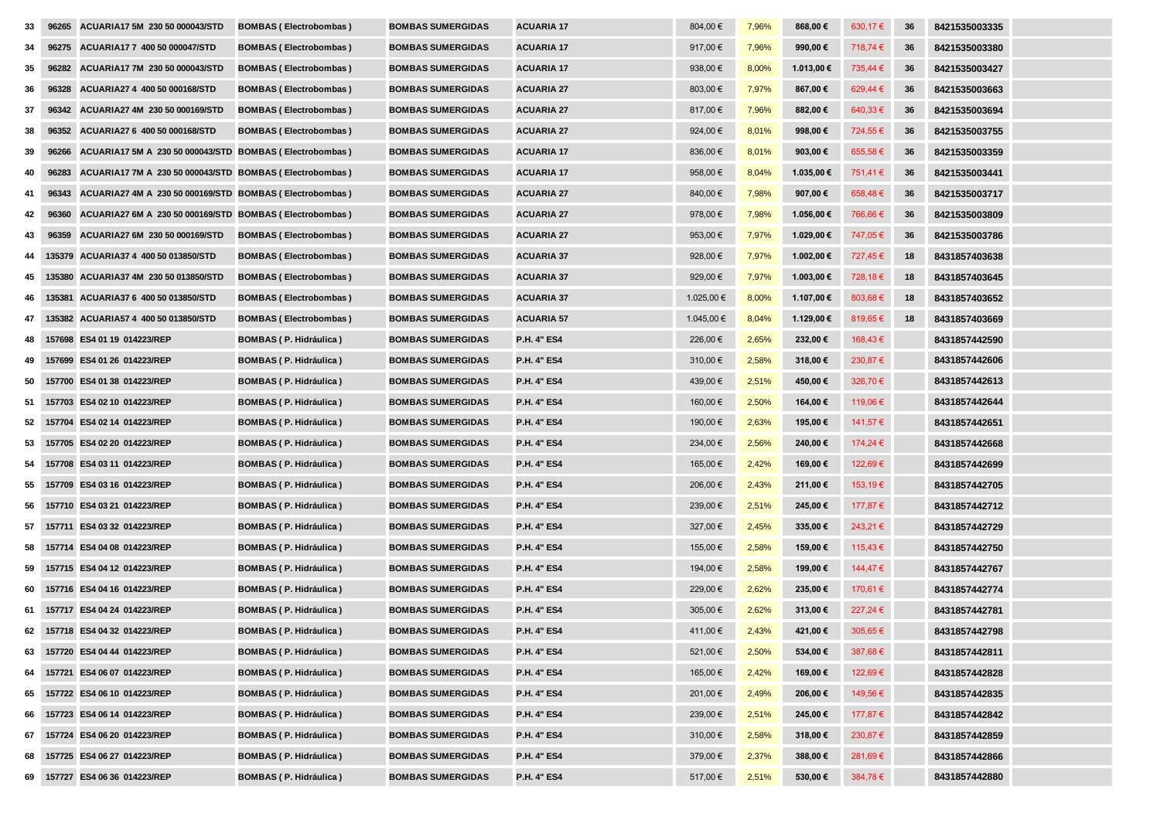| 33 | 96265 | ACUARIA17 5M 230 50 000043/STD                          | <b>BOMBAS (Electrobombas)</b> | <b>BOMBAS SUMERGIDAS</b> | <b>ACUARIA 17</b>  | 804,00€    | 7,96% | 868,00€    | 630,17 € | 36 | 8421535003335 |  |
|----|-------|---------------------------------------------------------|-------------------------------|--------------------------|--------------------|------------|-------|------------|----------|----|---------------|--|
| 34 | 96275 | ACUARIA17 7 400 50 000047/STD                           | <b>BOMBAS (Electrobombas)</b> | <b>BOMBAS SUMERGIDAS</b> | <b>ACUARIA 17</b>  | 917,00€    | 7,96% | 990,00€    | 718,74 € | 36 | 8421535003380 |  |
| 35 | 96282 | ACUARIA17 7M 230 50 000043/STD                          | <b>BOMBAS (Electrobombas)</b> | <b>BOMBAS SUMERGIDAS</b> | <b>ACUARIA 17</b>  | 938,00€    | 8,00% | 1.013,00 € | 735,44 € | 36 | 8421535003427 |  |
| 36 | 96328 | ACUARIA27 4 400 50 000168/STD                           | <b>BOMBAS (Electrobombas)</b> | <b>BOMBAS SUMERGIDAS</b> | <b>ACUARIA 27</b>  | 803,00€    | 7,97% | 867,00€    | 629,44 € | 36 | 8421535003663 |  |
| 37 | 96342 | ACUARIA27 4M 230 50 000169/STD                          | <b>BOMBAS (Electrobombas)</b> | <b>BOMBAS SUMERGIDAS</b> | <b>ACUARIA 27</b>  | 817,00 €   | 7,96% | 882,00 €   | 640,33 € | 36 | 8421535003694 |  |
| 38 | 96352 | ACUARIA27 6 400 50 000168/STD                           | <b>BOMBAS (Electrobombas)</b> | <b>BOMBAS SUMERGIDAS</b> | <b>ACUARIA 27</b>  | 924,00€    | 8,01% | 998,00€    | 724,55€  | 36 | 8421535003755 |  |
| 39 | 96266 | ACUARIA17 5M A 230 50 000043/STD BOMBAS (Electrobombas) |                               | <b>BOMBAS SUMERGIDAS</b> | <b>ACUARIA 17</b>  | 836,00 €   | 8,01% | 903,00€    | 655,58€  | 36 | 8421535003359 |  |
| 40 | 96283 | ACUARIA17 7M A 230 50 000043/STD BOMBAS (Electrobombas) |                               | <b>BOMBAS SUMERGIDAS</b> | <b>ACUARIA 17</b>  | 958,00€    | 8,04% | 1.035,00 € | 751,41 € | 36 | 8421535003441 |  |
| 41 | 96343 | ACUARIA27 4M A 230 50 000169/STD BOMBAS (Electrobombas) |                               | <b>BOMBAS SUMERGIDAS</b> | <b>ACUARIA 27</b>  | 840,00€    | 7,98% | 907,00€    | 658,48€  | 36 | 8421535003717 |  |
| 42 | 96360 | ACUARIA27 6M A 230 50 000169/STD BOMBAS (Electrobombas) |                               | <b>BOMBAS SUMERGIDAS</b> | <b>ACUARIA 27</b>  | 978,00€    | 7,98% | 1.056,00 € | 766,66€  | 36 | 8421535003809 |  |
| 43 | 96359 | ACUARIA27 6M 230 50 000169/STD                          | <b>BOMBAS (Electrobombas)</b> | <b>BOMBAS SUMERGIDAS</b> | <b>ACUARIA 27</b>  | 953,00€    | 7,97% | 1.029,00 € | 747,05 € | 36 | 8421535003786 |  |
| 44 |       | 135379 ACUARIA37 4 400 50 013850/STD                    | <b>BOMBAS (Electrobombas)</b> | <b>BOMBAS SUMERGIDAS</b> | <b>ACUARIA 37</b>  | 928,00€    | 7,97% | 1.002,00 € | 727,45€  | 18 | 8431857403638 |  |
| 45 |       | 135380 ACUARIA37 4M 230 50 013850/STD                   | <b>BOMBAS (Electrobombas)</b> | <b>BOMBAS SUMERGIDAS</b> | <b>ACUARIA 37</b>  | 929,00€    | 7,97% | 1.003,00 € | 728,18€  | 18 | 8431857403645 |  |
| 46 |       | 135381 ACUARIA37 6 400 50 013850/STD                    | <b>BOMBAS (Electrobombas)</b> | <b>BOMBAS SUMERGIDAS</b> | <b>ACUARIA 37</b>  | 1.025,00 € | 8,00% | 1.107,00 € | 803,68€  | 18 | 8431857403652 |  |
| 47 |       | 135382 ACUARIA57 4 400 50 013850/STD                    | <b>BOMBAS (Electrobombas)</b> | <b>BOMBAS SUMERGIDAS</b> | <b>ACUARIA 57</b>  | 1.045,00 € | 8,04% | 1.129,00 € | 819,65€  | 18 | 8431857403669 |  |
| 48 |       | 157698 ES4 01 19 014223/REP                             | BOMBAS (P. Hidráulica)        | <b>BOMBAS SUMERGIDAS</b> | <b>P.H. 4" ES4</b> | 226,00 €   | 2,65% | 232,00€    | 168,43 € |    | 8431857442590 |  |
| 49 |       | 157699 ES4 01 26 014223/REP                             | BOMBAS (P. Hidráulica)        | <b>BOMBAS SUMERGIDAS</b> | <b>P.H. 4" ES4</b> | 310,00 €   | 2,58% | 318,00€    | 230,87 € |    | 8431857442606 |  |
| 50 |       | 157700 ES4 01 38 014223/REP                             | BOMBAS (P. Hidráulica)        | <b>BOMBAS SUMERGIDAS</b> | <b>P.H. 4" ES4</b> | 439,00 €   | 2,51% | 450,00 €   | 326,70 € |    | 8431857442613 |  |
| 51 |       | 157703 ES4 02 10 014223/REP                             | <b>BOMBAS (P. Hidráulica)</b> | <b>BOMBAS SUMERGIDAS</b> | <b>P.H. 4" ES4</b> | 160,00€    | 2,50% | 164,00€    | 119,06€  |    | 8431857442644 |  |
| 52 |       | 157704 ES4 02 14 014223/REP                             | BOMBAS (P. Hidráulica)        | <b>BOMBAS SUMERGIDAS</b> | <b>P.H. 4" ES4</b> | 190,00 €   | 2,63% | 195,00 €   | 141,57 € |    | 8431857442651 |  |
| 53 |       | 157705 ES4 02 20 014223/REP                             | BOMBAS (P. Hidráulica)        | <b>BOMBAS SUMERGIDAS</b> | <b>P.H. 4" ES4</b> | 234,00€    | 2,56% | 240,00 €   | 174,24 € |    | 8431857442668 |  |
| 54 |       | 157708 ES4 03 11 014223/REP                             | <b>BOMBAS (P. Hidráulica)</b> | <b>BOMBAS SUMERGIDAS</b> | <b>P.H. 4" ES4</b> | 165,00€    | 2,42% | 169,00 €   | 122,69€  |    | 8431857442699 |  |
| 55 |       | 157709 ES4 03 16 014223/REP                             | <b>BOMBAS (P. Hidráulica)</b> | <b>BOMBAS SUMERGIDAS</b> | P.H. 4" ES4        | 206,00€    | 2,43% | 211,00€    | 153,19€  |    | 8431857442705 |  |
| 56 |       | 157710 ES4 03 21 014223/REP                             | BOMBAS (P. Hidráulica)        | <b>BOMBAS SUMERGIDAS</b> | <b>P.H. 4" ES4</b> | 239,00 €   | 2,51% | 245,00 €   | 177,87 € |    | 8431857442712 |  |
| 57 |       | 157711 ES4 03 32 014223/REP                             | <b>BOMBAS (P. Hidráulica)</b> | <b>BOMBAS SUMERGIDAS</b> | <b>P.H. 4" ES4</b> | 327,00 €   | 2,45% | 335,00€    | 243,21 € |    | 8431857442729 |  |
| 58 |       | 157714 ES4 04 08 014223/REP                             | <b>BOMBAS (P. Hidráulica)</b> | <b>BOMBAS SUMERGIDAS</b> | <b>P.H. 4" ES4</b> | 155,00 €   | 2,58% | 159,00 €   | 115,43 € |    | 8431857442750 |  |
| 59 |       | 157715 ES4 04 12 014223/REP                             | BOMBAS (P. Hidráulica)        | <b>BOMBAS SUMERGIDAS</b> | <b>P.H. 4" ES4</b> | 194,00 €   | 2,58% | 199,00€    | 144,47 € |    | 8431857442767 |  |
| 60 |       | 157716 ES4 04 16 014223/REP                             | BOMBAS (P. Hidráulica)        | <b>BOMBAS SUMERGIDAS</b> | <b>P.H. 4" ES4</b> | 229,00 €   | 2,62% | 235,00€    | 170,61 € |    | 8431857442774 |  |
| 61 |       | 157717 ES4 04 24 014223/REP                             | BOMBAS (P. Hidráulica)        | <b>BOMBAS SUMERGIDAS</b> | <b>P.H. 4" ES4</b> | 305,00€    | 2,62% | 313,00€    | 227,24 € |    | 8431857442781 |  |
|    |       | 62 157718 ES4 04 32 014223/REP                          | <b>BOMBAS (P. Hidráulica)</b> | <b>BOMBAS SUMERGIDAS</b> | <b>P.H. 4" ES4</b> | 411,00 €   | 2,43% | 421,00 €   | 305,65€  |    | 8431857442798 |  |
| 63 |       | 157720 ES4 04 44 014223/REP                             | <b>BOMBAS (P. Hidráulica)</b> | <b>BOMBAS SUMERGIDAS</b> | <b>P.H. 4" ES4</b> | 521,00€    | 2,50% | 534,00€    | 387,68€  |    | 8431857442811 |  |
| 64 |       | 157721 ES4 06 07 014223/REP                             | BOMBAS (P. Hidráulica)        | <b>BOMBAS SUMERGIDAS</b> | <b>P.H. 4" ES4</b> | 165,00 €   | 2,42% | 169,00 €   | 122,69€  |    | 8431857442828 |  |
| 65 |       | 157722 ES4 06 10 014223/REP                             | <b>BOMBAS (P. Hidráulica)</b> | <b>BOMBAS SUMERGIDAS</b> | P.H. 4" ES4        | 201,00€    | 2,49% | 206,00€    | 149,56€  |    | 8431857442835 |  |
| 66 |       | 157723 ES4 06 14 014223/REP                             | <b>BOMBAS (P. Hidráulica)</b> | <b>BOMBAS SUMERGIDAS</b> | <b>P.H. 4" ES4</b> | 239,00€    | 2,51% | 245,00 €   | 177,87 € |    | 8431857442842 |  |
| 67 |       | 157724 ES4 06 20 014223/REP                             | <b>BOMBAS (P. Hidráulica)</b> | <b>BOMBAS SUMERGIDAS</b> | <b>P.H. 4" ES4</b> | 310,00 €   | 2,58% | 318,00€    | 230,87€  |    | 8431857442859 |  |
| 68 |       | 157725 ES4 06 27 014223/REP                             | <b>BOMBAS (P. Hidráulica)</b> | <b>BOMBAS SUMERGIDAS</b> | <b>P.H. 4" ES4</b> | 379,00 €   | 2,37% | 388,00€    | 281,69€  |    | 8431857442866 |  |
|    |       | 69 157727 ES4 06 36 014223/REP                          | <b>BOMBAS (P. Hidráulica)</b> | <b>BOMBAS SUMERGIDAS</b> | <b>P.H. 4" ES4</b> | 517,00€    | 2,51% | 530,00€    | 384,78€  |    | 8431857442880 |  |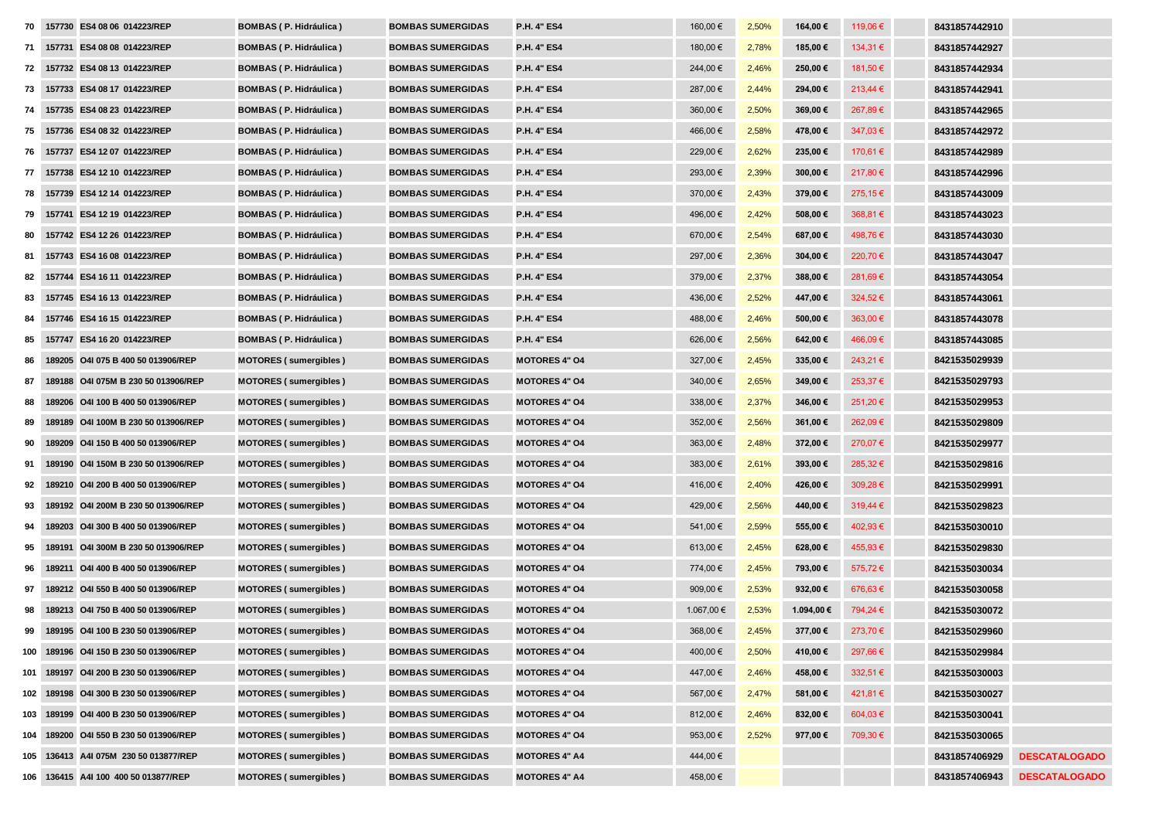| 70  |        | 157730 ES4 08 06 014223/REP            | <b>BOMBAS (P. Hidráulica)</b> | <b>BOMBAS SUMERGIDAS</b> | <b>P.H. 4" ES4</b>   | 160,00€    | 2,50% | 164,00€    | 119,06 € | 8431857442910 |                      |
|-----|--------|----------------------------------------|-------------------------------|--------------------------|----------------------|------------|-------|------------|----------|---------------|----------------------|
| 71  |        | 157731 ES4 08 08 014223/REP            | <b>BOMBAS (P. Hidráulica)</b> | <b>BOMBAS SUMERGIDAS</b> | P.H. 4" ES4          | 180,00€    | 2,78% | 185,00€    | 134,31 € | 8431857442927 |                      |
| 72  |        | 157732 ES4 08 13 014223/REP            | <b>BOMBAS (P. Hidráulica)</b> | <b>BOMBAS SUMERGIDAS</b> | P.H. 4" ES4          | 244,00 €   | 2,46% | 250,00€    | 181,50 € | 8431857442934 |                      |
| 73  |        | 157733 ES4 08 17 014223/REP            | BOMBAS (P. Hidráulica)        | <b>BOMBAS SUMERGIDAS</b> | <b>P.H. 4" ES4</b>   | 287,00 €   | 2,44% | 294,00 €   | 213,44 € | 8431857442941 |                      |
| 74  |        | 157735 ES4 08 23 014223/REP            | <b>BOMBAS (P. Hidráulica)</b> | <b>BOMBAS SUMERGIDAS</b> | P.H. 4" ES4          | 360,00 €   | 2,50% | 369,00€    | 267,89 € | 8431857442965 |                      |
| 75  |        | 157736 ES4 08 32 014223/REP            | <b>BOMBAS (P. Hidráulica)</b> | <b>BOMBAS SUMERGIDAS</b> | <b>P.H. 4" ES4</b>   | 466,00 €   | 2,58% | 478,00€    | 347,03 € | 8431857442972 |                      |
| 76  |        | 157737 ES4 12 07 014223/REP            | <b>BOMBAS (P. Hidráulica)</b> | <b>BOMBAS SUMERGIDAS</b> | <b>P.H. 4" ES4</b>   | 229,00 €   | 2,62% | 235,00€    | 170,61 € | 8431857442989 |                      |
| 77  |        | 157738 ES4 12 10 014223/REP            | <b>BOMBAS (P. Hidráulica)</b> | <b>BOMBAS SUMERGIDAS</b> | <b>P.H. 4" ES4</b>   | 293,00 €   | 2,39% | 300,00€    | 217,80 € | 8431857442996 |                      |
| 78  |        | 157739 ES4 12 14 014223/REP            | <b>BOMBAS (P. Hidráulica)</b> | <b>BOMBAS SUMERGIDAS</b> | <b>P.H. 4" ES4</b>   | 370,00 €   | 2,43% | 379,00€    | 275,15 € | 8431857443009 |                      |
| 79  |        | 157741 ES4 12 19 014223/REP            | <b>BOMBAS (P. Hidráulica)</b> | <b>BOMBAS SUMERGIDAS</b> | <b>P.H. 4" ES4</b>   | 496,00 €   | 2,42% | 508,00€    | 368,81 € | 8431857443023 |                      |
| 80  |        | 157742 ES4 12 26 014223/REP            | <b>BOMBAS (P. Hidráulica)</b> | <b>BOMBAS SUMERGIDAS</b> | <b>P.H. 4" ES4</b>   | 670,00 €   | 2,54% | 687,00€    | 498,76 € | 8431857443030 |                      |
| 81  |        | 157743 ES4 16 08 014223/REP            | BOMBAS (P. Hidráulica)        | <b>BOMBAS SUMERGIDAS</b> | P.H. 4" ES4          | 297,00 €   | 2,36% | 304,00€    | 220,70 € | 8431857443047 |                      |
| 82  |        | 157744 ES4 16 11 014223/REP            | <b>BOMBAS (P. Hidráulica)</b> | <b>BOMBAS SUMERGIDAS</b> | P.H. 4" ES4          | 379,00 €   | 2,37% | 388,00€    | 281,69€  | 8431857443054 |                      |
| 83  |        | 157745 ES4 16 13 014223/REP            | <b>BOMBAS (P. Hidráulica)</b> | <b>BOMBAS SUMERGIDAS</b> | P.H. 4" ES4          | 436,00 €   | 2,52% | 447,00 €   | 324,52 € | 8431857443061 |                      |
| 84  |        | 157746 ES4 16 15 014223/REP            | BOMBAS (P. Hidráulica)        | <b>BOMBAS SUMERGIDAS</b> | <b>P.H. 4" ES4</b>   | 488,00 €   | 2,46% | 500,00€    | 363,00 € | 8431857443078 |                      |
| 85  |        | 157747 ES4 16 20 014223/REP            | <b>BOMBAS (P. Hidráulica)</b> | <b>BOMBAS SUMERGIDAS</b> | <b>P.H. 4" ES4</b>   | 626,00 €   | 2,56% | 642,00€    | 466,09 € | 8431857443085 |                      |
| 86  |        | 189205 O4I 075 B 400 50 013906/REP     | <b>MOTORES (sumergibles)</b>  | <b>BOMBAS SUMERGIDAS</b> | <b>MOTORES 4" 04</b> | 327,00 €   | 2,45% | 335,00€    | 243,21 € | 8421535029939 |                      |
| 87  |        | 189188 O4I 075M B 230 50 013906/REP    | <b>MOTORES (sumergibles)</b>  | <b>BOMBAS SUMERGIDAS</b> | <b>MOTORES 4" O4</b> | 340,00 €   | 2,65% | 349,00€    | 253,37 € | 8421535029793 |                      |
| 88  |        | 189206 O4I 100 B 400 50 013906/REP     | <b>MOTORES (sumergibles)</b>  | <b>BOMBAS SUMERGIDAS</b> | <b>MOTORES 4" O4</b> | 338,00 €   | 2,37% | 346,00€    | 251,20 € | 8421535029953 |                      |
| 89  |        | 189189 O4I 100M B 230 50 013906/REP    | <b>MOTORES (sumergibles)</b>  | <b>BOMBAS SUMERGIDAS</b> | <b>MOTORES 4" 04</b> | 352,00 €   | 2,56% | 361,00€    | 262,09 € | 8421535029809 |                      |
| 90  |        | 189209 O4I 150 B 400 50 013906/REP     | <b>MOTORES (sumergibles)</b>  | <b>BOMBAS SUMERGIDAS</b> | <b>MOTORES 4" O4</b> | 363,00 €   | 2,48% | 372,00€    | 270,07 € | 8421535029977 |                      |
| 91  |        | 189190 O4I 150M B 230 50 013906/REP    | <b>MOTORES (sumergibles)</b>  | <b>BOMBAS SUMERGIDAS</b> | <b>MOTORES 4" O4</b> | 383,00 €   | 2,61% | 393,00€    | 285,32 € | 8421535029816 |                      |
| 92  |        | 189210 O4I 200 B 400 50 013906/REP     | <b>MOTORES (sumergibles)</b>  | <b>BOMBAS SUMERGIDAS</b> | <b>MOTORES 4" 04</b> | 416,00 €   | 2,40% | 426,00€    | 309,28 € | 8421535029991 |                      |
| 93  |        | 189192 O4I 200M B 230 50 013906/REP    | <b>MOTORES (sumergibles)</b>  | <b>BOMBAS SUMERGIDAS</b> | <b>MOTORES 4" O4</b> | 429,00 €   | 2,56% | 440,00 €   | 319,44 € | 8421535029823 |                      |
| 94  |        | 189203 O4I 300 B 400 50 013906/REP     | <b>MOTORES (sumergibles)</b>  | <b>BOMBAS SUMERGIDAS</b> | <b>MOTORES 4" O4</b> | 541,00 €   | 2,59% | 555,00€    | 402,93 € | 8421535030010 |                      |
| 95  | 189191 | O4I 300M B 230 50 013906/REP           | <b>MOTORES (sumergibles)</b>  | <b>BOMBAS SUMERGIDAS</b> | <b>MOTORES 4" O4</b> | 613,00 €   | 2,45% | 628,00€    | 455,93 € | 8421535029830 |                      |
| 96  | 189211 | O4I 400 B 400 50 013906/REP            | <b>MOTORES (sumergibles)</b>  | <b>BOMBAS SUMERGIDAS</b> | <b>MOTORES 4" 04</b> | 774,00 €   | 2,45% | 793,00€    | 575,72€  | 8421535030034 |                      |
| 97  |        | 189212 04I 550 B 400 50 013906/REP     | <b>MOTORES (sumergibles)</b>  | <b>BOMBAS SUMERGIDAS</b> | <b>MOTORES 4" O4</b> | 909,00€    | 2,53% | 932,00€    | 676,63 € | 8421535030058 |                      |
| 98  |        | 189213 O4I 750 B 400 50 013906/REP     | <b>MOTORES (sumergibles)</b>  | <b>BOMBAS SUMERGIDAS</b> | <b>MOTORES 4" O4</b> | 1.067,00 € | 2,53% | 1.094,00 € | 794,24 € | 8421535030072 |                      |
| 99  |        | 189195 O4I 100 B 230 50 013906/REP     | <b>MOTORES (sumergibles)</b>  | <b>BOMBAS SUMERGIDAS</b> | <b>MOTORES 4" O4</b> | 368,00 €   | 2,45% | 377,00€    | 273,70€  | 8421535029960 |                      |
|     |        | 100 189196 04I 150 B 230 50 013906/REP | <b>MOTORES (sumergibles)</b>  | <b>BOMBAS SUMERGIDAS</b> | <b>MOTORES 4" O4</b> | 400,00€    | 2,50% | 410,00€    | 297,66 € | 8421535029984 |                      |
|     |        | 101 189197 04I 200 B 230 50 013906/REP | <b>MOTORES (sumergibles)</b>  | <b>BOMBAS SUMERGIDAS</b> | <b>MOTORES 4" 04</b> | 447,00€    | 2,46% | 458,00€    | 332,51€  | 8421535030003 |                      |
|     |        | 102 189198 04I 300 B 230 50 013906/REP | <b>MOTORES (sumergibles)</b>  | <b>BOMBAS SUMERGIDAS</b> | <b>MOTORES 4" O4</b> | 567,00 €   | 2,47% | 581,00 €   | 421,81 € | 8421535030027 |                      |
|     |        | 103 189199 O4I 400 B 230 50 013906/REP | <b>MOTORES (sumergibles)</b>  | <b>BOMBAS SUMERGIDAS</b> | <b>MOTORES 4" O4</b> | 812,00 €   | 2,46% | 832,00€    | 604,03 € | 8421535030041 |                      |
| 104 |        | 189200 O4I 550 B 230 50 013906/REP     | <b>MOTORES (sumergibles)</b>  | <b>BOMBAS SUMERGIDAS</b> | <b>MOTORES 4" O4</b> | 953,00 €   | 2,52% | 977,00 €   | 709,30 € | 8421535030065 |                      |
|     |        | 105 136413 A4I 075M 230 50 013877/REP  | <b>MOTORES (sumergibles)</b>  | <b>BOMBAS SUMERGIDAS</b> | <b>MOTORES 4" A4</b> | 444,00 €   |       |            |          | 8431857406929 | <b>DESCATALOGADO</b> |
|     |        | 106 136415 A4I 100 400 50 013877/REP   | <b>MOTORES (sumergibles)</b>  | <b>BOMBAS SUMERGIDAS</b> | <b>MOTORES 4" A4</b> | 458,00€    |       |            |          | 8431857406943 | <b>DESCATALOGADO</b> |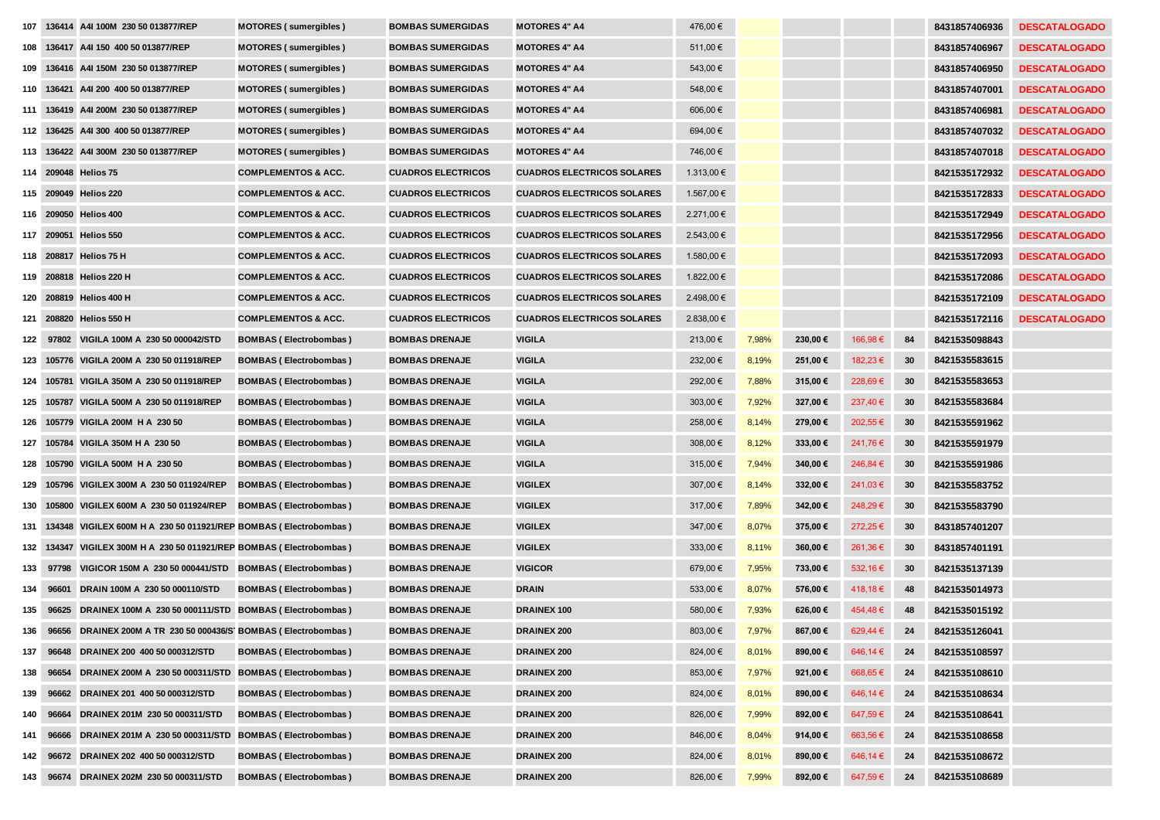| 107 |           | 136414 A4I 100M 230 50 013877/REP                                      | <b>MOTORES (sumergibles)</b>   | <b>BOMBAS SUMERGIDAS</b>  | <b>MOTORES 4" A4</b>              | 476,00 €       |       |          |          |      | 8431857406936 | <b>DESCATALOGADO</b> |
|-----|-----------|------------------------------------------------------------------------|--------------------------------|---------------------------|-----------------------------------|----------------|-------|----------|----------|------|---------------|----------------------|
|     |           | 108 136417 A4I 150 400 50 013877/REP                                   | <b>MOTORES (sumergibles)</b>   | <b>BOMBAS SUMERGIDAS</b>  | <b>MOTORES 4" A4</b>              | 511,00 €       |       |          |          |      | 8431857406967 | <b>DESCATALOGADO</b> |
|     |           | 109 136416 A4I 150M 230 50 013877/REP                                  | <b>MOTORES (sumergibles)</b>   | <b>BOMBAS SUMERGIDAS</b>  | <b>MOTORES 4" A4</b>              | 543,00 €       |       |          |          |      | 8431857406950 | <b>DESCATALOGADO</b> |
|     |           | 110 136421 A4I 200 400 50 013877/REP                                   | <b>MOTORES (sumergibles)</b>   | <b>BOMBAS SUMERGIDAS</b>  | <b>MOTORES 4" A4</b>              | 548,00 €       |       |          |          |      | 8431857407001 | <b>DESCATALOGADO</b> |
|     |           | 111 136419 A4I 200M 230 50 013877/REP                                  | <b>MOTORES (sumergibles)</b>   | <b>BOMBAS SUMERGIDAS</b>  | <b>MOTORES 4" A4</b>              | 606,00 €       |       |          |          |      | 8431857406981 | <b>DESCATALOGADO</b> |
|     |           | 112 136425 A4I 300 400 50 013877/REP                                   | <b>MOTORES (sumergibles)</b>   | <b>BOMBAS SUMERGIDAS</b>  | <b>MOTORES 4" A4</b>              | 694,00 €       |       |          |          |      | 8431857407032 | <b>DESCATALOGADO</b> |
|     |           | 113 136422 A4I 300M 230 50 013877/REP                                  | <b>MOTORES (sumergibles)</b>   | <b>BOMBAS SUMERGIDAS</b>  | <b>MOTORES 4" A4</b>              | 746,00 €       |       |          |          |      | 8431857407018 | <b>DESCATALOGADO</b> |
|     |           | 114 209048 Helios 75                                                   | <b>COMPLEMENTOS &amp; ACC.</b> | <b>CUADROS ELECTRICOS</b> | <b>CUADROS ELECTRICOS SOLARES</b> | 1.313,00 €     |       |          |          |      | 8421535172932 | <b>DESCATALOGADO</b> |
|     |           | 115 209049 Helios 220                                                  | <b>COMPLEMENTOS &amp; ACC.</b> | <b>CUADROS ELECTRICOS</b> | <b>CUADROS ELECTRICOS SOLARES</b> | 1.567,00 €     |       |          |          |      | 8421535172833 | <b>DESCATALOGADO</b> |
|     |           | 116 209050 Helios 400                                                  | <b>COMPLEMENTOS &amp; ACC.</b> | <b>CUADROS ELECTRICOS</b> | <b>CUADROS ELECTRICOS SOLARES</b> | 2.271,00 €     |       |          |          |      | 8421535172949 | <b>DESCATALOGADO</b> |
|     |           | 117 209051 Helios 550                                                  | <b>COMPLEMENTOS &amp; ACC.</b> | <b>CUADROS ELECTRICOS</b> | <b>CUADROS ELECTRICOS SOLARES</b> | 2.543,00 €     |       |          |          |      | 8421535172956 | <b>DESCATALOGADO</b> |
|     |           | 118 208817 Helios 75 H                                                 | <b>COMPLEMENTOS &amp; ACC.</b> | <b>CUADROS ELECTRICOS</b> | <b>CUADROS ELECTRICOS SOLARES</b> | 1.580,00 €     |       |          |          |      | 8421535172093 | <b>DESCATALOGADO</b> |
|     |           | 119 208818 Helios 220 H                                                | <b>COMPLEMENTOS &amp; ACC.</b> | <b>CUADROS ELECTRICOS</b> | <b>CUADROS ELECTRICOS SOLARES</b> | 1.822,00 €     |       |          |          |      | 8421535172086 | <b>DESCATALOGADO</b> |
|     |           | 120 208819 Helios 400 H                                                | <b>COMPLEMENTOS &amp; ACC.</b> | <b>CUADROS ELECTRICOS</b> | <b>CUADROS ELECTRICOS SOLARES</b> | 2.498,00 €     |       |          |          |      | 8421535172109 | <b>DESCATALOGADO</b> |
|     |           | 121 208820 Helios 550 H                                                | <b>COMPLEMENTOS &amp; ACC.</b> | <b>CUADROS ELECTRICOS</b> | <b>CUADROS ELECTRICOS SOLARES</b> | $2.838,00 \in$ |       |          |          |      | 8421535172116 | <b>DESCATALOGADO</b> |
|     |           | 122 97802 VIGILA 100M A 230 50 000042/STD                              | <b>BOMBAS (Electrobombas)</b>  | <b>BOMBAS DRENAJE</b>     | <b>VIGILA</b>                     | 213,00 €       | 7,98% | 230,00€  | 166,98€  | 84   | 8421535098843 |                      |
|     |           | 123 105776 VIGILA 200M A 230 50 011918/REP                             | <b>BOMBAS (Electrobombas)</b>  | <b>BOMBAS DRENAJE</b>     | <b>VIGILA</b>                     | 232,00 €       | 8,19% | 251,00€  | 182,23 € | 30   | 8421535583615 |                      |
|     |           | 124 105781 VIGILA 350M A 230 50 011918/REP                             | <b>BOMBAS (Electrobombas)</b>  | <b>BOMBAS DRENAJE</b>     | <b>VIGILA</b>                     | 292,00 €       | 7,88% | 315,00€  | 228,69€  | 30   | 8421535583653 |                      |
|     |           | 125 105787 VIGILA 500M A 230 50 011918/REP                             | <b>BOMBAS (Electrobombas)</b>  | <b>BOMBAS DRENAJE</b>     | <b>VIGILA</b>                     | 303,00 €       | 7,92% | 327,00€  | 237,40 € | 30   | 8421535583684 |                      |
|     |           | 126 105779 VIGILA 200M H A 230 50                                      | <b>BOMBAS (Electrobombas)</b>  | <b>BOMBAS DRENAJE</b>     | <b>VIGILA</b>                     | 258,00 €       | 8,14% | 279,00 € | 202,55 € | 30   | 8421535591962 |                      |
|     |           | 127 105784 VIGILA 350M H A 230 50                                      | <b>BOMBAS (Electrobombas)</b>  | <b>BOMBAS DRENAJE</b>     | <b>VIGILA</b>                     | 308,00 €       | 8,12% | 333,00€  | 241,76 € | 30   | 8421535591979 |                      |
| 128 |           | 105790 VIGILA 500M H A 230 50                                          | <b>BOMBAS (Electrobombas)</b>  | <b>BOMBAS DRENAJE</b>     | <b>VIGILA</b>                     | 315,00 €       | 7,94% | 340,00€  | 246,84 € | 30   | 8421535591986 |                      |
|     |           | 129 105796 VIGILEX 300M A 230 50 011924/REP                            | <b>BOMBAS (Electrobombas)</b>  | <b>BOMBAS DRENAJE</b>     | <b>VIGILEX</b>                    | 307,00 €       | 8,14% | 332,00€  | 241,03 € | 30   | 8421535583752 |                      |
| 130 |           | 105800 VIGILEX 600M A 230 50 011924/REP                                | <b>BOMBAS (Electrobombas)</b>  | <b>BOMBAS DRENAJE</b>     | <b>VIGILEX</b>                    | 317,00 €       | 7,89% | 342,00€  | 248,29€  | 30   | 8421535583790 |                      |
|     |           | 131  134348  VIGILEX 600M H A 230 50 011921/REP BOMBAS (Electrobombas) |                                | <b>BOMBAS DRENAJE</b>     | <b>VIGILEX</b>                    | 347,00 €       | 8,07% | 375,00€  | 272,25 € | 30   | 8431857401207 |                      |
|     |           | 132 134347 VIGILEX 300M H A 230 50 011921/REP BOMBAS (Electrobombas)   |                                | <b>BOMBAS DRENAJE</b>     | <b>VIGILEX</b>                    | 333,00 €       | 8,11% | 360,00€  | 261,36 € | - 30 | 8431857401191 |                      |
|     | 133 97798 | VIGICOR 150M A 230 50 000441/STD BOMBAS (Electrobombas)                |                                | <b>BOMBAS DRENAJE</b>     | <b>VIGICOR</b>                    | 679,00€        | 7,95% | 733,00€  | 532,16 € | - 30 | 8421535137139 |                      |
| 134 | 96601     | DRAIN 100M A 230 50 000110/STD                                         | <b>BOMBAS (Electrobombas)</b>  | <b>BOMBAS DRENAJE</b>     | <b>DRAIN</b>                      | 533,00 €       | 8,07% | 576,00€  | 418,18€  | - 48 | 8421535014973 |                      |
|     |           | 135 96625 DRAINEX 100M A 230 50 000111/STD BOMBAS (Electrobombas)      |                                | <b>BOMBAS DRENAJE</b>     | DRAINEX 100                       | 580,00 €       | 7,93% | 626,00€  | 454,48€  | 48   | 8421535015192 |                      |
|     |           | 136 96656 DRAINEX 200M A TR 230 50 000436/S' BOMBAS (Electrobombas )   |                                | <b>BOMBAS DRENAJE</b>     | <b>DRAINEX 200</b>                | 803,00 €       | 7,97% | 867,00€  | 629,44 € | 24   | 8421535126041 |                      |
| 137 |           | 96648 DRAINEX 200 400 50 000312/STD                                    | <b>BOMBAS (Electrobombas)</b>  | <b>BOMBAS DRENAJE</b>     | DRAINEX 200                       | 824,00 €       | 8,01% | 890,00€  | 646,14 € | 24   | 8421535108597 |                      |
| 138 |           | 96654 DRAINEX 200M A 230 50 000311/STD BOMBAS (Electrobombas)          |                                | <b>BOMBAS DRENAJE</b>     | DRAINEX 200                       | 853,00 €       | 7,97% | 921,00€  | 668,65€  | 24   | 8421535108610 |                      |
| 139 |           | 96662 DRAINEX 201 400 50 000312/STD                                    | <b>BOMBAS (Electrobombas)</b>  | <b>BOMBAS DRENAJE</b>     | <b>DRAINEX 200</b>                | 824,00 €       | 8,01% | 890,00€  | 646,14 € | 24   | 8421535108634 |                      |
| 140 |           | 96664 DRAINEX 201M 230 50 000311/STD                                   | <b>BOMBAS (Electrobombas)</b>  | <b>BOMBAS DRENAJE</b>     | DRAINEX 200                       | 826,00 €       | 7,99% | 892,00€  | 647,59€  | - 24 | 8421535108641 |                      |
| 141 |           | 96666 DRAINEX 201M A 230 50 000311/STD BOMBAS (Electrobombas)          |                                | <b>BOMBAS DRENAJE</b>     | DRAINEX 200                       | 846,00 €       | 8,04% | 914,00€  | 663,56 € | 24   | 8421535108658 |                      |
| 142 |           | 96672 DRAINEX 202 400 50 000312/STD                                    | <b>BOMBAS (Electrobombas)</b>  | <b>BOMBAS DRENAJE</b>     | DRAINEX 200                       | 824,00 €       | 8,01% | 890,00€  | 646,14 € | 24   | 8421535108672 |                      |
|     |           | 143 96674 DRAINEX 202M 230 50 000311/STD                               | <b>BOMBAS (Electrobombas)</b>  | <b>BOMBAS DRENAJE</b>     | DRAINEX 200                       | 826,00 €       | 7,99% | 892,00€  | 647,59€  | 24   | 8421535108689 |                      |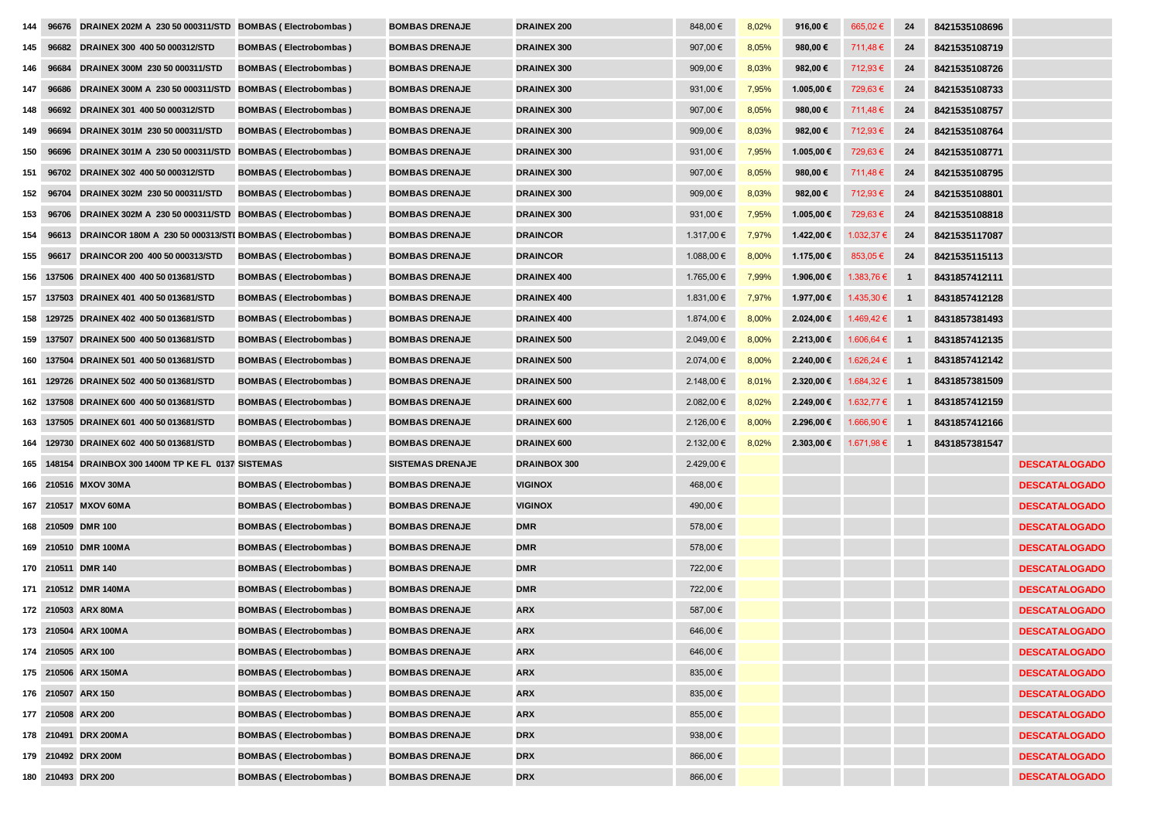| 144 |       | 96676 DRAINEX 202M A 230 50 000311/STD BOMBAS (Electrobombas) |                               | <b>BOMBAS DRENAJE</b>   | DRAINEX 200        | 848,00 €   | 8,02% | 916,00€    | 665,02€    | 24                       | 8421535108696 |                      |
|-----|-------|---------------------------------------------------------------|-------------------------------|-------------------------|--------------------|------------|-------|------------|------------|--------------------------|---------------|----------------------|
| 145 |       | 96682 DRAINEX 300 400 50 000312/STD                           | <b>BOMBAS (Electrobombas)</b> | <b>BOMBAS DRENAJE</b>   | DRAINEX 300        | 907,00 €   | 8,05% | 980,00€    | 711,48€    | 24                       | 8421535108719 |                      |
| 146 | 96684 | DRAINEX 300M 230 50 000311/STD                                | <b>BOMBAS (Electrobombas)</b> | <b>BOMBAS DRENAJE</b>   | DRAINEX 300        | 909,00 €   | 8,03% | 982,00€    | 712,93 €   | 24                       | 8421535108726 |                      |
| 147 | 96686 | DRAINEX 300M A 230 50 000311/STD                              | <b>BOMBAS (Electrobombas)</b> | <b>BOMBAS DRENAJE</b>   | DRAINEX 300        | 931,00 €   | 7,95% | 1.005,00 € | 729,63 €   | 24                       | 8421535108733 |                      |
| 148 |       | 96692 DRAINEX 301 400 50 000312/STD                           | <b>BOMBAS (Electrobombas)</b> | <b>BOMBAS DRENAJE</b>   | DRAINEX 300        | 907,00 €   | 8,05% | 980,00€    | 711,48 €   | 24                       | 8421535108757 |                      |
| 149 | 96694 | DRAINEX 301M 230 50 000311/STD                                | <b>BOMBAS (Electrobombas)</b> | <b>BOMBAS DRENAJE</b>   | DRAINEX 300        | 909,00 €   | 8,03% | 982,00€    | 712,93 €   | 24                       | 8421535108764 |                      |
| 150 |       | 96696 DRAINEX 301M A 230 50 000311/STD                        | <b>BOMBAS (Electrobombas)</b> | <b>BOMBAS DRENAJE</b>   | DRAINEX 300        | 931,00 €   | 7,95% | 1.005,00 € | 729,63 €   | 24                       | 8421535108771 |                      |
| 151 |       | 96702 DRAINEX 302 400 50 000312/STD                           | <b>BOMBAS (Electrobombas)</b> | <b>BOMBAS DRENAJE</b>   | DRAINEX 300        | 907,00 €   | 8,05% | 980,00€    | 711,48€    | 24                       | 8421535108795 |                      |
| 152 |       | 96704 DRAINEX 302M 230 50 000311/STD                          | <b>BOMBAS (Electrobombas)</b> | <b>BOMBAS DRENAJE</b>   | DRAINEX 300        | 909,00 €   | 8,03% | 982,00€    | 712,93 €   | 24                       | 8421535108801 |                      |
| 153 |       | 96706 DRAINEX 302M A 230 50 000311/STD BOMBAS (Electrobombas) |                               | <b>BOMBAS DRENAJE</b>   | <b>DRAINEX 300</b> | 931,00 €   | 7,95% | 1.005,00 € | 729,63 €   | 24                       | 8421535108818 |                      |
| 154 | 96613 | DRAINCOR 180M A 230 50 000313/STI BOMBAS (Electrobombas)      |                               | <b>BOMBAS DRENAJE</b>   | <b>DRAINCOR</b>    | 1.317,00 € | 7,97% | 1.422,00 € | 1.032,37 € | 24                       | 8421535117087 |                      |
| 155 | 96617 | DRAINCOR 200 400 50 000313/STD                                | <b>BOMBAS (Electrobombas)</b> | <b>BOMBAS DRENAJE</b>   | <b>DRAINCOR</b>    | 1.088,00 € | 8,00% | 1.175,00 € | 853,05 €   | 24                       | 8421535115113 |                      |
|     |       | 156 137506 DRAINEX 400 400 50 013681/STD                      | <b>BOMBAS (Electrobombas)</b> | <b>BOMBAS DRENAJE</b>   | DRAINEX 400        | 1.765,00 € | 7,99% | 1.906,00 € | 1.383,76 € | $\overline{\mathbf{1}}$  | 8431857412111 |                      |
|     |       | 157 137503 DRAINEX 401 400 50 013681/STD                      | <b>BOMBAS (Electrobombas)</b> | <b>BOMBAS DRENAJE</b>   | <b>DRAINEX 400</b> | 1.831,00 € | 7,97% | 1.977,00 € | 1.435,30 € | $\blacksquare$           | 8431857412128 |                      |
|     |       | 158 129725 DRAINEX 402 400 50 013681/STD                      | <b>BOMBAS (Electrobombas)</b> | <b>BOMBAS DRENAJE</b>   | DRAINEX 400        | 1.874,00 € | 8,00% | 2.024,00 € | 1.469,42 € | $\overline{\mathbf{1}}$  | 8431857381493 |                      |
| 159 |       | 137507 DRAINEX 500 400 50 013681/STD                          | <b>BOMBAS (Electrobombas)</b> | <b>BOMBAS DRENAJE</b>   | DRAINEX 500        | 2.049,00 € | 8,00% | 2.213,00 € | 1.606,64 € | $\blacksquare$           | 8431857412135 |                      |
|     |       | 160 137504 DRAINEX 501 400 50 013681/STD                      | <b>BOMBAS (Electrobombas)</b> | <b>BOMBAS DRENAJE</b>   | DRAINEX 500        | 2.074,00 € | 8,00% | 2.240,00 € | 1.626,24 € | $\blacksquare$           | 8431857412142 |                      |
| 161 |       | 129726 DRAINEX 502 400 50 013681/STD                          | <b>BOMBAS (Electrobombas)</b> | <b>BOMBAS DRENAJE</b>   | DRAINEX 500        | 2.148,00 € | 8,01% | 2.320,00 € | 1.684,32 € | $\blacksquare$           | 8431857381509 |                      |
|     |       | 162 137508 DRAINEX 600 400 50 013681/STD                      | <b>BOMBAS (Electrobombas)</b> | <b>BOMBAS DRENAJE</b>   | DRAINEX 600        | 2.082,00 € | 8,02% | 2.249,00 € | 1.632,77 € | $\blacksquare$           | 8431857412159 |                      |
| 163 |       | 137505 DRAINEX 601 400 50 013681/STD                          | <b>BOMBAS (Electrobombas)</b> | <b>BOMBAS DRENAJE</b>   | DRAINEX 600        | 2.126,00 € | 8,00% | 2.296,00 € | 1.666,90 € | $\overline{\phantom{0}}$ | 8431857412166 |                      |
|     |       | 164 129730 DRAINEX 602 400 50 013681/STD                      | <b>BOMBAS (Electrobombas)</b> | <b>BOMBAS DRENAJE</b>   | DRAINEX 600        | 2.132,00 € | 8,02% | 2.303,00 € | 1.671,98 € | $\overline{\mathbf{1}}$  | 8431857381547 |                      |
|     |       | 165 148154 DRAINBOX 300 1400M TP KE FL 0137 SISTEMAS          |                               | <b>SISTEMAS DRENAJE</b> | DRAINBOX 300       | 2.429,00 € |       |            |            |                          |               | <b>DESCATALOGADO</b> |
|     |       | 166 210516 MXOV 30MA                                          | <b>BOMBAS (Electrobombas)</b> | <b>BOMBAS DRENAJE</b>   | <b>VIGINOX</b>     | 468,00 €   |       |            |            |                          |               | <b>DESCATALOGADO</b> |
|     |       | 167 210517 MXOV 60MA                                          | <b>BOMBAS (Electrobombas)</b> | <b>BOMBAS DRENAJE</b>   | <b>VIGINOX</b>     | 490,00 €   |       |            |            |                          |               | <b>DESCATALOGADO</b> |
|     |       | 168 210509 DMR 100                                            | <b>BOMBAS (Electrobombas)</b> | <b>BOMBAS DRENAJE</b>   | <b>DMR</b>         | 578,00 €   |       |            |            |                          |               | <b>DESCATALOGADO</b> |
|     |       | 169 210510 DMR 100MA                                          | <b>BOMBAS (Electrobombas)</b> | <b>BOMBAS DRENAJE</b>   | <b>DMR</b>         | 578,00 €   |       |            |            |                          |               | <b>DESCATALOGADO</b> |
|     |       | 170 210511 DMR 140                                            | <b>BOMBAS (Electrobombas)</b> | <b>BOMBAS DRENAJE</b>   | <b>DMR</b>         | 722,00 €   |       |            |            |                          |               | <b>DESCATALOGADO</b> |
|     |       | 171 210512 DMR 140MA                                          | <b>BOMBAS (Electrobombas)</b> | <b>BOMBAS DRENAJE</b>   | <b>DMR</b>         | 722,00 €   |       |            |            |                          |               | <b>DESCATALOGADO</b> |
|     |       | 172 210503 ARX 80MA                                           | <b>BOMBAS (Electrobombas)</b> | <b>BOMBAS DRENAJE</b>   | <b>ARX</b>         | 587,00 €   |       |            |            |                          |               | <b>DESCATALOGADO</b> |
|     |       | 173 210504 ARX 100MA                                          | <b>BOMBAS (Electrobombas)</b> | <b>BOMBAS DRENAJE</b>   | ARX                | 646,00 €   |       |            |            |                          |               | <b>DESCATALOGADO</b> |
|     |       | 174 210505 ARX 100                                            | <b>BOMBAS (Electrobombas)</b> | <b>BOMBAS DRENAJE</b>   | <b>ARX</b>         | 646,00 €   |       |            |            |                          |               | <b>DESCATALOGADO</b> |
|     |       | 175 210506 ARX 150MA                                          | <b>BOMBAS (Electrobombas)</b> | <b>BOMBAS DRENAJE</b>   | <b>ARX</b>         | 835,00 €   |       |            |            |                          |               | <b>DESCATALOGADO</b> |
|     |       | 176 210507 ARX 150                                            | <b>BOMBAS (Electrobombas)</b> | <b>BOMBAS DRENAJE</b>   | <b>ARX</b>         | 835,00 €   |       |            |            |                          |               | <b>DESCATALOGADO</b> |
|     |       | 177 210508 ARX 200                                            | <b>BOMBAS (Electrobombas)</b> | <b>BOMBAS DRENAJE</b>   | <b>ARX</b>         | 855,00 €   |       |            |            |                          |               | <b>DESCATALOGADO</b> |
|     |       | 178 210491 DRX 200MA                                          | <b>BOMBAS (Electrobombas)</b> | <b>BOMBAS DRENAJE</b>   | <b>DRX</b>         | 938,00 €   |       |            |            |                          |               | <b>DESCATALOGADO</b> |
|     |       | 179 210492 DRX 200M                                           | <b>BOMBAS (Electrobombas)</b> | <b>BOMBAS DRENAJE</b>   | <b>DRX</b>         | 866,00 €   |       |            |            |                          |               | <b>DESCATALOGADO</b> |
|     |       | 180 210493 DRX 200                                            | <b>BOMBAS (Electrobombas)</b> | <b>BOMBAS DRENAJE</b>   | <b>DRX</b>         | 866,00 €   |       |            |            |                          |               | <b>DESCATALOGADO</b> |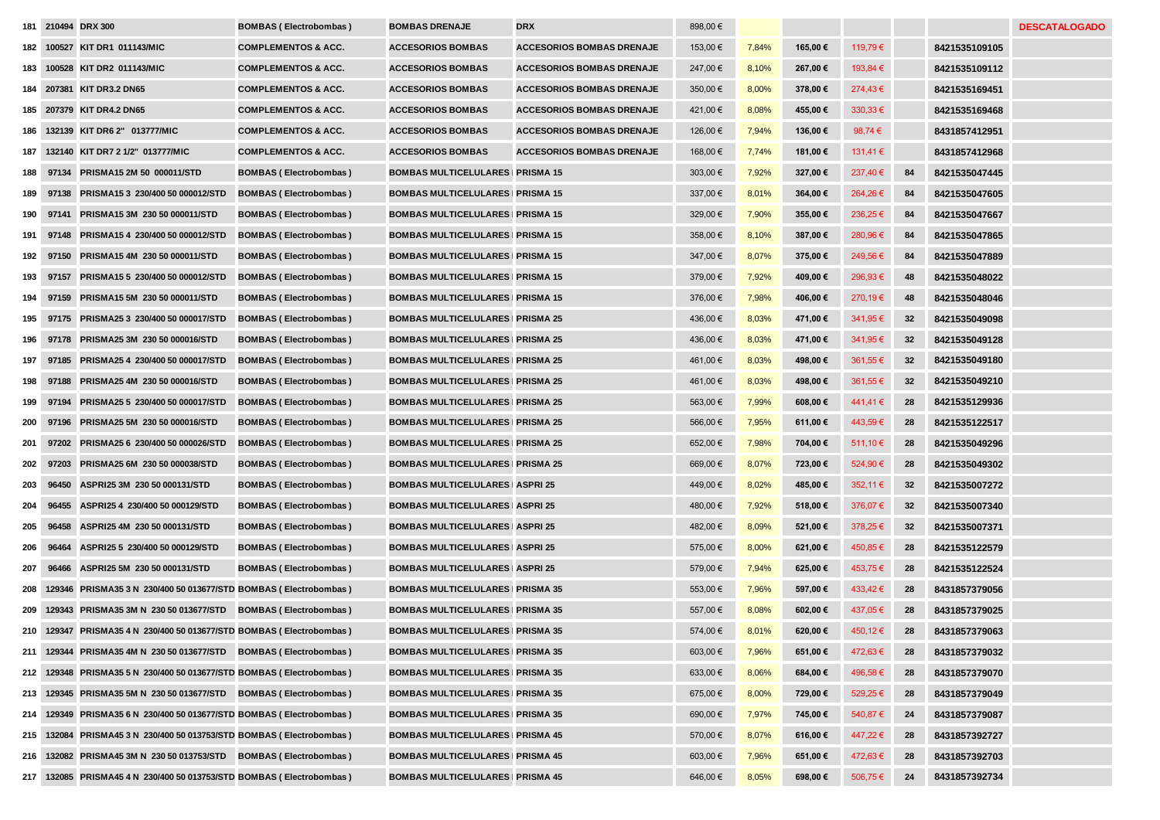|     | 181 210494 DRX 300 |                                                                      | <b>BOMBAS (Electrobombas)</b>  | <b>BOMBAS DRENAJE</b>                    | <b>DRX</b>                       | 898,00 € |       |          |          |     |               | <b>DESCATALOGADO</b> |
|-----|--------------------|----------------------------------------------------------------------|--------------------------------|------------------------------------------|----------------------------------|----------|-------|----------|----------|-----|---------------|----------------------|
|     |                    | 182 100527 KIT DR1 011143/MIC                                        | <b>COMPLEMENTOS &amp; ACC.</b> | <b>ACCESORIOS BOMBAS</b>                 | <b>ACCESORIOS BOMBAS DRENAJE</b> | 153,00 € | 7,84% | 165,00€  | 119,79€  |     | 8421535109105 |                      |
|     |                    | 183 100528 KIT DR2 011143/MIC                                        | <b>COMPLEMENTOS &amp; ACC.</b> | <b>ACCESORIOS BOMBAS</b>                 | <b>ACCESORIOS BOMBAS DRENAJE</b> | 247,00 € | 8,10% | 267,00€  | 193,84 € |     | 8421535109112 |                      |
|     |                    | 184 207381 KIT DR3.2 DN65                                            | <b>COMPLEMENTOS &amp; ACC.</b> | <b>ACCESORIOS BOMBAS</b>                 | <b>ACCESORIOS BOMBAS DRENAJE</b> | 350,00 € | 8,00% | 378,00€  | 274,43 € |     | 8421535169451 |                      |
|     |                    | 185 207379 KIT DR4.2 DN65                                            | <b>COMPLEMENTOS &amp; ACC.</b> | <b>ACCESORIOS BOMBAS</b>                 | <b>ACCESORIOS BOMBAS DRENAJE</b> | 421,00 € | 8,08% | 455,00€  | 330,33 € |     | 8421535169468 |                      |
|     |                    | 186 132139 KIT DR6 2" 013777/MIC                                     | <b>COMPLEMENTOS &amp; ACC.</b> | <b>ACCESORIOS BOMBAS</b>                 | <b>ACCESORIOS BOMBAS DRENAJE</b> | 126,00 € | 7,94% | 136,00€  | 98,74 €  |     | 8431857412951 |                      |
|     |                    | 187 132140 KIT DR7 2 1/2" 013777/MIC                                 | <b>COMPLEMENTOS &amp; ACC.</b> | <b>ACCESORIOS BOMBAS</b>                 | <b>ACCESORIOS BOMBAS DRENAJE</b> | 168,00 € | 7,74% | 181,00 € | 131,41 € |     | 8431857412968 |                      |
| 188 |                    | 97134 PRISMA15 2M 50 000011/STD                                      | <b>BOMBAS (Electrobombas)</b>  | <b>BOMBAS MULTICELULARES   PRISMA 15</b> |                                  | 303,00 € | 7,92% | 327,00€  | 237,40 € | 84  | 8421535047445 |                      |
| 189 |                    | 97138 PRISMA15 3 230/400 50 000012/STD                               | <b>BOMBAS (Electrobombas)</b>  | <b>BOMBAS MULTICELULARES   PRISMA 15</b> |                                  | 337,00 € | 8,01% | 364,00€  | 264,26€  | -84 | 8421535047605 |                      |
| 190 | 97141              | PRISMA15 3M 230 50 000011/STD                                        | <b>BOMBAS (Electrobombas)</b>  | <b>BOMBAS MULTICELULARES   PRISMA 15</b> |                                  | 329,00 € | 7,90% | 355,00€  | 236,25€  | 84  | 8421535047667 |                      |
| 191 | 97148              | PRISMA15 4 230/400 50 000012/STD                                     | <b>BOMBAS (Electrobombas)</b>  | <b>BOMBAS MULTICELULARES   PRISMA 15</b> |                                  | 358,00 € | 8,10% | 387,00€  | 280,96€  | 84  | 8421535047865 |                      |
| 192 | 97150              | PRISMA15 4M 230 50 000011/STD                                        | <b>BOMBAS (Electrobombas)</b>  | <b>BOMBAS MULTICELULARES   PRISMA 15</b> |                                  | 347,00 € | 8,07% | 375,00€  | 249,56€  | -84 | 8421535047889 |                      |
|     |                    | 193 97157 PRISMA15 5 230/400 50 000012/STD                           | <b>BOMBAS (Electrobombas)</b>  | <b>BOMBAS MULTICELULARES   PRISMA 15</b> |                                  | 379,00 € | 7,92% | 409,00 € | 296,93€  | 48  | 8421535048022 |                      |
| 194 |                    | 97159 PRISMA15 5M 230 50 000011/STD                                  | <b>BOMBAS (Electrobombas)</b>  | <b>BOMBAS MULTICELULARES   PRISMA 15</b> |                                  | 376,00 € | 7,98% | 406,00 € | 270,19€  | 48  | 8421535048046 |                      |
|     |                    | 195 97175 PRISMA25 3 230/400 50 000017/STD                           | <b>BOMBAS (Electrobombas)</b>  | <b>BOMBAS MULTICELULARES   PRISMA 25</b> |                                  | 436,00 € | 8,03% | 471,00 € | 341,95€  | -32 | 8421535049098 |                      |
| 196 |                    | 97178 PRISMA25 3M 230 50 000016/STD                                  | <b>BOMBAS (Electrobombas)</b>  | <b>BOMBAS MULTICELULARES   PRISMA 25</b> |                                  | 436,00 € | 8,03% | 471,00 € | 341,95€  | -32 | 8421535049128 |                      |
| 197 |                    | 97185 PRISMA25 4 230/400 50 000017/STD                               | <b>BOMBAS (Electrobombas)</b>  | <b>BOMBAS MULTICELULARES   PRISMA 25</b> |                                  | 461,00 € | 8,03% | 498,00€  | 361,55 € | -32 | 8421535049180 |                      |
| 198 | 97188              | PRISMA25 4M 230 50 000016/STD                                        | <b>BOMBAS (Electrobombas)</b>  | <b>BOMBAS MULTICELULARES   PRISMA 25</b> |                                  | 461,00 € | 8,03% | 498,00€  | 361,55€  | -32 | 8421535049210 |                      |
| 199 |                    | 97194 PRISMA25 5 230/400 50 000017/STD                               | <b>BOMBAS (Electrobombas)</b>  | <b>BOMBAS MULTICELULARES   PRISMA 25</b> |                                  | 563,00 € | 7,99% | 608,00€  | 441,41€  | 28  | 8421535129936 |                      |
| 200 |                    | 97196 PRISMA25 5M 230 50 000016/STD                                  | <b>BOMBAS (Electrobombas)</b>  | <b>BOMBAS MULTICELULARES   PRISMA 25</b> |                                  | 566,00€  | 7,95% | 611,00€  | 443,59€  | -28 | 8421535122517 |                      |
| 201 |                    | 97202 PRISMA25 6 230/400 50 000026/STD                               | <b>BOMBAS (Electrobombas)</b>  | <b>BOMBAS MULTICELULARES   PRISMA 25</b> |                                  | 652,00 € | 7,98% | 704,00 € | 511,10 € | -28 | 8421535049296 |                      |
| 202 | 97203              | PRISMA25 6M 230 50 000038/STD                                        | <b>BOMBAS (Electrobombas)</b>  | <b>BOMBAS MULTICELULARES   PRISMA 25</b> |                                  | 669,00€  | 8,07% | 723,00€  | 524,90€  | -28 | 8421535049302 |                      |
| 203 | 96450              | ASPRI25 3M 230 50 000131/STD                                         | <b>BOMBAS (Electrobombas)</b>  | <b>BOMBAS MULTICELULARES   ASPRI 25</b>  |                                  | 449,00 € | 8,02% | 485,00€  | 352,11 € | -32 | 8421535007272 |                      |
| 204 | 96455              | ASPRI25 4 230/400 50 000129/STD                                      | <b>BOMBAS (Electrobombas)</b>  | <b>BOMBAS MULTICELULARES   ASPRI 25</b>  |                                  | 480,00 € | 7,92% | 518,00€  | 376,07€  | -32 | 8421535007340 |                      |
| 205 | 96458              | ASPRI25 4M 230 50 000131/STD                                         | <b>BOMBAS (Electrobombas)</b>  | <b>BOMBAS MULTICELULARES   ASPRI 25</b>  |                                  | 482,00 € | 8,09% | 521,00€  | 378,25€  | 32  | 8421535007371 |                      |
| 206 | 96464              | ASPRI25 5 230/400 50 000129/STD                                      | <b>BOMBAS (Electrobombas)</b>  | <b>BOMBAS MULTICELULARES   ASPRI 25</b>  |                                  | 575,00 € | 8,00% | 621,00 € | 450,85€  | -28 | 8421535122579 |                      |
| 207 | 96466              | ASPRI25 5M 230 50 000131/STD                                         | <b>BOMBAS (Electrobombas)</b>  | <b>BOMBAS MULTICELULARES   ASPRI 25</b>  |                                  | 579,00€  | 7,94% | 625,00€  | 453,75€  | 28  | 8421535122524 |                      |
|     |                    | 208 129346 PRISMA35 3 N 230/400 50 013677/STD BOMBAS (Electrobombas) |                                | <b>BOMBAS MULTICELULARES   PRISMA 35</b> |                                  | 553,00 € | 7,96% | 597,00€  | 433,42€  | 28  | 8431857379056 |                      |
|     |                    | 209 129343 PRISMA35 3M N 230 50 013677/STD                           | <b>BOMBAS (Electrobombas)</b>  | <b>BOMBAS MULTICELULARES   PRISMA 35</b> |                                  | 557,00 € | 8,08% | 602,00€  | 437,05€  | -28 | 8431857379025 |                      |
|     |                    | 210 129347 PRISMA35 4 N 230/400 50 013677/STD BOMBAS (Electrobombas) |                                | <b>BOMBAS MULTICELULARES   PRISMA 35</b> |                                  | 574,00 € | 8,01% | 620,00€  | 450,12 € | 28  | 8431857379063 |                      |
|     |                    | 211 129344 PRISMA35 4M N 230 50 013677/STD                           | <b>BOMBAS (Electrobombas)</b>  | <b>BOMBAS MULTICELULARES   PRISMA 35</b> |                                  | 603,00€  | 7,96% | 651,00€  | 472,63 € | 28  | 8431857379032 |                      |
|     |                    | 212 129348 PRISMA35 5 N 230/400 50 013677/STD BOMBAS (Electrobombas) |                                | <b>BOMBAS MULTICELULARES   PRISMA 35</b> |                                  | 633,00 € | 8,06% | 684,00 € | 496,58€  | -28 | 8431857379070 |                      |
|     |                    | 213 129345 PRISMA35 5M N 230 50 013677/STD BOMBAS (Electrobombas)    |                                | <b>BOMBAS MULTICELULARES   PRISMA 35</b> |                                  | 675,00€  | 8,00% | 729,00€  | 529,25 € | 28  | 8431857379049 |                      |
|     |                    | 214 129349 PRISMA35 6 N 230/400 50 013677/STD BOMBAS (Electrobombas) |                                | <b>BOMBAS MULTICELULARES   PRISMA 35</b> |                                  | 690,00€  | 7,97% | 745,00 € | 540,87 € | 24  | 8431857379087 |                      |
|     |                    | 215 132084 PRISMA45 3 N 230/400 50 013753/STD BOMBAS (Electrobombas) |                                | <b>BOMBAS MULTICELULARES   PRISMA 45</b> |                                  | 570,00 € | 8,07% | 616,00€  | 447,22 € | -28 | 8431857392727 |                      |
|     |                    | 216 132082 PRISMA45 3M N 230 50 013753/STD BOMBAS (Electrobombas)    |                                | <b>BOMBAS MULTICELULARES   PRISMA 45</b> |                                  | 603,00€  | 7,96% | 651,00 € | 472,63 € | -28 | 8431857392703 |                      |
|     |                    | 217 132085 PRISMA45 4 N 230/400 50 013753/STD BOMBAS (Electrobombas) |                                | <b>BOMBAS MULTICELULARES   PRISMA 45</b> |                                  | 646,00 € | 8,05% | 698,00€  | 506,75 € | 24  | 8431857392734 |                      |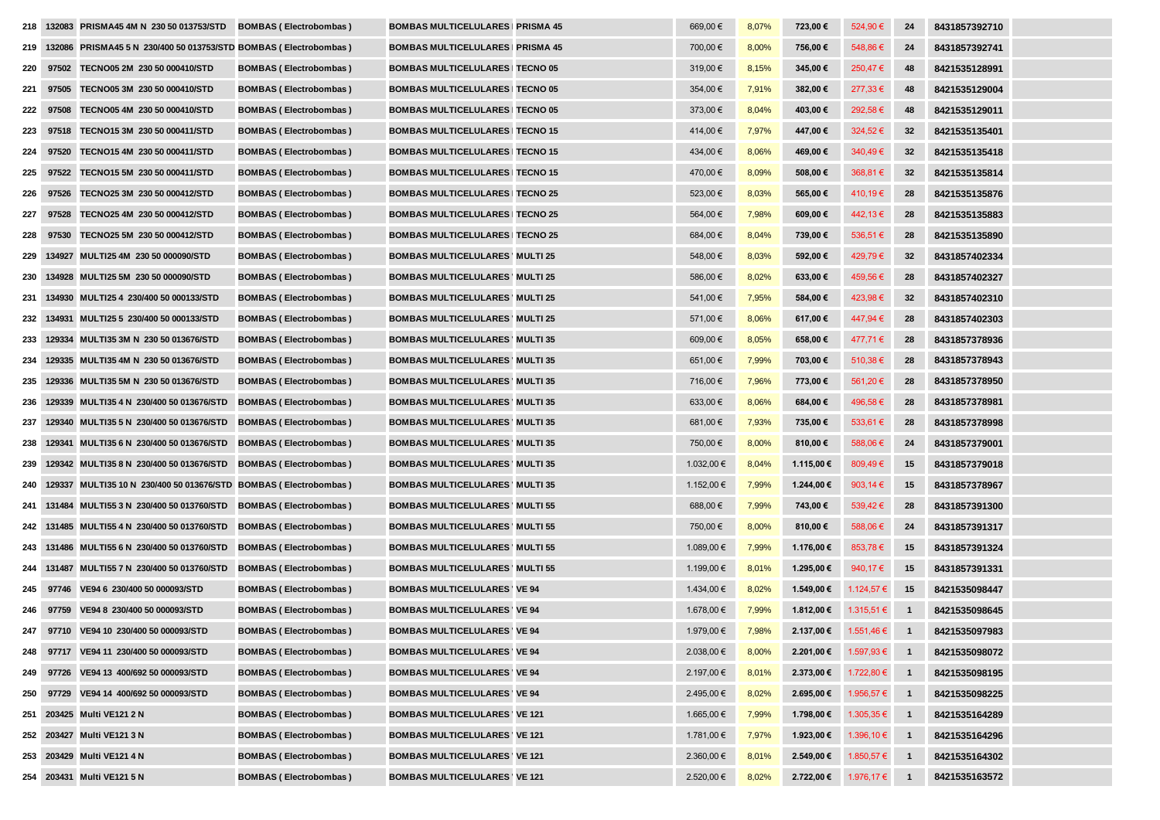|     |            | 218 132083 PRISMA45 4M N 230 50 013753/STD                           | BOMBAS (Electrobombas)        | <b>BOMBAS MULTICELULARES   PRISMA 45</b> | 669,00€    | 8,07% | 723,00 €   | 524,90€        | 24                      | 8431857392710 |  |
|-----|------------|----------------------------------------------------------------------|-------------------------------|------------------------------------------|------------|-------|------------|----------------|-------------------------|---------------|--|
|     |            | 219 132086 PRISMA45 5 N 230/400 50 013753/STD BOMBAS (Electrobombas) |                               | <b>BOMBAS MULTICELULARES   PRISMA 45</b> | 700,00 €   | 8,00% | 756,00€    | 548,86€        | 24                      | 8431857392741 |  |
| 220 |            | 97502 TECNO05 2M 230 50 000410/STD                                   | <b>BOMBAS (Electrobombas)</b> | <b>BOMBAS MULTICELULARES   TECNO 05</b>  | 319,00 €   | 8,15% | 345,00 €   | 250,47€        | 48                      | 8421535128991 |  |
| 221 | 97505      | TECNO05 3M 230 50 000410/STD                                         | <b>BOMBAS (Electrobombas)</b> | <b>BOMBAS MULTICELULARES   TECNO 05</b>  | 354,00 €   | 7,91% | 382,00€    | 277,33 €       | 48                      | 8421535129004 |  |
| 222 | 97508      | TECNO05 4M 230 50 000410/STD                                         | <b>BOMBAS (Electrobombas)</b> | <b>BOMBAS MULTICELULARES   TECNO 05</b>  | 373,00 €   | 8,04% | 403,00€    | 292,58€        | 48                      | 8421535129011 |  |
| 223 | 97518      | TECNO15 3M 230 50 000411/STD                                         | <b>BOMBAS (Electrobombas)</b> | <b>BOMBAS MULTICELULARES   TECNO 15</b>  | 414,00 €   | 7,97% | 447,00 €   | 324,52€        | 32                      | 8421535135401 |  |
| 224 | 97520      | TECNO15 4M 230 50 000411/STD                                         | <b>BOMBAS (Electrobombas)</b> | <b>BOMBAS MULTICELULARES   TECNO 15</b>  | 434,00 €   | 8,06% | 469,00 €   | 340,49€        | 32                      | 8421535135418 |  |
| 225 | 97522      | TECNO15 5M 230 50 000411/STD                                         | <b>BOMBAS (Electrobombas)</b> | <b>BOMBAS MULTICELULARES   TECNO 15</b>  | 470,00 €   | 8,09% | 508,00€    | 368,81€        | 32                      | 8421535135814 |  |
| 226 | 97526      | TECNO25 3M 230 50 000412/STD                                         | <b>BOMBAS (Electrobombas)</b> | <b>BOMBAS MULTICELULARES   TECNO 25</b>  | 523,00€    | 8,03% | 565,00€    | 410,19€        | 28                      | 8421535135876 |  |
| 227 | 97528      | TECNO25 4M 230 50 000412/STD                                         | <b>BOMBAS (Electrobombas)</b> | <b>BOMBAS MULTICELULARES   TECNO 25</b>  | 564,00 €   | 7,98% | 609,00€    | 442,13€        | 28                      | 8421535135883 |  |
| 228 | 97530      | TECNO25 5M 230 50 000412/STD                                         | <b>BOMBAS (Electrobombas)</b> | <b>BOMBAS MULTICELULARES   TECNO 25</b>  | 684,00€    | 8,04% | 739,00€    | 536,51€        | 28                      | 8421535135890 |  |
| 229 |            | 134927 MULTI25 4M 230 50 000090/STD                                  | <b>BOMBAS (Electrobombas)</b> | <b>BOMBAS MULTICELULARES   MULTI 25</b>  | 548,00 €   | 8,03% | 592,00€    | 429,79€        | 32                      | 8431857402334 |  |
|     |            | 230 134928 MULTI25 5M 230 50 000090/STD                              | <b>BOMBAS (Electrobombas)</b> | <b>BOMBAS MULTICELULARES   MULTI 25</b>  | 586,00€    | 8,02% | 633,00€    | 459,56€        | 28                      | 8431857402327 |  |
| 231 |            | 134930 MULTI25 4 230/400 50 000133/STD                               | <b>BOMBAS (Electrobombas)</b> | <b>BOMBAS MULTICELULARES   MULTI 25</b>  | 541,00 €   | 7,95% | 584,00 €   | 423,98€        | 32                      | 8431857402310 |  |
|     | 232 134931 | MULTI25 5 230/400 50 000133/STD                                      | <b>BOMBAS (Electrobombas)</b> | <b>BOMBAS MULTICELULARES   MULTI 25</b>  | 571,00 €   | 8,06% | 617,00 €   | 447,94 €       | 28                      | 8431857402303 |  |
| 233 |            | 129334 MULTI35 3M N 230 50 013676/STD                                | <b>BOMBAS (Electrobombas)</b> | <b>BOMBAS MULTICELULARES   MULTI 35</b>  | 609,00 €   | 8,05% | 658,00€    | 477,71€        | 28                      | 8431857378936 |  |
| 234 |            | 129335 MULTI35 4M N 230 50 013676/STD                                | <b>BOMBAS (Electrobombas)</b> | <b>BOMBAS MULTICELULARES   MULTI 35</b>  | 651,00 €   | 7,99% | 703,00€    | 510,38€        | 28                      | 8431857378943 |  |
| 235 |            | 129336 MULTI35 5M N 230 50 013676/STD                                | <b>BOMBAS (Electrobombas)</b> | <b>BOMBAS MULTICELULARES   MULTI 35</b>  | 716,00 €   | 7,96% | 773,00 €   | 561,20€        | 28                      | 8431857378950 |  |
| 236 |            | 129339 MULTI35 4 N 230/400 50 013676/STD                             | <b>BOMBAS (Electrobombas)</b> | <b>BOMBAS MULTICELULARES   MULTI 35</b>  | 633,00€    | 8,06% | 684,00€    | 496,58€        | 28                      | 8431857378981 |  |
| 237 |            | 129340 MULTI35 5 N 230/400 50 013676/STD                             | <b>BOMBAS (Electrobombas)</b> | <b>BOMBAS MULTICELULARES   MULTI 35</b>  | 681,00 €   | 7,93% | 735,00€    | 533,61 €       | 28                      | 8431857378998 |  |
| 238 |            | 129341 MULTI35 6 N 230/400 50 013676/STD                             | <b>BOMBAS (Electrobombas)</b> | <b>BOMBAS MULTICELULARES   MULTI 35</b>  | 750,00 €   | 8,00% | 810,00€    | 588,06€        | 24                      | 8431857379001 |  |
| 239 |            | 129342 MULTI35 8 N 230/400 50 013676/STD                             | <b>BOMBAS (Electrobombas)</b> | <b>BOMBAS MULTICELULARES   MULTI 35</b>  | 1.032,00 € | 8,04% | 1.115,00 € | 809,49€        | 15                      | 8431857379018 |  |
| 240 |            | 129337 MULTI35 10 N 230/400 50 013676/STD BOMBAS (Electrobombas)     |                               | <b>BOMBAS MULTICELULARES   MULTI 35</b>  | 1.152,00 € | 7,99% | 1.244,00 € | 903,14€        | 15                      | 8431857378967 |  |
|     |            | 241 131484 MULTI55 3 N 230/400 50 013760/STD                         | <b>BOMBAS (Electrobombas)</b> | <b>BOMBAS MULTICELULARES   MULTI 55</b>  | 688,00 €   | 7,99% | 743,00 €   | 539,42€        | 28                      | 8431857391300 |  |
|     |            | 242 131485 MULTI55 4 N 230/400 50 013760/STD                         | <b>BOMBAS (Electrobombas)</b> | <b>BOMBAS MULTICELULARES   MULTI 55</b>  | 750,00 €   | 8,00% | 810,00€    | 588,06€        | 24                      | 8431857391317 |  |
|     |            | 243 131486 MULTI55 6 N 230/400 50 013760/STD                         | <b>BOMBAS (Electrobombas)</b> | <b>BOMBAS MULTICELULARES   MULTI 55</b>  | 1.089,00 € | 7,99% | 1.176,00 € | 853,78€        | 15                      | 8431857391324 |  |
|     |            | 244 131487 MULTI55 7 N 230/400 50 013760/STD                         | <b>BOMBAS (Electrobombas)</b> | <b>BOMBAS MULTICELULARES   MULTI 55</b>  | 1.199,00 € | 8,01% | 1.295,00 € | 940,17€        | 15                      | 8431857391331 |  |
|     |            | 245 97746 VE94 6 230/400 50 000093/STD                               | <b>BOMBAS (Electrobombas)</b> | <b>BOMBAS MULTICELULARES 'VE 94</b>      | 1.434,00 € | 8,02% | 1.549,00 € | 1.124,57 €     | 15                      | 8421535098447 |  |
| 246 |            | 97759 VE94 8 230/400 50 000093/STD                                   | <b>BOMBAS (Electrobombas)</b> | <b>BOMBAS MULTICELULARES 'VE 94</b>      | 1.678,00 € | 7,99% | 1.812,00 € | 1.315,51 €     | $\overline{1}$          | 8421535098645 |  |
|     |            | 247 97710 VE94 10 230/400 50 000093/STD                              | <b>BOMBAS (Electrobombas)</b> | <b>BOMBAS MULTICELULARES ' VE 94</b>     | 1.979,00 € | 7,98% | 2.137,00 € | $1.551,46 \in$ | $\overline{\mathbf{1}}$ | 8421535097983 |  |
|     |            | 248 97717 VE94 11 230/400 50 000093/STD                              | <b>BOMBAS (Electrobombas)</b> | <b>BOMBAS MULTICELULARES ' VE 94</b>     | 2.038,00 € | 8,00% | 2.201,00 € | 1.597,93 €     | $\blacksquare$          | 8421535098072 |  |
|     |            | 249 97726 VE94 13 400/692 50 000093/STD                              | <b>BOMBAS (Electrobombas)</b> | <b>BOMBAS MULTICELULARES   VE 94</b>     | 2.197,00 € | 8,01% | 2.373,00 € | 1.722,80 €     | $\overline{1}$          | 8421535098195 |  |
|     |            | 250 97729 VE94 14 400/692 50 000093/STD                              | <b>BOMBAS (Electrobombas)</b> | <b>BOMBAS MULTICELULARES   VE 94</b>     | 2.495,00 € | 8,02% | 2.695,00 € | 1.956,57 €     | $\blacksquare$          | 8421535098225 |  |
|     |            | 251 203425 Multi VE121 2 N                                           | <b>BOMBAS (Electrobombas)</b> | <b>BOMBAS MULTICELULARES   VE 121</b>    | 1.665,00 € | 7,99% | 1.798,00 € | 1.305,35 €     | $\blacksquare$          | 8421535164289 |  |
|     |            | 252 203427 Multi VE121 3 N                                           | <b>BOMBAS (Electrobombas)</b> | <b>BOMBAS MULTICELULARES   VE 121</b>    | 1.781,00 € | 7,97% | 1.923,00 € | 1.396,10 €     | $\blacksquare$          | 8421535164296 |  |
|     |            | 253 203429 Multi VE121 4 N                                           | <b>BOMBAS (Electrobombas)</b> | <b>BOMBAS MULTICELULARES   VE 121</b>    | 2.360,00 € | 8,01% | 2.549,00 € | 1.850,57 €     | $\blacksquare$          | 8421535164302 |  |
|     |            | 254 203431 Multi VE121 5 N                                           | <b>BOMBAS (Electrobombas)</b> | <b>BOMBAS MULTICELULARES   VE 121</b>    | 2.520,00 € | 8,02% | 2.722,00 € | 1.976,17 €     | $\blacksquare$          | 8421535163572 |  |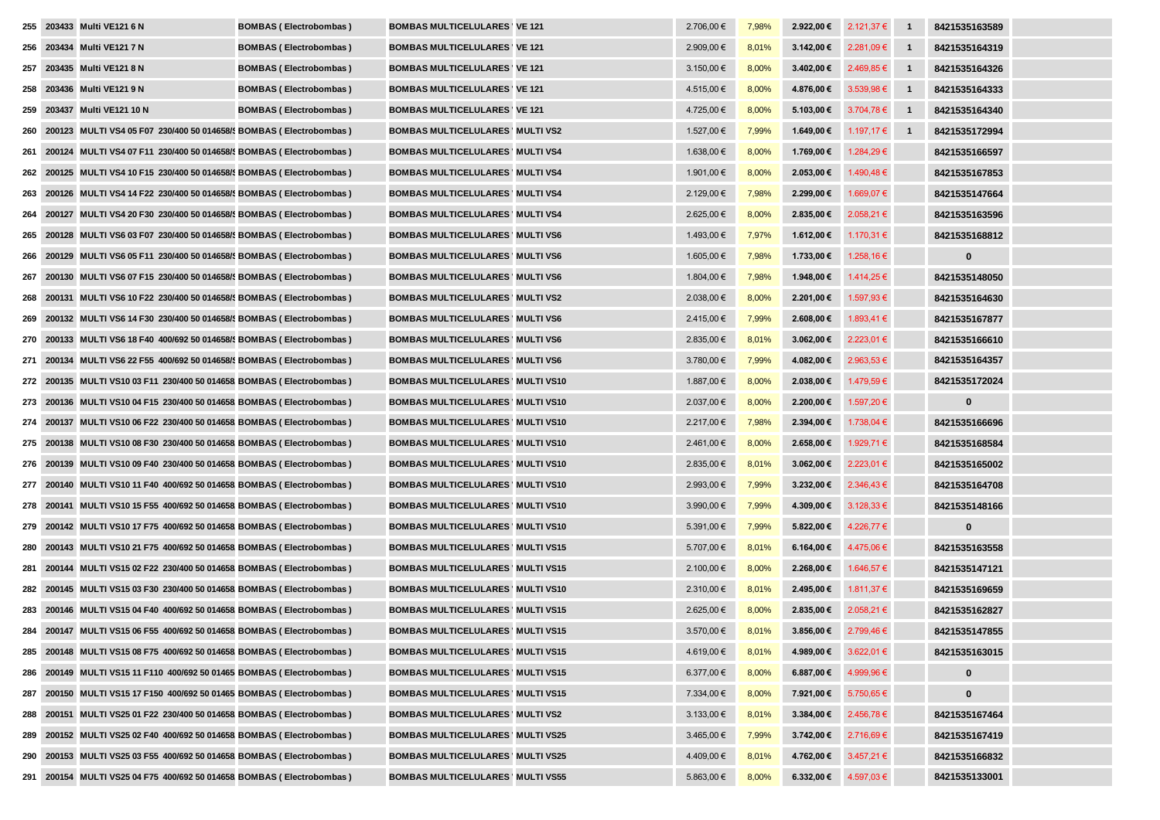|  | 255 203433 Multi VE121 6 N                                              | <b>BOMBAS (Electrobombas)</b> | <b>BOMBAS MULTICELULARES   VE 121</b>     | 2.706,00 €     | 7,98% | 2.922,00 €            | $2.121,37 \in$                 | $\blacksquare$ | 8421535163589 |  |
|--|-------------------------------------------------------------------------|-------------------------------|-------------------------------------------|----------------|-------|-----------------------|--------------------------------|----------------|---------------|--|
|  | 256 203434 Multi VE121 7 N                                              | <b>BOMBAS (Electrobombas)</b> | <b>BOMBAS MULTICELULARES VE 121</b>       | 2.909,00 €     | 8,01% | 3.142,00 €            | 2.281,09 €                     | $\blacksquare$ | 8421535164319 |  |
|  | 257 203435 Multi VE121 8 N                                              | <b>BOMBAS (Electrobombas)</b> | <b>BOMBAS MULTICELULARES   VE 121</b>     | 3.150,00 €     | 8,00% |                       | 3.402,00 € 2.469,85 $\in$      | $\blacksquare$ | 8421535164326 |  |
|  | 258 203436 Multi VE121 9 N                                              | <b>BOMBAS (Electrobombas)</b> | <b>BOMBAS MULTICELULARES   VE 121</b>     | 4.515,00 €     | 8,00% | 4.876,00 €            | $3.539,98 \in$                 | $\blacksquare$ | 8421535164333 |  |
|  | 259 203437 Multi VE121 10 N                                             | <b>BOMBAS (Electrobombas)</b> | <b>BOMBAS MULTICELULARES   VE 121</b>     | 4.725,00 €     | 8,00% |                       | 5.103,00 € 3.704,78 $\epsilon$ | $\blacksquare$ | 8421535164340 |  |
|  | 260 200123 MULTI VS4 05 F07 230/400 50 014658/\$ BOMBAS (Electrobombas) |                               | <b>BOMBAS MULTICELULARES ' MULTI VS2</b>  | 1.527,00 €     | 7,99% | 1.649,00 €            | 1.197,17 €                     | $\blacksquare$ | 8421535172994 |  |
|  | 261 200124 MULTI VS4 07 F11 230/400 50 014658/\$ BOMBAS (Electrobombas) |                               | <b>BOMBAS MULTICELULARES ' MULTI VS4</b>  | 1.638,00 €     | 8,00% | 1.769,00 €            | 1.284,29 €                     |                | 8421535166597 |  |
|  | 262 200125 MULTI VS4 10 F15 230/400 50 014658/\$ BOMBAS (Electrobombas) |                               | <b>BOMBAS MULTICELULARES ' MULTI VS4</b>  | 1.901,00 €     | 8,00% | 2.053,00 €            | 1.490,48 €                     |                | 8421535167853 |  |
|  | 263 200126 MULTI VS4 14 F22 230/400 50 014658/ BOMBAS (Electrobombas)   |                               | <b>BOMBAS MULTICELULARES ' MULTI VS4</b>  | 2.129,00 €     | 7,98% | 2.299,00 €            | 1.669,07 €                     |                | 8421535147664 |  |
|  | 264 200127 MULTI VS4 20 F30 230/400 50 014658/\$ BOMBAS (Electrobombas) |                               | <b>BOMBAS MULTICELULARES MULTI VS4</b>    | 2.625,00 €     | 8,00% | 2.835,00 €            | 2.058,21 €                     |                | 8421535163596 |  |
|  | 265 200128 MULTI VS6 03 F07 230/400 50 014658/\$ BOMBAS (Electrobombas) |                               | <b>BOMBAS MULTICELULARES ' MULTI VS6</b>  | 1.493,00 €     | 7,97% | 1.612,00 €            | 1.170,31 €                     |                | 8421535168812 |  |
|  | 266 200129 MULTI VS6 05 F11 230/400 50 014658/\$ BOMBAS (Electrobombas) |                               | <b>BOMBAS MULTICELULARES ' MULTI VS6</b>  | 1.605,00 €     | 7,98% | 1.733,00 €            | 1.258,16 €                     |                | $\bf{0}$      |  |
|  | 267 200130 MULTI VS6 07 F15 230/400 50 014658/\$ BOMBAS (Electrobombas) |                               | <b>BOMBAS MULTICELULARES   MULTI VS6</b>  | 1.804,00 €     | 7,98% | 1.948,00 €            | 1.414,25 €                     |                | 8421535148050 |  |
|  | 268 200131 MULTI VS6 10 F22 230/400 50 014658/\$ BOMBAS (Electrobombas) |                               | <b>BOMBAS MULTICELULARES ' MULTI VS2</b>  | 2.038,00 €     | 8,00% | 2.201,00 €            | 1.597,93 €                     |                | 8421535164630 |  |
|  | 269 200132 MULTI VS6 14 F30 230/400 50 014658/ BOMBAS (Electrobombas)   |                               | <b>BOMBAS MULTICELULARES   MULTI VS6</b>  | 2.415,00 €     | 7,99% | 2.608,00 €            | 1.893,41 €                     |                | 8421535167877 |  |
|  | 270 200133 MULTI VS6 18 F40 400/692 50 014658/\$ BOMBAS (Electrobombas) |                               | <b>BOMBAS MULTICELULARES ' MULTI VS6</b>  | 2.835,00 €     | 8,01% | 3.062,00 € 2.223,01 € |                                |                | 8421535166610 |  |
|  | 271 200134 MULTI VS6 22 F55 400/692 50 014658/ BOMBAS (Electrobombas)   |                               | <b>BOMBAS MULTICELULARES ' MULTI VS6</b>  | 3.780,00 €     | 7,99% | 4.082,00 €            | 2.963,53 €                     |                | 8421535164357 |  |
|  | 272 200135 MULTI VS10 03 F11 230/400 50 014658 BOMBAS (Electrobombas)   |                               | <b>BOMBAS MULTICELULARES MULTI VS10</b>   | 1.887,00 €     | 8,00% | 2.038,00 €            | 1.479,59 €                     |                | 8421535172024 |  |
|  | 273 200136 MULTI VS10 04 F15 230/400 50 014658 BOMBAS (Electrobombas)   |                               | <b>BOMBAS MULTICELULARES MULTI VS10</b>   | 2.037,00 €     | 8,00% | 2.200,00 €            | 1.597,20 €                     |                | $\bf{0}$      |  |
|  | 274 200137 MULTI VS10 06 F22 230/400 50 014658 BOMBAS (Electrobombas)   |                               | <b>BOMBAS MULTICELULARES MULTI VS10</b>   | 2.217,00 €     | 7,98% | 2.394,00 €            | 1.738,04 €                     |                | 8421535166696 |  |
|  | 275 200138 MULTI VS10 08 F30 230/400 50 014658 BOMBAS (Electrobombas)   |                               | <b>BOMBAS MULTICELULARES MULTI VS10</b>   | 2.461,00 €     | 8,00% | 2.658,00 €            | 1.929,71 €                     |                | 8421535168584 |  |
|  | 276 200139 MULTI VS10 09 F40 230/400 50 014658 BOMBAS (Electrobombas)   |                               | <b>BOMBAS MULTICELULARES MULTI VS10</b>   | 2.835,00 €     | 8,01% | 3.062,00 € 2.223,01 € |                                |                | 8421535165002 |  |
|  | 277 200140 MULTI VS10 11 F40 400/692 50 014658 BOMBAS (Electrobombas)   |                               | <b>BOMBAS MULTICELULARES MULTI VS10</b>   | 2.993,00 €     | 7,99% | 3.232,00 €            | 2.346,43 €                     |                | 8421535164708 |  |
|  | 278 200141 MULTI VS10 15 F55 400/692 50 014658 BOMBAS (Electrobombas)   |                               | <b>BOMBAS MULTICELULARES MULTI VS10</b>   | 3.990,00 €     | 7,99% | 4.309,00 € 3.128,33 € |                                |                | 8421535148166 |  |
|  | 279 200142 MULTI VS10 17 F75 400/692 50 014658 BOMBAS (Electrobombas)   |                               | <b>BOMBAS MULTICELULARES MULTI VS10</b>   | 5.391,00 €     | 7,99% | 5.822,00 €            | 4.226,77 €                     |                | $\bf{0}$      |  |
|  | 280 200143 MULTI VS10 21 F75 400/692 50 014658 BOMBAS (Electrobombas)   |                               | <b>BOMBAS MULTICELULARES MULTI VS15</b>   | 5.707,00 €     | 8,01% | 6.164,00 €            | 4.475,06 €                     |                | 8421535163558 |  |
|  | 281 200144 MULTI VS15 02 F22 230/400 50 014658 BOMBAS (Electrobombas)   |                               | <b>BOMBAS MULTICELULARES MULTI VS15</b>   | 2.100,00 €     | 8,00% | 2.268,00 €            | 1.646,57 €                     |                | 8421535147121 |  |
|  | 282 200145 MULTI VS15 03 F30 230/400 50 014658 BOMBAS (Electrobombas)   |                               | <b>BOMBAS MULTICELULARES MULTI VS10</b>   | 2.310,00 €     | 8,01% | 2.495,00 €            | 1.811,37 €                     |                | 8421535169659 |  |
|  | 283 200146 MULTI VS15 04 F40 400/692 50 014658 BOMBAS (Electrobombas)   |                               | <b>BOMBAS MULTICELULARES MULTI VS15</b>   | 2.625,00 €     | 8,00% | 2.835,00 € 2.058,21 € |                                |                | 8421535162827 |  |
|  | 284 200147 MULTI VS15 06 F55 400/692 50 014658 BOMBAS (Electrobombas)   |                               | <b>BOMBAS MULTICELULARES ' MULTI VS15</b> | 3.570,00 €     | 8,01% | 3.856,00 € 2.799,46 € |                                |                | 8421535147855 |  |
|  | 285 200148 MULTI VS15 08 F75 400/692 50 014658 BOMBAS (Electrobombas)   |                               | <b>BOMBAS MULTICELULARES MULTI VS15</b>   | 4.619,00 €     | 8,01% | 4.989,00 € 3.622,01 € |                                |                | 8421535163015 |  |
|  | 286 200149 MULTI VS15 11 F110 400/692 50 01465 BOMBAS (Electrobombas)   |                               | <b>BOMBAS MULTICELULARES ' MULTI VS15</b> | 6.377,00 €     | 8,00% | 6.887,00 € 4.999,96 € |                                |                | $\bf{0}$      |  |
|  | 287 200150 MULTI VS15 17 F150 400/692 50 01465 BOMBAS (Electrobombas)   |                               | <b>BOMBAS MULTICELULARES MULTI VS15</b>   | 7.334,00 €     | 8,00% | 7.921,00 € 5.750,65 € |                                |                | $\bf{0}$      |  |
|  | 288 200151 MULTI VS25 01 F22 230/400 50 014658 BOMBAS (Electrobombas)   |                               | <b>BOMBAS MULTICELULARES ' MULTI VS2</b>  | $3.133,00 \in$ | 8,01% | 3.384,00 € 2.456,78 € |                                |                | 8421535167464 |  |
|  | 289 200152 MULTI VS25 02 F40 400/692 50 014658 BOMBAS (Electrobombas)   |                               | <b>BOMBAS MULTICELULARES ' MULTI VS25</b> | 3.465,00 €     | 7,99% | 3.742,00 € 2.716,69 € |                                |                | 8421535167419 |  |
|  | 290 200153 MULTI VS25 03 F55 400/692 50 014658 BOMBAS (Electrobombas)   |                               | <b>BOMBAS MULTICELULARES ' MULTI VS25</b> | 4.409,00 €     | 8,01% | 4.762,00 €            | $3.457,21 \in$                 |                | 8421535166832 |  |
|  | 291 200154 MULTI VS25 04 F75 400/692 50 014658 BOMBAS (Electrobombas)   |                               | <b>BOMBAS MULTICELULARES   MULTI VS55</b> | 5.863,00 €     | 8,00% | 6.332,00 € 4.597,03 € |                                |                | 8421535133001 |  |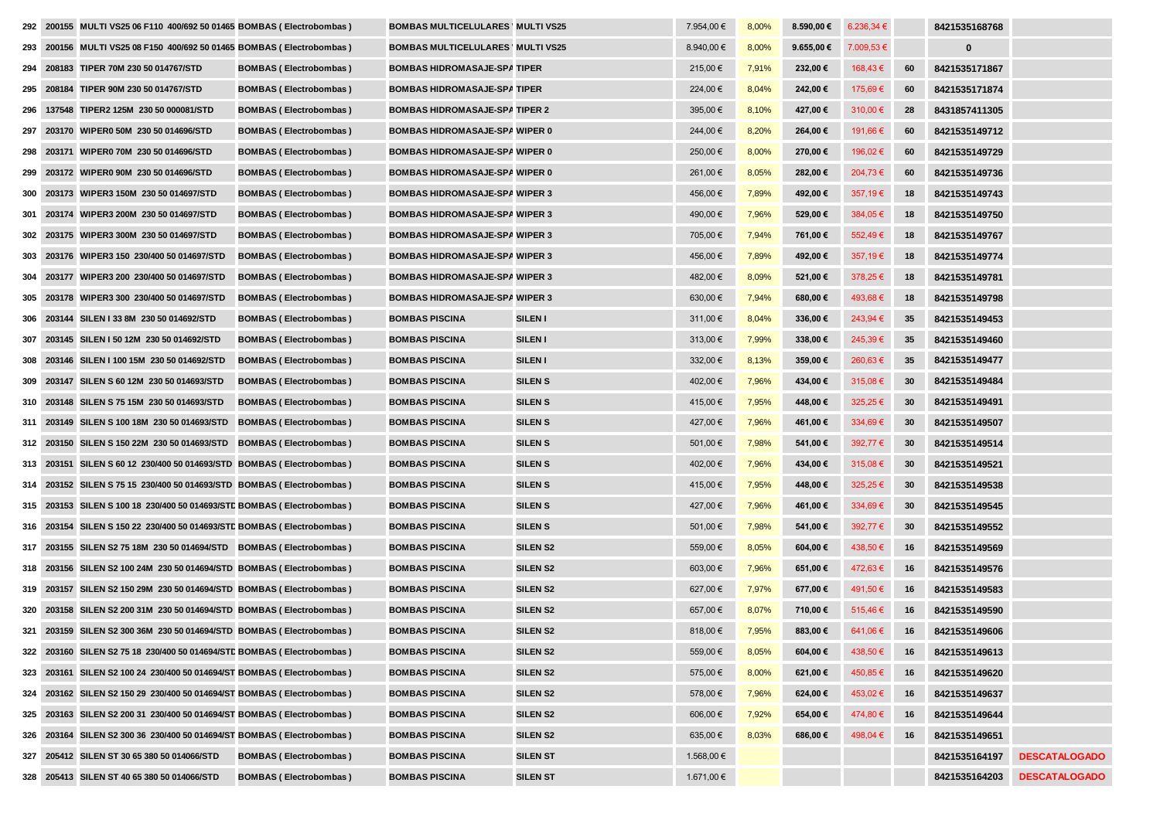|     | 292 200155 MULTI VS25 06 F110 400/692 50 01465 BOMBAS (Electrobombas)  |                               | <b>BOMBAS MULTICELULARES' MULTI VS25</b>  |                     | 7.954,00 € | 8,00% | 8.590,00 € | 6.236,34 € |    | 8421535168768 |                      |
|-----|------------------------------------------------------------------------|-------------------------------|-------------------------------------------|---------------------|------------|-------|------------|------------|----|---------------|----------------------|
|     | 293 200156 MULTI VS25 08 F150 400/692 50 01465 BOMBAS (Electrobombas)  |                               | <b>BOMBAS MULTICELULARES ' MULTI VS25</b> |                     | 8.940,00 € | 8,00% | 9.655,00 € | 7.009,53 € |    | $\bf{0}$      |                      |
|     | 294 208183 TIPER 70M 230 50 014767/STD                                 | <b>BOMBAS (Electrobombas)</b> | <b>BOMBAS HIDROMASAJE-SPA TIPER</b>       |                     | 215,00 €   | 7,91% | 232,00€    | 168,43 €   | 60 | 8421535171867 |                      |
|     | 295 208184 TIPER 90M 230 50 014767/STD                                 | <b>BOMBAS (Electrobombas)</b> | <b>BOMBAS HIDROMASAJE-SPA TIPER</b>       |                     | 224,00 €   | 8,04% | 242,00 €   | 175,69€    | 60 | 8421535171874 |                      |
|     | 296 137548 TIPER2 125M 230 50 000081/STD                               | <b>BOMBAS (Electrobombas)</b> | <b>BOMBAS HIDROMASAJE-SPA TIPER 2</b>     |                     | 395,00€    | 8,10% | 427,00 €   | 310,00 €   | 28 | 8431857411305 |                      |
| 297 | 203170 WIPER0 50M 230 50 014696/STD                                    | <b>BOMBAS (Electrobombas)</b> | <b>BOMBAS HIDROMASAJE-SPA WIPER 0</b>     |                     | 244,00 €   | 8,20% | 264,00€    | 191,66 €   | 60 | 8421535149712 |                      |
|     | 298 203171 WIPER0 70M 230 50 014696/STD                                | <b>BOMBAS (Electrobombas)</b> | <b>BOMBAS HIDROMASAJE-SPA WIPER 0</b>     |                     | 250,00 €   | 8,00% | 270,00€    | 196,02 €   | 60 | 8421535149729 |                      |
|     | 299 203172 WIPER0 90M 230 50 014696/STD                                | <b>BOMBAS (Electrobombas)</b> | <b>BOMBAS HIDROMASAJE-SPA WIPER 0</b>     |                     | 261,00 €   | 8,05% | 282,00 €   | 204,73 €   | 60 | 8421535149736 |                      |
|     | 300 203173 WIPER3 150M 230 50 014697/STD                               | <b>BOMBAS (Electrobombas)</b> | <b>BOMBAS HIDROMASAJE-SPA WIPER 3</b>     |                     | 456,00 €   | 7,89% | 492,00 €   | 357,19€    | 18 | 8421535149743 |                      |
| 301 | 203174 WIPER3 200M 230 50 014697/STD                                   | <b>BOMBAS (Electrobombas)</b> | <b>BOMBAS HIDROMASAJE-SPA WIPER 3</b>     |                     | 490,00 €   | 7,96% | 529,00€    | 384,05€    | 18 | 8421535149750 |                      |
|     | 302 203175 WIPER3 300M 230 50 014697/STD                               | <b>BOMBAS (Electrobombas)</b> | <b>BOMBAS HIDROMASAJE-SPA WIPER 3</b>     |                     | 705,00 €   | 7,94% | 761,00 €   | 552,49€    | 18 | 8421535149767 |                      |
|     | 303 203176 WIPER3 150 230/400 50 014697/STD                            | <b>BOMBAS (Electrobombas)</b> | <b>BOMBAS HIDROMASAJE-SPA WIPER 3</b>     |                     | 456,00 €   | 7,89% | 492,00 €   | 357,19€    | 18 | 8421535149774 |                      |
|     | 304 203177 WIPER3 200 230/400 50 014697/STD                            | <b>BOMBAS (Electrobombas)</b> | <b>BOMBAS HIDROMASAJE-SPA WIPER 3</b>     |                     | 482,00 €   | 8,09% | 521,00€    | 378,25 €   | 18 | 8421535149781 |                      |
| 305 | 203178 WIPER3 300 230/400 50 014697/STD                                | <b>BOMBAS (Electrobombas)</b> | <b>BOMBAS HIDROMASAJE-SPA WIPER 3</b>     |                     | 630,00 €   | 7,94% | 680,00€    | 493,68€    | 18 | 8421535149798 |                      |
|     | 306 203144 SILEN I 33 8M 230 50 014692/STD                             | <b>BOMBAS (Electrobombas)</b> | <b>BOMBAS PISCINA</b>                     | <b>SILEN I</b>      | 311,00 €   | 8,04% | 336,00€    | 243,94 €   | 35 | 8421535149453 |                      |
|     | 307 203145 SILEN I 50 12M 230 50 014692/STD                            | <b>BOMBAS (Electrobombas)</b> | <b>BOMBAS PISCINA</b>                     | <b>SILEN I</b>      | 313,00 €   | 7,99% | 338,00€    | 245,39€    | 35 | 8421535149460 |                      |
|     | 308 203146 SILEN I 100 15M 230 50 014692/STD                           | <b>BOMBAS (Electrobombas)</b> | <b>BOMBAS PISCINA</b>                     | <b>SILEN I</b>      | 332,00 €   | 8,13% | 359,00€    | 260,63 €   | 35 | 8421535149477 |                      |
|     | 309 203147 SILEN S 60 12M 230 50 014693/STD                            | <b>BOMBAS (Electrobombas)</b> | <b>BOMBAS PISCINA</b>                     | <b>SILEN S</b>      | 402,00 €   | 7,96% | 434,00 €   | 315,08€    | 30 | 8421535149484 |                      |
|     | 310 203148 SILEN S 75 15M 230 50 014693/STD                            | <b>BOMBAS (Electrobombas)</b> | <b>BOMBAS PISCINA</b>                     | <b>SILEN S</b>      | 415,00 €   | 7,95% | 448,00 €   | 325,25€    | 30 | 8421535149491 |                      |
|     | 311 203149 SILEN S 100 18M 230 50 014693/STD                           | <b>BOMBAS (Electrobombas)</b> | <b>BOMBAS PISCINA</b>                     | <b>SILEN S</b>      | 427,00 €   | 7,96% | 461,00 €   | 334,69€    | 30 | 8421535149507 |                      |
|     | 312 203150 SILEN S 150 22M 230 50 014693/STD                           | <b>BOMBAS (Electrobombas)</b> | <b>BOMBAS PISCINA</b>                     | <b>SILEN S</b>      | 501,00 €   | 7,98% | 541,00 €   | 392,77 €   | 30 | 8421535149514 |                      |
|     | 313 203151 SILEN S 60 12 230/400 50 014693/STD BOMBAS (Electrobombas)  |                               | <b>BOMBAS PISCINA</b>                     | <b>SILEN S</b>      | 402,00 €   | 7,96% | 434,00 €   | 315,08€    | 30 | 8421535149521 |                      |
|     | 314 203152 SILEN S 75 15 230/400 50 014693/STD BOMBAS (Electrobombas)  |                               | <b>BOMBAS PISCINA</b>                     | <b>SILEN S</b>      | 415,00 €   | 7,95% | 448,00 €   | 325,25 €   | 30 | 8421535149538 |                      |
|     | 315 203153 SILEN S 100 18 230/400 50 014693/STE BOMBAS (Electrobombas) |                               | <b>BOMBAS PISCINA</b>                     | <b>SILEN S</b>      | 427,00 €   | 7,96% | 461,00 €   | 334,69€    | 30 | 8421535149545 |                      |
|     | 316 203154 SILEN S 150 22 230/400 50 014693/STE BOMBAS (Electrobombas) |                               | <b>BOMBAS PISCINA</b>                     | <b>SILEN S</b>      | 501,00 €   | 7,98% | 541,00 €   | 392,77 €   | 30 | 8421535149552 |                      |
|     | 317 203155 SILEN S2 75 18M 230 50 014694/STD BOMBAS (Electrobombas)    |                               | <b>BOMBAS PISCINA</b>                     | <b>SILEN S2</b>     | 559,00 €   | 8,05% | 604,00€    | 438,50 €   | 16 | 8421535149569 |                      |
|     | 318 203156 SILEN S2 100 24M 230 50 014694/STD BOMBAS (Electrobombas)   |                               | <b>BOMBAS PISCINA</b>                     | <b>SILEN S2</b>     | 603,00€    | 7,96% | 651,00€    | 472,63 €   | 16 | 8421535149576 |                      |
|     | 319 203157 SILEN S2 150 29M 230 50 014694/STD BOMBAS (Electrobombas)   |                               | <b>BOMBAS PISCINA</b>                     | <b>SILEN S2</b>     | 627,00 €   | 7,97% | 677,00€    | 491,50 €   | 16 | 8421535149583 |                      |
|     | 320 203158 SILEN S2 200 31M 230 50 014694/STD BOMBAS (Electrobombas)   |                               | <b>BOMBAS PISCINA</b>                     | <b>SILEN S2</b>     | 657,00 €   | 8,07% | 710,00€    | 515,46€    | 16 | 8421535149590 |                      |
|     | 321 203159 SILEN S2 300 36M 230 50 014694/STD BOMBAS (Electrobombas)   |                               | <b>BOMBAS PISCINA</b>                     | SILEN <sub>S2</sub> | 818,00 €   | 7,95% | 883,00€    | 641,06 €   | 16 | 8421535149606 |                      |
|     | 322 203160 SILEN S2 75 18 230/400 50 014694/STE BOMBAS (Electrobombas) |                               | <b>BOMBAS PISCINA</b>                     | <b>SILEN S2</b>     | 559,00 €   | 8,05% | 604,00€    | 438,50 €   | 16 | 8421535149613 |                      |
|     | 323 203161 SILEN S2 100 24 230/400 50 014694/ST BOMBAS (Electrobombas) |                               | <b>BOMBAS PISCINA</b>                     | <b>SILEN S2</b>     | 575,00 €   | 8,00% | 621,00€    | 450,85€    | 16 | 8421535149620 |                      |
|     | 324 203162 SILEN S2 150 29 230/400 50 014694/ST BOMBAS (Electrobombas) |                               | <b>BOMBAS PISCINA</b>                     | <b>SILEN S2</b>     | 578,00 €   | 7,96% | 624,00 €   | 453,02 €   | 16 | 8421535149637 |                      |
|     | 325 203163 SILEN S2 200 31 230/400 50 014694/ST BOMBAS (Electrobombas) |                               | <b>BOMBAS PISCINA</b>                     | <b>SILEN S2</b>     | 606,00 €   | 7,92% | 654,00 €   | 474,80 €   | 16 | 8421535149644 |                      |
|     | 326 203164 SILEN S2 300 36 230/400 50 014694/ST BOMBAS (Electrobombas) |                               | <b>BOMBAS PISCINA</b>                     | <b>SILEN S2</b>     | 635,00 €   | 8,03% | 686,00€    | 498,04 €   | 16 | 8421535149651 |                      |
|     | 327 205412 SILEN ST 30 65 380 50 014066/STD                            | <b>BOMBAS (Electrobombas)</b> | <b>BOMBAS PISCINA</b>                     | <b>SILEN ST</b>     | 1.568,00 € |       |            |            |    | 8421535164197 | <b>DESCATALOGADO</b> |
|     | 328 205413 SILEN ST 40 65 380 50 014066/STD                            | <b>BOMBAS (Electrobombas)</b> | <b>BOMBAS PISCINA</b>                     | <b>SILEN ST</b>     | 1.671,00 € |       |            |            |    | 8421535164203 | <b>DESCATALOGADO</b> |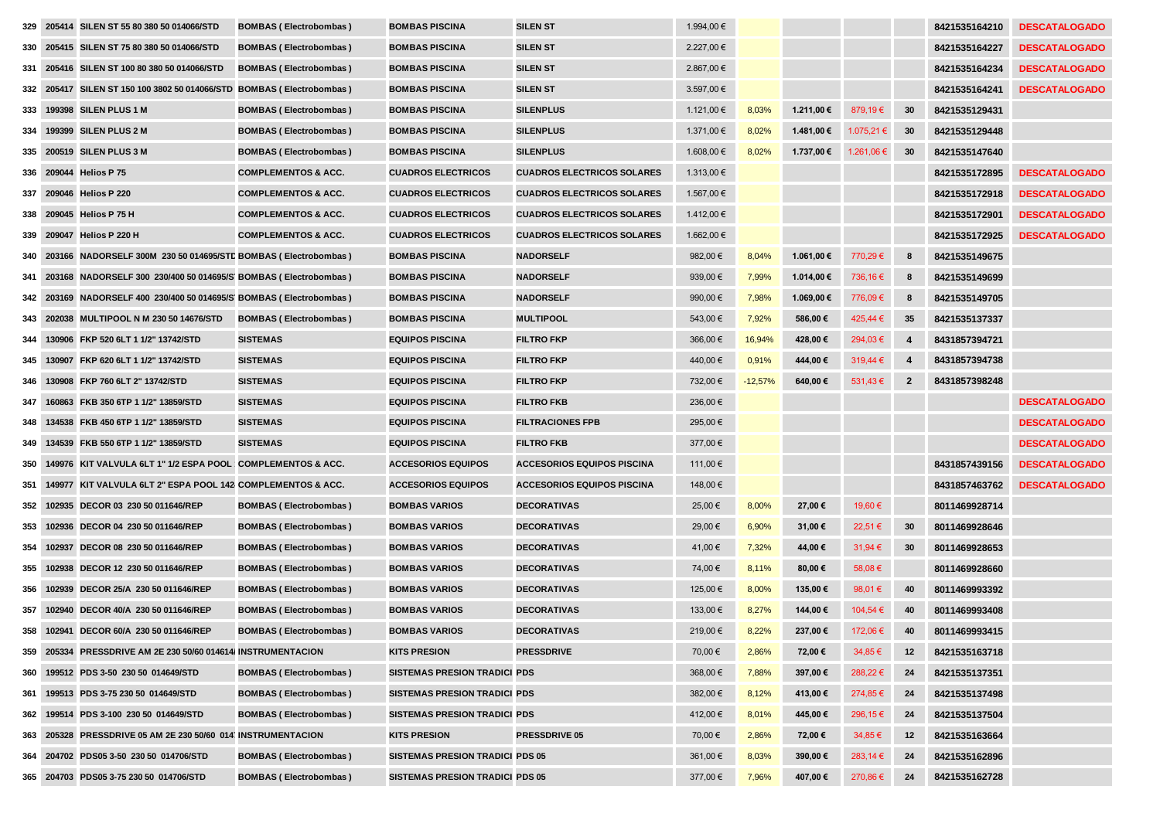| 329 | 205414 SILEN ST 55 80 380 50 014066/STD                               | <b>BOMBAS (Electrobombas)</b>  | <b>BOMBAS PISCINA</b>                  | <b>SILEN ST</b>                   | 1.994,00 € |           |            |            |                | 8421535164210 | <b>DESCATALOGADO</b> |
|-----|-----------------------------------------------------------------------|--------------------------------|----------------------------------------|-----------------------------------|------------|-----------|------------|------------|----------------|---------------|----------------------|
|     | 330 205415 SILEN ST 75 80 380 50 014066/STD                           | <b>BOMBAS (Electrobombas)</b>  | <b>BOMBAS PISCINA</b>                  | <b>SILEN ST</b>                   | 2.227,00 € |           |            |            |                | 8421535164227 | <b>DESCATALOGADO</b> |
| 331 | 205416 SILEN ST 100 80 380 50 014066/STD                              | <b>BOMBAS (Electrobombas)</b>  | <b>BOMBAS PISCINA</b>                  | <b>SILEN ST</b>                   | 2.867,00 € |           |            |            |                | 8421535164234 | <b>DESCATALOGADO</b> |
|     | 332 205417 SILEN ST 150 100 3802 50 014066/STD BOMBAS (Electrobombas) |                                | <b>BOMBAS PISCINA</b>                  | <b>SILEN ST</b>                   | 3.597,00 € |           |            |            |                | 8421535164241 | <b>DESCATALOGADO</b> |
| 333 | 199398 SILEN PLUS 1 M                                                 | <b>BOMBAS (Electrobombas)</b>  | <b>BOMBAS PISCINA</b>                  | <b>SILENPLUS</b>                  | 1.121,00 € | 8,03%     | 1.211,00 € | 879,19€    | 30             | 8421535129431 |                      |
| 334 | 199399 SILEN PLUS 2 M                                                 | <b>BOMBAS (Electrobombas)</b>  | <b>BOMBAS PISCINA</b>                  | <b>SILENPLUS</b>                  | 1.371,00 € | 8,02%     | 1.481,00 € | 1.075,21 € | 30             | 8421535129448 |                      |
|     | 335 200519 SILEN PLUS 3 M                                             | <b>BOMBAS (Electrobombas)</b>  | <b>BOMBAS PISCINA</b>                  | <b>SILENPLUS</b>                  | 1.608,00 € | 8,02%     | 1.737,00 € | 1.261,06 € | 30             | 8421535147640 |                      |
|     | 336 209044 Helios P 75                                                | <b>COMPLEMENTOS &amp; ACC.</b> | <b>CUADROS ELECTRICOS</b>              | <b>CUADROS ELECTRICOS SOLARES</b> | 1.313,00 € |           |            |            |                | 8421535172895 | <b>DESCATALOGADO</b> |
|     | 337 209046 Helios P 220                                               | <b>COMPLEMENTOS &amp; ACC.</b> | <b>CUADROS ELECTRICOS</b>              | <b>CUADROS ELECTRICOS SOLARES</b> | 1.567,00 € |           |            |            |                | 8421535172918 | <b>DESCATALOGADO</b> |
|     | 338 209045 Helios P 75 H                                              | <b>COMPLEMENTOS &amp; ACC.</b> | <b>CUADROS ELECTRICOS</b>              | <b>CUADROS ELECTRICOS SOLARES</b> | 1.412,00 € |           |            |            |                | 8421535172901 | <b>DESCATALOGADO</b> |
|     | 339 209047 Helios P 220 H                                             | <b>COMPLEMENTOS &amp; ACC.</b> | <b>CUADROS ELECTRICOS</b>              | <b>CUADROS ELECTRICOS SOLARES</b> | 1.662,00 € |           |            |            |                | 8421535172925 | <b>DESCATALOGADO</b> |
|     | 340 203166 NADORSELF 300M 230 50 014695/STL BOMBAS (Electrobombas)    |                                | <b>BOMBAS PISCINA</b>                  | <b>NADORSELF</b>                  | 982,00 €   | 8,04%     | 1.061,00 € | 770,29 €   | 8              | 8421535149675 |                      |
|     | 341 203168 NADORSELF 300 230/400 50 014695/S BOMBAS (Electrobombas)   |                                | <b>BOMBAS PISCINA</b>                  | <b>NADORSELF</b>                  | 939,00€    | 7,99%     | 1.014,00 € | 736,16€    | 8              | 8421535149699 |                      |
|     | 342 203169 NADORSELF 400 230/400 50 014695/S BOMBAS (Electrobombas)   |                                | <b>BOMBAS PISCINA</b>                  | <b>NADORSELF</b>                  | 990,00€    | 7,98%     | 1.069,00 € | 776,09€    | 8              | 8421535149705 |                      |
|     | 343 202038 MULTIPOOL N M 230 50 14676/STD                             | <b>BOMBAS (Electrobombas)</b>  | <b>BOMBAS PISCINA</b>                  | <b>MULTIPOOL</b>                  | 543,00 €   | 7,92%     | 586,00€    | 425,44 €   | 35             | 8421535137337 |                      |
| 344 | 130906 FKP 520 6LT 1 1/2" 13742/STD                                   | <b>SISTEMAS</b>                | <b>EQUIPOS PISCINA</b>                 | <b>FILTRO FKP</b>                 | 366,00€    | 16,94%    | 428,00€    | 294,03 €   | $\overline{4}$ | 8431857394721 |                      |
|     | 345 130907 FKP 620 6LT 1 1/2" 13742/STD                               | <b>SISTEMAS</b>                | <b>EQUIPOS PISCINA</b>                 | <b>FILTRO FKP</b>                 | 440,00 €   | 0,91%     | 444,00 €   | 319,44 €   | 4              | 8431857394738 |                      |
| 346 | 130908 FKP 760 6LT 2" 13742/STD                                       | <b>SISTEMAS</b>                | <b>EQUIPOS PISCINA</b>                 | <b>FILTRO FKP</b>                 | 732,00 €   | $-12,57%$ | 640,00 €   | 531,43 €   | $\overline{2}$ | 8431857398248 |                      |
|     | 347 160863 FKB 350 6TP 1 1/2" 13859/STD                               | <b>SISTEMAS</b>                | <b>EQUIPOS PISCINA</b>                 | <b>FILTRO FKB</b>                 | 236,00€    |           |            |            |                |               | <b>DESCATALOGADO</b> |
| 348 | 134538 FKB 450 6TP 1 1/2" 13859/STD                                   | <b>SISTEMAS</b>                | <b>EQUIPOS PISCINA</b>                 | <b>FILTRACIONES FPB</b>           | 295,00 €   |           |            |            |                |               | <b>DESCATALOGADO</b> |
|     | 349 134539 FKB 550 6TP 1 1/2" 13859/STD                               | <b>SISTEMAS</b>                | <b>EQUIPOS PISCINA</b>                 | <b>FILTRO FKB</b>                 | 377,00 €   |           |            |            |                |               | <b>DESCATALOGADO</b> |
| 350 | 149976 KIT VALVULA 6LT 1" 1/2 ESPA POOL COMPLEMENTOS & ACC.           |                                | <b>ACCESORIOS EQUIPOS</b>              | <b>ACCESORIOS EQUIPOS PISCINA</b> | 111,00 €   |           |            |            |                | 8431857439156 | <b>DESCATALOGADO</b> |
| 351 | 149977 KIT VALVULA 6LT 2" ESPA POOL 142 COMPLEMENTOS & ACC.           |                                | <b>ACCESORIOS EQUIPOS</b>              | <b>ACCESORIOS EQUIPOS PISCINA</b> | 148,00 €   |           |            |            |                | 8431857463762 | <b>DESCATALOGADO</b> |
| 352 | 102935 DECOR 03 230 50 011646/REP                                     | <b>BOMBAS (Electrobombas)</b>  | <b>BOMBAS VARIOS</b>                   | DECORATIVAS                       | 25,00€     | 8,00%     | 27,00€     | 19,60 €    |                | 8011469928714 |                      |
|     | 353 102936 DECOR 04 230 50 011646/REP                                 | <b>BOMBAS (Electrobombas)</b>  | <b>BOMBAS VARIOS</b>                   | <b>DECORATIVAS</b>                | 29,00€     | 6,90%     | 31,00€     | 22,51 €    | 30             | 8011469928646 |                      |
| 354 | 102937 DECOR 08 230 50 011646/REP                                     | <b>BOMBAS (Electrobombas)</b>  | <b>BOMBAS VARIOS</b>                   | DECORATIVAS                       | 41,00 €    | 7,32%     | 44,00 €    | 31,94 €    | 30             | 8011469928653 |                      |
| 355 | 102938 DECOR 12 230 50 011646/REP                                     | <b>BOMBAS (Electrobombas)</b>  | <b>BOMBAS VARIOS</b>                   | <b>DECORATIVAS</b>                | 74,00€     | 8,11%     | 80,00€     | 58,08€     |                | 8011469928660 |                      |
| 356 | 102939 DECOR 25/A 230 50 011646/REP                                   | <b>BOMBAS (Electrobombas)</b>  | <b>BOMBAS VARIOS</b>                   | DECORATIVAS                       | 125,00€    | 8,00%     | 135,00€    | 98,01 €    | 40             | 8011469993392 |                      |
| 357 | 102940 DECOR 40/A 230 50 011646/REP                                   | <b>BOMBAS (Electrobombas)</b>  | <b>BOMBAS VARIOS</b>                   | <b>DECORATIVAS</b>                | 133,00 €   | 8,27%     | 144,00 €   | 104,54 €   | 40             | 8011469993408 |                      |
|     | 358 102941 DECOR 60/A 230 50 011646/REP                               | <b>BOMBAS (Electrobombas)</b>  | <b>BOMBAS VARIOS</b>                   | <b>DECORATIVAS</b>                | 219,00 €   | 8,22%     | 237,00 €   | 172,06 €   | 40             | 8011469993415 |                      |
|     | 359 205334 PRESSDRIVE AM 2E 230 50/60 014614/ INSTRUMENTACION         |                                | <b>KITS PRESION</b>                    | <b>PRESSDRIVE</b>                 | 70,00 €    | 2,86%     | 72,00€     | 34,85€     | 12             | 8421535163718 |                      |
| 360 | 199512 PDS 3-50 230 50 014649/STD                                     | <b>BOMBAS (Electrobombas)</b>  | <b>SISTEMAS PRESION TRADICI PDS</b>    |                                   | 368,00 €   | 7,88%     | 397,00€    | 288,22 €   | 24             | 8421535137351 |                      |
| 361 | 199513 PDS 3-75 230 50 014649/STD                                     | <b>BOMBAS (Electrobombas)</b>  | <b>SISTEMAS PRESION TRADICI PDS</b>    |                                   | 382,00 €   | 8,12%     | 413,00 €   | 274,85€    | 24             | 8421535137498 |                      |
|     | 362 199514 PDS 3-100 230 50 014649/STD                                | <b>BOMBAS (Electrobombas)</b>  | <b>SISTEMAS PRESION TRADICI PDS</b>    |                                   | 412,00 €   | 8,01%     | 445,00 €   | 296,15€    | 24             | 8421535137504 |                      |
|     | 363 205328 PRESSDRIVE 05 AM 2E 230 50/60 014 INSTRUMENTACION          |                                | <b>KITS PRESION</b>                    | <b>PRESSDRIVE 05</b>              | 70,00€     | 2,86%     | 72,00 €    | 34,85€     | 12             | 8421535163664 |                      |
|     | 364 204702 PDS05 3-50 230 50 014706/STD                               | <b>BOMBAS (Electrobombas)</b>  | <b>SISTEMAS PRESION TRADICI PDS 05</b> |                                   | 361,00 €   | 8,03%     | 390,00€    | 283,14 €   | 24             | 8421535162896 |                      |
|     | 365 204703 PDS05 3-75 230 50 014706/STD                               | <b>BOMBAS (Electrobombas)</b>  | SISTEMAS PRESION TRADICI PDS 05        |                                   | 377,00 €   | 7,96%     | 407,00 €   | 270,86 €   | 24             | 8421535162728 |                      |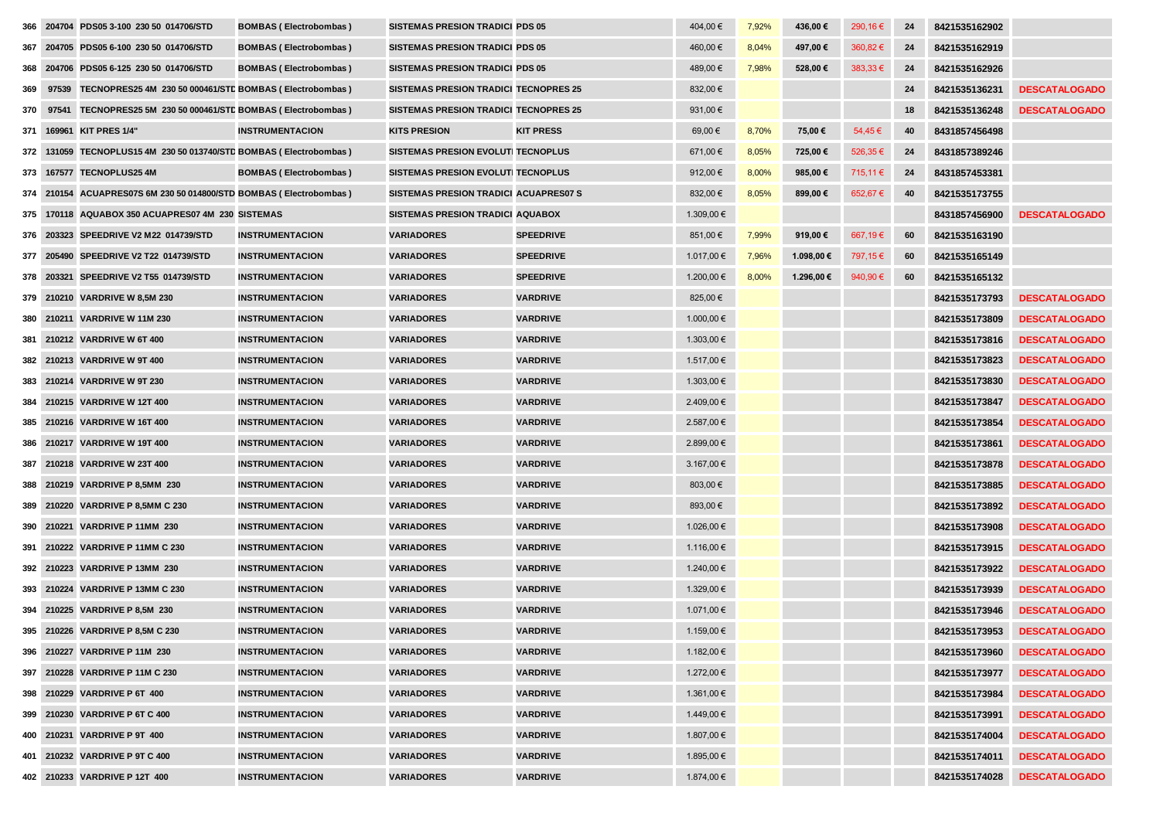|     |       | 366 204704 PDS05 3-100 230 50 014706/STD                           | BOMBAS (Electrobombas)        | <b>SISTEMAS PRESION TRADICI PDS 05</b>       |                  | 404,00 €       | 7,92% | 436,00€    | 290,16 € | 24 | 8421535162902 |                      |
|-----|-------|--------------------------------------------------------------------|-------------------------------|----------------------------------------------|------------------|----------------|-------|------------|----------|----|---------------|----------------------|
|     |       | 367 204705 PDS05 6-100 230 50 014706/STD                           | <b>BOMBAS (Electrobombas)</b> | <b>SISTEMAS PRESION TRADICI PDS 05</b>       |                  | 460,00 €       | 8,04% | 497,00 €   | 360,82 € | 24 | 8421535162919 |                      |
|     |       | 368 204706 PDS05 6-125 230 50 014706/STD                           | <b>BOMBAS (Electrobombas)</b> | <b>SISTEMAS PRESION TRADICI PDS 05</b>       |                  | 489,00 €       | 7,98% | 528,00 €   | 383,33 € | 24 | 8421535162926 |                      |
| 369 | 97539 | TECNOPRES25 4M 230 50 000461/STE BOMBAS (Electrobombas)            |                               | <b>SISTEMAS PRESION TRADICI TECNOPRES 25</b> |                  | 832,00 €       |       |            |          | 24 | 8421535136231 | <b>DESCATALOGADO</b> |
|     |       | 370 97541 TECNOPRES25 5M 230 50 000461/STE BOMBAS (Electrobombas)  |                               | <b>SISTEMAS PRESION TRADICI TECNOPRES 25</b> |                  | 931,00 €       |       |            |          | 18 | 8421535136248 | <b>DESCATALOGADO</b> |
|     |       | 371 169961 KIT PRES 1/4"                                           | <b>INSTRUMENTACION</b>        | <b>KITS PRESION</b>                          | <b>KIT PRESS</b> | 69,00€         | 8,70% | 75,00 €    | 54,45€   | 40 | 8431857456498 |                      |
|     |       | 372 131059 TECNOPLUS15 4M 230 50 013740/STE BOMBAS (Electrobombas) |                               | SISTEMAS PRESION EVOLUTI TECNOPLUS           |                  | 671,00 €       | 8,05% | 725,00 €   | 526,35 € | 24 | 8431857389246 |                      |
|     |       | 373 167577 TECNOPLUS25 4M                                          | <b>BOMBAS (Electrobombas)</b> | SISTEMAS PRESION EVOLUTI TECNOPLUS           |                  | 912,00 €       | 8,00% | 985,00€    | 715,11 € | 24 | 8431857453381 |                      |
|     |       | 374 210154 ACUAPRES07S 6M 230 50 014800/STD BOMBAS (Electrobombas) |                               | SISTEMAS PRESION TRADICI ACUAPRES07 S        |                  | 832,00 €       | 8,05% | 899,00€    | 652,67 € | 40 | 8421535173755 |                      |
|     |       | 375 170118 AQUABOX 350 ACUAPRES07 4M 230 SISTEMAS                  |                               | <b>SISTEMAS PRESION TRADICI AQUABOX</b>      |                  | 1.309,00 €     |       |            |          |    | 8431857456900 | <b>DESCATALOGADO</b> |
|     |       | 376 203323 SPEEDRIVE V2 M22 014739/STD                             | <b>INSTRUMENTACION</b>        | <b>VARIADORES</b>                            | <b>SPEEDRIVE</b> | 851,00 €       | 7,99% | 919,00€    | 667,19€  | 60 | 8421535163190 |                      |
|     |       | 377 205490 SPEEDRIVE V2 T22 014739/STD                             | <b>INSTRUMENTACION</b>        | VARIADORES                                   | <b>SPEEDRIVE</b> | 1.017,00 €     | 7,96% | 1.098,00 € | 797,15 € | 60 | 8421535165149 |                      |
|     |       | 378 203321 SPEEDRIVE V2 T55 014739/STD                             | <b>INSTRUMENTACION</b>        | VARIADORES                                   | <b>SPEEDRIVE</b> | 1.200,00 €     | 8,00% | 1.296,00 € | 940,90 € | 60 | 8421535165132 |                      |
|     |       | 379 210210 VARDRIVE W 8,5M 230                                     | <b>INSTRUMENTACION</b>        | VARIADORES                                   | <b>VARDRIVE</b>  | 825,00 €       |       |            |          |    | 8421535173793 | <b>DESCATALOGADO</b> |
|     |       | 380 210211 VARDRIVE W 11M 230                                      | <b>INSTRUMENTACION</b>        | VARIADORES                                   | <b>VARDRIVE</b>  | 1.000,00 €     |       |            |          |    | 8421535173809 | <b>DESCATALOGADO</b> |
|     |       | 381 210212 VARDRIVE W 6T 400                                       | <b>INSTRUMENTACION</b>        | <b>VARIADORES</b>                            | <b>VARDRIVE</b>  | 1.303,00 €     |       |            |          |    | 8421535173816 | <b>DESCATALOGADO</b> |
|     |       | 382 210213 VARDRIVE W 9T 400                                       | <b>INSTRUMENTACION</b>        | <b>VARIADORES</b>                            | <b>VARDRIVE</b>  | 1.517,00 €     |       |            |          |    | 8421535173823 | <b>DESCATALOGADO</b> |
|     |       | 383 210214 VARDRIVE W 9T 230                                       | <b>INSTRUMENTACION</b>        | VARIADORES                                   | <b>VARDRIVE</b>  | 1.303,00 €     |       |            |          |    | 8421535173830 | <b>DESCATALOGADO</b> |
|     |       | 384 210215 VARDRIVE W 12T 400                                      | <b>INSTRUMENTACION</b>        | <b>VARIADORES</b>                            | <b>VARDRIVE</b>  | 2.409,00 €     |       |            |          |    | 8421535173847 | <b>DESCATALOGADO</b> |
|     |       | 385 210216 VARDRIVE W 16T 400                                      | <b>INSTRUMENTACION</b>        | VARIADORES                                   | VARDRIVE         | 2.587,00 €     |       |            |          |    | 8421535173854 | <b>DESCATALOGADO</b> |
|     |       | 386 210217 VARDRIVE W 19T 400                                      | <b>INSTRUMENTACION</b>        | <b>VARIADORES</b>                            | <b>VARDRIVE</b>  | 2.899,00 €     |       |            |          |    | 8421535173861 | <b>DESCATALOGADO</b> |
|     |       | 387 210218 VARDRIVE W 23T 400                                      | <b>INSTRUMENTACION</b>        | VARIADORES                                   | <b>VARDRIVE</b>  | $3.167,00 \in$ |       |            |          |    | 8421535173878 | <b>DESCATALOGADO</b> |
|     |       | 388 210219 VARDRIVE P 8,5MM 230                                    | <b>INSTRUMENTACION</b>        | VARIADORES                                   | <b>VARDRIVE</b>  | 803,00 €       |       |            |          |    | 8421535173885 | <b>DESCATALOGADO</b> |
|     |       | 389 210220 VARDRIVE P 8,5MM C 230                                  | <b>INSTRUMENTACION</b>        | VARIADORES                                   | <b>VARDRIVE</b>  | 893,00 €       |       |            |          |    | 8421535173892 | <b>DESCATALOGADO</b> |
|     |       | 390 210221 VARDRIVE P 11MM 230                                     | <b>INSTRUMENTACION</b>        | VARIADORES                                   | <b>VARDRIVE</b>  | 1.026,00 €     |       |            |          |    | 8421535173908 | <b>DESCATALOGADO</b> |
|     |       | 391 210222 VARDRIVE P 11MM C 230                                   | <b>INSTRUMENTACION</b>        | VARIADORES                                   | <b>VARDRIVE</b>  | 1.116,00 €     |       |            |          |    | 8421535173915 | <b>DESCATALOGADO</b> |
|     |       | 392 210223 VARDRIVE P 13MM 230                                     | <b>INSTRUMENTACION</b>        | <b>VARIADORES</b>                            | <b>VARDRIVE</b>  | 1.240,00 €     |       |            |          |    | 8421535173922 | <b>DESCATALOGADO</b> |
|     |       | 393 210224 VARDRIVE P 13MM C 230                                   | <b>INSTRUMENTACION</b>        | VARIADORES                                   | <b>VARDRIVE</b>  | 1.329,00 €     |       |            |          |    | 8421535173939 | <b>DESCATALOGADO</b> |
|     |       | 394 210225 VARDRIVE P 8,5M 230                                     | <b>INSTRUMENTACION</b>        | <b>VARIADORES</b>                            | <b>VARDRIVE</b>  | 1.071,00 €     |       |            |          |    | 8421535173946 | <b>DESCATALOGADO</b> |
|     |       | 395 210226 VARDRIVE P 8,5M C 230                                   | <b>INSTRUMENTACION</b>        | <b>VARIADORES</b>                            | <b>VARDRIVE</b>  | 1.159,00 €     |       |            |          |    | 8421535173953 | <b>DESCATALOGADO</b> |
|     |       | 396 210227 VARDRIVE P 11M 230                                      | <b>INSTRUMENTACION</b>        | VARIADORES                                   | <b>VARDRIVE</b>  | 1.182,00 €     |       |            |          |    | 8421535173960 | <b>DESCATALOGADO</b> |
|     |       | 397 210228 VARDRIVE P 11M C 230                                    | <b>INSTRUMENTACION</b>        | VARIADORES                                   | <b>VARDRIVE</b>  | 1.272,00 €     |       |            |          |    | 8421535173977 | <b>DESCATALOGADO</b> |
|     |       | 398 210229 VARDRIVE P 6T 400                                       | <b>INSTRUMENTACION</b>        | <b>VARIADORES</b>                            | <b>VARDRIVE</b>  | 1.361,00 €     |       |            |          |    | 8421535173984 | <b>DESCATALOGADO</b> |
|     |       | 399 210230 VARDRIVE P 6T C 400                                     | <b>INSTRUMENTACION</b>        | VARIADORES                                   | <b>VARDRIVE</b>  | 1.449,00 €     |       |            |          |    | 8421535173991 | <b>DESCATALOGADO</b> |
|     |       | 400 210231 VARDRIVE P 9T 400                                       | <b>INSTRUMENTACION</b>        | <b>VARIADORES</b>                            | <b>VARDRIVE</b>  | 1.807,00 €     |       |            |          |    | 8421535174004 | <b>DESCATALOGADO</b> |
|     |       | 401 210232 VARDRIVE P 9T C 400                                     | <b>INSTRUMENTACION</b>        | <b>VARIADORES</b>                            | <b>VARDRIVE</b>  | 1.895,00 €     |       |            |          |    | 8421535174011 | <b>DESCATALOGADO</b> |
|     |       | 402 210233 VARDRIVE P 12T 400                                      | <b>INSTRUMENTACION</b>        | <b>VARIADORES</b>                            | <b>VARDRIVE</b>  | 1.874,00 €     |       |            |          |    | 8421535174028 | <b>DESCATALOGADO</b> |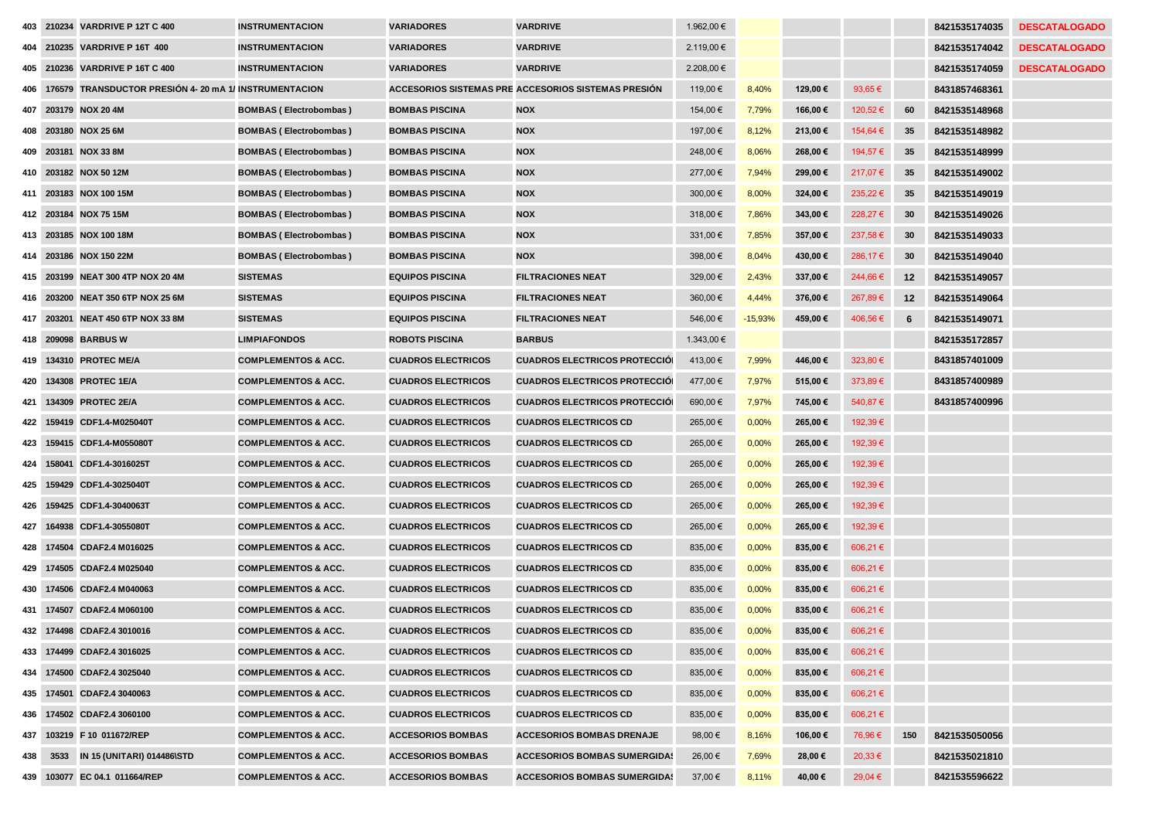|     | 403 210234 VARDRIVE P 12T C 400                            | <b>INSTRUMENTACION</b>         | VARIADORES                | VARDRIVE                                            | 1.962,00 € |           |          |              |      | 8421535174035 | <b>DESCATALOGADO</b> |
|-----|------------------------------------------------------------|--------------------------------|---------------------------|-----------------------------------------------------|------------|-----------|----------|--------------|------|---------------|----------------------|
|     | 404 210235 VARDRIVE P 16T 400                              | <b>INSTRUMENTACION</b>         | <b>VARIADORES</b>         | <b>VARDRIVE</b>                                     | 2.119,00 € |           |          |              |      | 8421535174042 | <b>DESCATALOGADO</b> |
|     | 405 210236 VARDRIVE P 16T C 400                            | <b>INSTRUMENTACION</b>         | <b>VARIADORES</b>         | <b>VARDRIVE</b>                                     | 2.208,00 € |           |          |              |      | 8421535174059 | <b>DESCATALOGADO</b> |
|     | 406 176579 TRANSDUCTOR PRESION 4- 20 mA 1/ INSTRUMENTACION |                                |                           | ACCESORIOS SISTEMAS PRE ACCESORIOS SISTEMAS PRESIÓN | 119,00 €   | 8,40%     | 129,00 € | 93,65€       |      | 8431857468361 |                      |
|     | 407 203179 NOX 20 4M                                       | <b>BOMBAS (Electrobombas)</b>  | <b>BOMBAS PISCINA</b>     | <b>NOX</b>                                          | 154,00 €   | 7,79%     | 166,00€  | 120,52 €     | 60   | 8421535148968 |                      |
|     | 408 203180 NOX 25 6M                                       | <b>BOMBAS (Electrobombas)</b>  | <b>BOMBAS PISCINA</b>     | <b>NOX</b>                                          | 197,00 €   | 8,12%     | 213,00€  | 154,64 €     | - 35 | 8421535148982 |                      |
|     | 409 203181 NOX 33 8M                                       | <b>BOMBAS (Electrobombas)</b>  | <b>BOMBAS PISCINA</b>     | <b>NOX</b>                                          | 248,00 €   | 8,06%     | 268,00€  | 194,57 €     | - 35 | 8421535148999 |                      |
|     | 410 203182 NOX 50 12M                                      | <b>BOMBAS (Electrobombas)</b>  | <b>BOMBAS PISCINA</b>     | <b>NOX</b>                                          | 277,00 €   | 7,94%     | 299,00€  | 217,07 €     | 35   | 8421535149002 |                      |
|     | 411 203183 NOX 100 15M                                     | <b>BOMBAS (Electrobombas)</b>  | <b>BOMBAS PISCINA</b>     | <b>NOX</b>                                          | 300,00 €   | 8,00%     | 324,00€  | 235,22 €     | 35   | 8421535149019 |                      |
|     | 412 203184 NOX 75 15M                                      | <b>BOMBAS (Electrobombas)</b>  | <b>BOMBAS PISCINA</b>     | <b>NOX</b>                                          | 318,00 €   | 7,86%     | 343,00 € | 228,27€      | 30   | 8421535149026 |                      |
|     | 413 203185 NOX 100 18M                                     | <b>BOMBAS (Electrobombas)</b>  | <b>BOMBAS PISCINA</b>     | <b>NOX</b>                                          | 331,00 €   | 7,85%     | 357,00€  | 237,58€      | 30   | 8421535149033 |                      |
|     | 414 203186 NOX 150 22M                                     | <b>BOMBAS (Electrobombas)</b>  | <b>BOMBAS PISCINA</b>     | <b>NOX</b>                                          | 398,00 €   | 8,04%     | 430,00 € | 286,17€      | 30   | 8421535149040 |                      |
|     | 415 203199 NEAT 300 4TP NOX 20 4M                          | <b>SISTEMAS</b>                | <b>EQUIPOS PISCINA</b>    | <b>FILTRACIONES NEAT</b>                            | 329,00 €   | 2,43%     | 337,00€  | 244,66 €     | 12   | 8421535149057 |                      |
|     | 416 203200 NEAT 350 6TP NOX 25 6M                          | <b>SISTEMAS</b>                | <b>EQUIPOS PISCINA</b>    | <b>FILTRACIONES NEAT</b>                            | 360,00€    | 4,44%     | 376,00€  | 267,89€      | 12   | 8421535149064 |                      |
|     | 417 203201 NEAT 450 6TP NOX 33 8M                          | <b>SISTEMAS</b>                | <b>EQUIPOS PISCINA</b>    | <b>FILTRACIONES NEAT</b>                            | 546,00 €   | $-15,93%$ | 459,00 € | 406,56 €     | 6    | 8421535149071 |                      |
|     | 418 209098 BARBUS W                                        | <b>LIMPIAFONDOS</b>            | <b>ROBOTS PISCINA</b>     | <b>BARBUS</b>                                       | 1.343,00 € |           |          |              |      | 8421535172857 |                      |
|     | 419 134310 PROTEC ME/A                                     | <b>COMPLEMENTOS &amp; ACC.</b> | <b>CUADROS ELECTRICOS</b> | <b>CUADROS ELECTRICOS PROTECCIÓL</b>                | 413,00 €   | 7,99%     | 446,00 € | 323,80 €     |      | 8431857401009 |                      |
|     | 420 134308 PROTEC 1E/A                                     | <b>COMPLEMENTOS &amp; ACC.</b> | <b>CUADROS ELECTRICOS</b> | <b>CUADROS ELECTRICOS PROTECCIÓ!</b>                | 477,00 €   | 7,97%     | 515,00€  | 373,89€      |      | 8431857400989 |                      |
|     | 421 134309 PROTEC 2E/A                                     | <b>COMPLEMENTOS &amp; ACC.</b> | <b>CUADROS ELECTRICOS</b> | <b>CUADROS ELECTRICOS PROTECCIÓ!</b>                | 690,00€    | 7,97%     | 745,00€  | 540,87 €     |      | 8431857400996 |                      |
|     | 422 159419 CDF1.4-M025040T                                 | <b>COMPLEMENTOS &amp; ACC.</b> | <b>CUADROS ELECTRICOS</b> | <b>CUADROS ELECTRICOS CD</b>                        | 265,00 €   | 0,00%     | 265,00€  | 192,39 €     |      |               |                      |
|     | 423 159415 CDF1.4-M055080T                                 | <b>COMPLEMENTOS &amp; ACC.</b> | <b>CUADROS ELECTRICOS</b> | <b>CUADROS ELECTRICOS CD</b>                        | 265,00 €   | 0,00%     | 265,00€  | 192,39€      |      |               |                      |
| 424 | 158041 CDF1.4-3016025T                                     | <b>COMPLEMENTOS &amp; ACC.</b> | <b>CUADROS ELECTRICOS</b> | <b>CUADROS ELECTRICOS CD</b>                        | 265,00 €   | 0,00%     | 265,00€  | 192,39 €     |      |               |                      |
|     | 425 159429 CDF1.4-3025040T                                 | <b>COMPLEMENTOS &amp; ACC.</b> | <b>CUADROS ELECTRICOS</b> | <b>CUADROS ELECTRICOS CD</b>                        | 265,00 €   | 0,00%     | 265,00€  | 192,39€      |      |               |                      |
| 426 | 159425 CDF1.4-3040063T                                     | <b>COMPLEMENTOS &amp; ACC.</b> | <b>CUADROS ELECTRICOS</b> | <b>CUADROS ELECTRICOS CD</b>                        | 265,00€    | 0,00%     | 265,00€  | 192,39 €     |      |               |                      |
| 427 | 164938 CDF1.4-3055080T                                     | <b>COMPLEMENTOS &amp; ACC.</b> | <b>CUADROS ELECTRICOS</b> | <b>CUADROS ELECTRICOS CD</b>                        | 265,00€    | 0,00%     | 265,00€  | 192,39 €     |      |               |                      |
| 428 | 174504 CDAF2.4 M016025                                     | <b>COMPLEMENTOS &amp; ACC.</b> | <b>CUADROS ELECTRICOS</b> | <b>CUADROS ELECTRICOS CD</b>                        | 835,00€    | 0,00%     | 835,00€  | 606,21 €     |      |               |                      |
|     | 429 174505 CDAF2.4 M025040                                 | <b>COMPLEMENTOS &amp; ACC.</b> | <b>CUADROS ELECTRICOS</b> | <b>CUADROS ELECTRICOS CD</b>                        | 835,00€    | 0,00%     | 835,00€  | 606,21 €     |      |               |                      |
|     | 430 174506 CDAF2.4 M040063                                 | <b>COMPLEMENTOS &amp; ACC.</b> | <b>CUADROS ELECTRICOS</b> | <b>CUADROS ELECTRICOS CD</b>                        | 835,00 €   | 0,00%     | 835,00€  | 606,21 €     |      |               |                      |
|     | 431 174507 CDAF2.4 M060100                                 | <b>COMPLEMENTOS &amp; ACC.</b> | <b>CUADROS ELECTRICOS</b> | <b>CUADROS ELECTRICOS CD</b>                        | 835,00 €   | 0,00%     | 835,00€  | 606,21 €     |      |               |                      |
|     | 432 174498 CDAF2.4 3010016                                 | <b>COMPLEMENTOS &amp; ACC.</b> | <b>CUADROS ELECTRICOS</b> | <b>CUADROS ELECTRICOS CD</b>                        | 835,00 €   | 0,00%     | 835,00€  | $606,21 \in$ |      |               |                      |
|     | 433 174499 CDAF2.4 3016025                                 | <b>COMPLEMENTOS &amp; ACC.</b> | <b>CUADROS ELECTRICOS</b> | <b>CUADROS ELECTRICOS CD</b>                        | 835,00€    | 0,00%     | 835,00€  | 606,21 €     |      |               |                      |
|     | 434 174500 CDAF2.4 3025040                                 | <b>COMPLEMENTOS &amp; ACC.</b> | <b>CUADROS ELECTRICOS</b> | <b>CUADROS ELECTRICOS CD</b>                        | 835,00 €   | 0,00%     | 835,00€  | 606,21 €     |      |               |                      |
|     | 435 174501 CDAF2.4 3040063                                 | <b>COMPLEMENTOS &amp; ACC.</b> | <b>CUADROS ELECTRICOS</b> | <b>CUADROS ELECTRICOS CD</b>                        | 835,00 €   | 0,00%     | 835,00€  | 606,21 €     |      |               |                      |
|     | 436 174502 CDAF2.4 3060100                                 | <b>COMPLEMENTOS &amp; ACC.</b> | <b>CUADROS ELECTRICOS</b> | <b>CUADROS ELECTRICOS CD</b>                        | 835,00 €   | 0,00%     | 835,00€  | 606,21 €     |      |               |                      |
|     | 437 103219 F 10 011672/REP                                 | <b>COMPLEMENTOS &amp; ACC.</b> | <b>ACCESORIOS BOMBAS</b>  | <b>ACCESORIOS BOMBAS DRENAJE</b>                    | 98,00 €    | 8,16%     | 106,00 € | 76,96€       | 150  | 8421535050056 |                      |
| 438 | 3533 IN 15 (UNITARI) 014486\STD                            | <b>COMPLEMENTOS &amp; ACC.</b> | <b>ACCESORIOS BOMBAS</b>  | <b>ACCESORIOS BOMBAS SUMERGIDAS</b>                 | 26,00 €    | 7,69%     | 28,00€   | 20,33€       |      | 8421535021810 |                      |
|     | 439 103077 EC 04.1 011664/REP                              | <b>COMPLEMENTOS &amp; ACC.</b> | <b>ACCESORIOS BOMBAS</b>  | <b>ACCESORIOS BOMBAS SUMERGIDAS</b>                 | 37,00 €    | 8,11%     | 40,00€   | 29,04 €      |      | 8421535596622 |                      |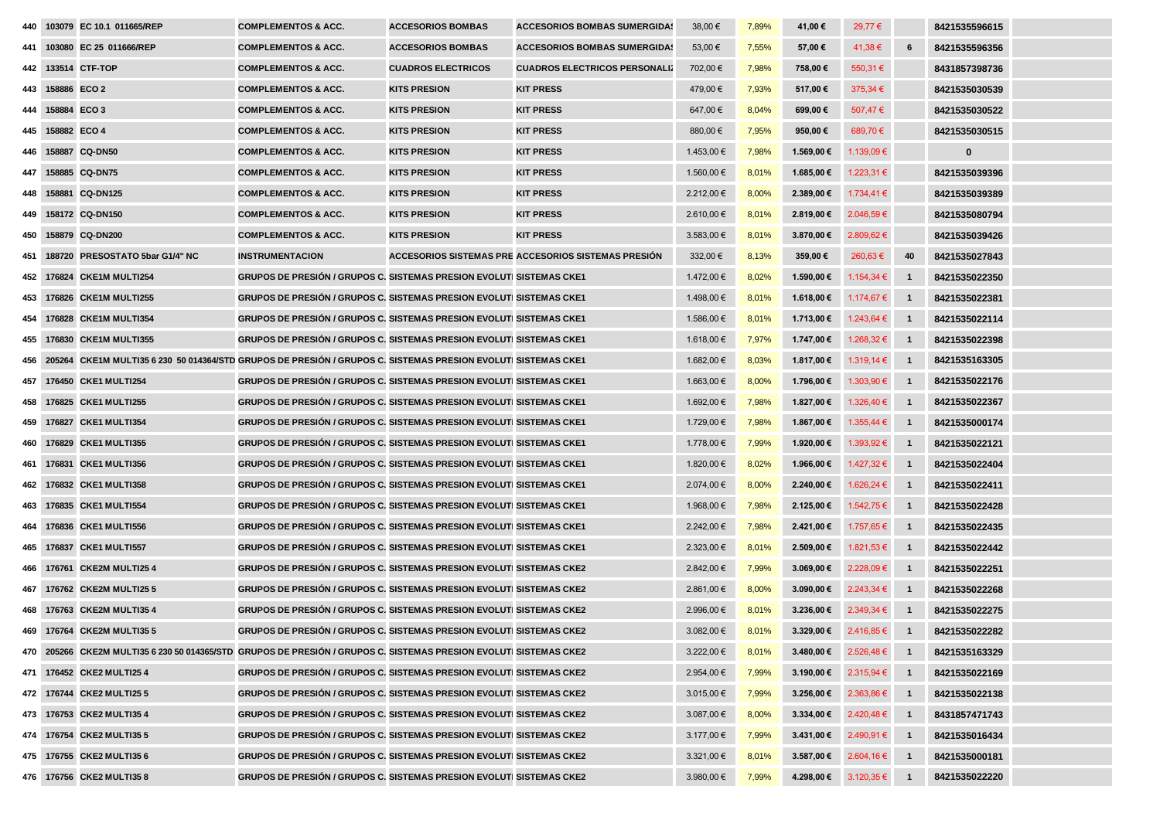|     |                  | 440 103079 EC 10.1 011665/REP                                                                                     | <b>COMPLEMENTOS &amp; ACC.</b>                                              | <b>ACCESORIOS BOMBAS</b>  | <b>ACCESORIOS BOMBAS SUMERGIDA!</b>                 | 38,00€     | 7,89% | 41,00€     | 29,77€                    |                         | 8421535596615 |  |
|-----|------------------|-------------------------------------------------------------------------------------------------------------------|-----------------------------------------------------------------------------|---------------------------|-----------------------------------------------------|------------|-------|------------|---------------------------|-------------------------|---------------|--|
|     |                  | 441 103080 EC 25 011666/REP                                                                                       | <b>COMPLEMENTOS &amp; ACC.</b>                                              | <b>ACCESORIOS BOMBAS</b>  | <b>ACCESORIOS BOMBAS SUMERGIDAS</b>                 | 53,00 €    | 7,55% | 57,00€     | 41,38€                    | 6                       | 8421535596356 |  |
|     |                  | 442 133514 CTF-TOP                                                                                                | <b>COMPLEMENTOS &amp; ACC.</b>                                              | <b>CUADROS ELECTRICOS</b> | <b>CUADROS ELECTRICOS PERSONALIZ</b>                | 702,00 €   | 7,98% | 758,00 €   | 550,31 €                  |                         | 8431857398736 |  |
|     | 443 158886 ECO 2 |                                                                                                                   | <b>COMPLEMENTOS &amp; ACC.</b>                                              | <b>KITS PRESION</b>       | <b>KIT PRESS</b>                                    | 479,00 €   | 7,93% | 517,00€    | 375,34 €                  |                         | 8421535030539 |  |
|     | 444 158884 ECO 3 |                                                                                                                   | <b>COMPLEMENTOS &amp; ACC.</b>                                              | <b>KITS PRESION</b>       | <b>KIT PRESS</b>                                    | 647,00 €   | 8,04% | 699,00€    | 507,47 €                  |                         | 8421535030522 |  |
|     | 445 158882 ECO 4 |                                                                                                                   | <b>COMPLEMENTOS &amp; ACC.</b>                                              | <b>KITS PRESION</b>       | <b>KIT PRESS</b>                                    | 880,00€    | 7,95% | 950,00€    | 689,70 €                  |                         | 8421535030515 |  |
|     |                  | 446 158887 CQ-DN50                                                                                                | <b>COMPLEMENTOS &amp; ACC.</b>                                              | <b>KITS PRESION</b>       | <b>KIT PRESS</b>                                    | 1.453,00 € | 7,98% | 1.569,00 € | 1.139,09 €                |                         | $\bf{0}$      |  |
|     |                  | 447 158885 CQ-DN75                                                                                                | <b>COMPLEMENTOS &amp; ACC.</b>                                              | <b>KITS PRESION</b>       | <b>KIT PRESS</b>                                    | 1.560,00 € | 8,01% | 1.685,00 € | 1.223,31 €                |                         | 8421535039396 |  |
|     |                  | 448 158881 CQ-DN125                                                                                               | <b>COMPLEMENTOS &amp; ACC.</b>                                              | <b>KITS PRESION</b>       | <b>KIT PRESS</b>                                    | 2.212,00 € | 8,00% | 2.389,00 € | 1.734,41 €                |                         | 8421535039389 |  |
|     |                  | 449 158172 CQ-DN150                                                                                               | <b>COMPLEMENTOS &amp; ACC.</b>                                              | <b>KITS PRESION</b>       | <b>KIT PRESS</b>                                    | 2.610,00 € | 8,01% | 2.819,00 € | 2.046,59 €                |                         | 8421535080794 |  |
|     |                  | 450 158879 CQ-DN200                                                                                               | <b>COMPLEMENTOS &amp; ACC.</b>                                              | <b>KITS PRESION</b>       | <b>KIT PRESS</b>                                    | 3.583,00 € | 8,01% | 3.870,00 € | $2.809,62 \in$            |                         | 8421535039426 |  |
| 451 |                  | 188720 PRESOSTATO 5bar G1/4" NC                                                                                   | <b>INSTRUMENTACION</b>                                                      |                           | ACCESORIOS SISTEMAS PRE ACCESORIOS SISTEMAS PRESIÓN | 332,00 €   | 8,13% | 359,00€    | 260,63 €                  | 40                      | 8421535027843 |  |
|     |                  | 452 176824 CKE1M MULTI254                                                                                         | <b>GRUPOS DE PRESIÓN / GRUPOS C. SISTEMAS PRESION EVOLUTI SISTEMAS CKE1</b> |                           |                                                     | 1.472,00 € | 8,02% | 1.590,00 € | $1.154,34 \in$            | $\blacksquare$          | 8421535022350 |  |
|     |                  | 453 176826 CKE1M MULTI255                                                                                         | GRUPOS DE PRESIÓN / GRUPOS C. SISTEMAS PRESION EVOLUTI SISTEMAS CKE1        |                           |                                                     | 1.498,00 € | 8,01% | 1.618,00 € | 1.174,67 €                | $\blacksquare$          | 8421535022381 |  |
|     |                  | 454 176828 CKE1M MULTI354                                                                                         | GRUPOS DE PRESIÓN / GRUPOS C. SISTEMAS PRESION EVOLUTI SISTEMAS CKE1        |                           |                                                     | 1.586,00 € | 8,01% | 1.713,00 € | 1.243,64 €                | $\blacksquare$          | 8421535022114 |  |
|     |                  | 455 176830 CKE1M MULTI355                                                                                         | <b>GRUPOS DE PRESIÓN / GRUPOS C. SISTEMAS PRESION EVOLUTI SISTEMAS CKE1</b> |                           |                                                     | 1.618,00 € | 7,97% | 1.747,00 € | 1.268,32 €                | $\blacksquare$          | 8421535022398 |  |
|     |                  | 456 205264 CKE1M MULTI35 6 230 50 014364/STD GRUPOS DE PRESIÓN / GRUPOS C. SISTEMAS PRESIÓN EVOLUTI SISTEMAS CKE1 |                                                                             |                           |                                                     | 1.682,00 € | 8,03% | 1.817,00 € | 1.319,14 €                | $\blacksquare$          | 8421535163305 |  |
| 457 |                  | 176450 CKE1 MULTI254                                                                                              | <b>GRUPOS DE PRESIÓN / GRUPOS C. SISTEMAS PRESION EVOLUTI SISTEMAS CKE1</b> |                           |                                                     | 1.663,00 € | 8,00% | 1.796,00 € | 1.303,90 €                | $\overline{\mathbf{1}}$ | 8421535022176 |  |
|     |                  | 458 176825 CKE1 MULTI255                                                                                          | GRUPOS DE PRESIÓN / GRUPOS C. SISTEMAS PRESION EVOLUTI SISTEMAS CKE1        |                           |                                                     | 1.692,00 € | 7,98% | 1.827,00 € | 1.326,40€                 | $\overline{\mathbf{1}}$ | 8421535022367 |  |
|     |                  | 459 176827 CKE1 MULTI354                                                                                          | <b>GRUPOS DE PRESIÓN / GRUPOS C. SISTEMAS PRESION EVOLUTI SISTEMAS CKE1</b> |                           |                                                     | 1.729,00 € | 7,98% | 1.867,00 € | 1.355,44 €                | $\blacksquare$          | 8421535000174 |  |
|     |                  | 460 176829 CKE1 MULTI355                                                                                          | <b>GRUPOS DE PRESIÓN / GRUPOS C. SISTEMAS PRESION EVOLUTI SISTEMAS CKE1</b> |                           |                                                     | 1.778,00 € | 7,99% | 1.920,00 € | 1.393,92 €                | $\overline{\mathbf{1}}$ | 8421535022121 |  |
| 461 |                  | 176831 CKE1 MULTI356                                                                                              | <b>GRUPOS DE PRESIÓN / GRUPOS C. SISTEMAS PRESION EVOLUTI SISTEMAS CKE1</b> |                           |                                                     | 1.820,00 € | 8,02% | 1.966,00 € | $1.427,32 \in$            | $\blacksquare$          | 8421535022404 |  |
|     |                  | 462 176832 CKE1 MULTI358                                                                                          | <b>GRUPOS DE PRESIÓN / GRUPOS C. SISTEMAS PRESION EVOLUTI SISTEMAS CKE1</b> |                           |                                                     | 2.074,00 € | 8,00% | 2.240,00 € | $1.626,24 \in$            | $\overline{\mathbf{1}}$ | 8421535022411 |  |
|     |                  | 463 176835 CKE1 MULTI554                                                                                          | <b>GRUPOS DE PRESIÓN / GRUPOS C. SISTEMAS PRESION EVOLUTI SISTEMAS CKE1</b> |                           |                                                     | 1.968,00 € | 7,98% | 2.125,00 € | 1.542,75 €                | $\blacksquare$          | 8421535022428 |  |
|     |                  | 464 176836 CKE1 MULTI556                                                                                          | <b>GRUPOS DE PRESIÓN / GRUPOS C. SISTEMAS PRESION EVOLUTI SISTEMAS CKE1</b> |                           |                                                     | 2.242,00 € | 7,98% | 2.421,00 € | 1.757,65 €                | $\blacksquare$          | 8421535022435 |  |
|     |                  | 465 176837 CKE1 MULTI557                                                                                          | <b>GRUPOS DE PRESIÓN / GRUPOS C. SISTEMAS PRESION EVOLUTI SISTEMAS CKE1</b> |                           |                                                     | 2.323,00 € | 8,01% | 2.509,00 € | 1.821,53 €                | $\overline{\mathbf{1}}$ | 8421535022442 |  |
|     |                  | 466 176761 CKE2M MULTI25 4                                                                                        | <b>GRUPOS DE PRESIÓN / GRUPOS C. SISTEMAS PRESION EVOLUTI SISTEMAS CKE2</b> |                           |                                                     | 2.842,00 € | 7,99% | 3.069,00 € | 2.228,09€                 | $\overline{1}$          | 8421535022251 |  |
|     |                  | 467 176762 CKE2M MULTI25 5                                                                                        | <b>GRUPOS DE PRESIÓN / GRUPOS C. SISTEMAS PRESION EVOLUTI SISTEMAS CKE2</b> |                           |                                                     | 2.861,00 € | 8,00% | 3.090,00 € | 2.243,34€                 | $\blacksquare$          | 8421535022268 |  |
|     |                  | 468 176763 CKE2M MULTI35 4                                                                                        | <b>GRUPOS DE PRESIÓN / GRUPOS C. SISTEMAS PRESION EVOLUTI SISTEMAS CKE2</b> |                           |                                                     | 2.996,00 € | 8,01% | 3.236,00 € | $2.349,34 \in$            | $\overline{1}$          | 8421535022275 |  |
|     |                  | 469 176764 CKE2M MULTI35 5                                                                                        | <b>GRUPOS DE PRESIÓN / GRUPOS C. SISTEMAS PRESION EVOLUTI SISTEMAS CKE2</b> |                           |                                                     | 3.082,00 € | 8,01% |            | 3.329,00 € 2.416,85 $\in$ | $\blacksquare$          | 8421535022282 |  |
|     |                  | 470 205266 CKE2M MULTI35 6 230 50 014365/STD GRUPOS DE PRESIÓN / GRUPOS C. SISTEMAS PRESION EVOLUTI SISTEMAS CKE2 |                                                                             |                           |                                                     | 3.222,00 € | 8,01% | 3.480,00 € | 2.526,48 €                | $\blacksquare$          | 8421535163329 |  |
|     |                  | 471 176452 CKE2 MULTI25 4                                                                                         | <b>GRUPOS DE PRESIÓN / GRUPOS C. SISTEMAS PRESION EVOLUTI SISTEMAS CKE2</b> |                           |                                                     | 2.954,00 € | 7,99% | 3.190,00 € | $2.315,94 \in$            | $\blacksquare$          | 8421535022169 |  |
|     |                  | 472 176744 CKE2 MULTI25 5                                                                                         | <b>GRUPOS DE PRESIÓN / GRUPOS C. SISTEMAS PRESION EVOLUTI SISTEMAS CKE2</b> |                           |                                                     | 3.015,00 € | 7,99% | 3.256,00 € | $2.363,86 \in$            | $\overline{\mathbf{1}}$ | 8421535022138 |  |
|     |                  | 473 176753 CKE2 MULTI35 4                                                                                         | <b>GRUPOS DE PRESIÓN / GRUPOS C. SISTEMAS PRESION EVOLUTI SISTEMAS CKE2</b> |                           |                                                     | 3.087,00 € | 8,00% | 3.334,00 € | 2.420,48 €                | $\overline{\mathbf{1}}$ | 8431857471743 |  |
|     |                  | 474 176754 CKE2 MULTI35 5                                                                                         | <b>GRUPOS DE PRESIÓN / GRUPOS C. SISTEMAS PRESION EVOLUTI SISTEMAS CKE2</b> |                           |                                                     | 3.177,00 € | 7,99% | 3.431,00 € | 2.490,91 €                | $\overline{\mathbf{1}}$ | 8421535016434 |  |
|     |                  | 475 176755 CKE2 MULTI35 6                                                                                         | <b>GRUPOS DE PRESIÓN / GRUPOS C. SISTEMAS PRESION EVOLUTI SISTEMAS CKE2</b> |                           |                                                     | 3.321,00 € | 8,01% | 3.587,00 € | 2.604,16€                 | $\blacksquare$          | 8421535000181 |  |
|     |                  | 476 176756 CKE2 MULTI35 8                                                                                         | <b>GRUPOS DE PRESIÓN / GRUPOS C. SISTEMAS PRESION EVOLUTI SISTEMAS CKE2</b> |                           |                                                     | 3.980,00 € | 7,99% |            | 4.298,00 € 3.120,35 €     | $\blacksquare$ 1        | 8421535022220 |  |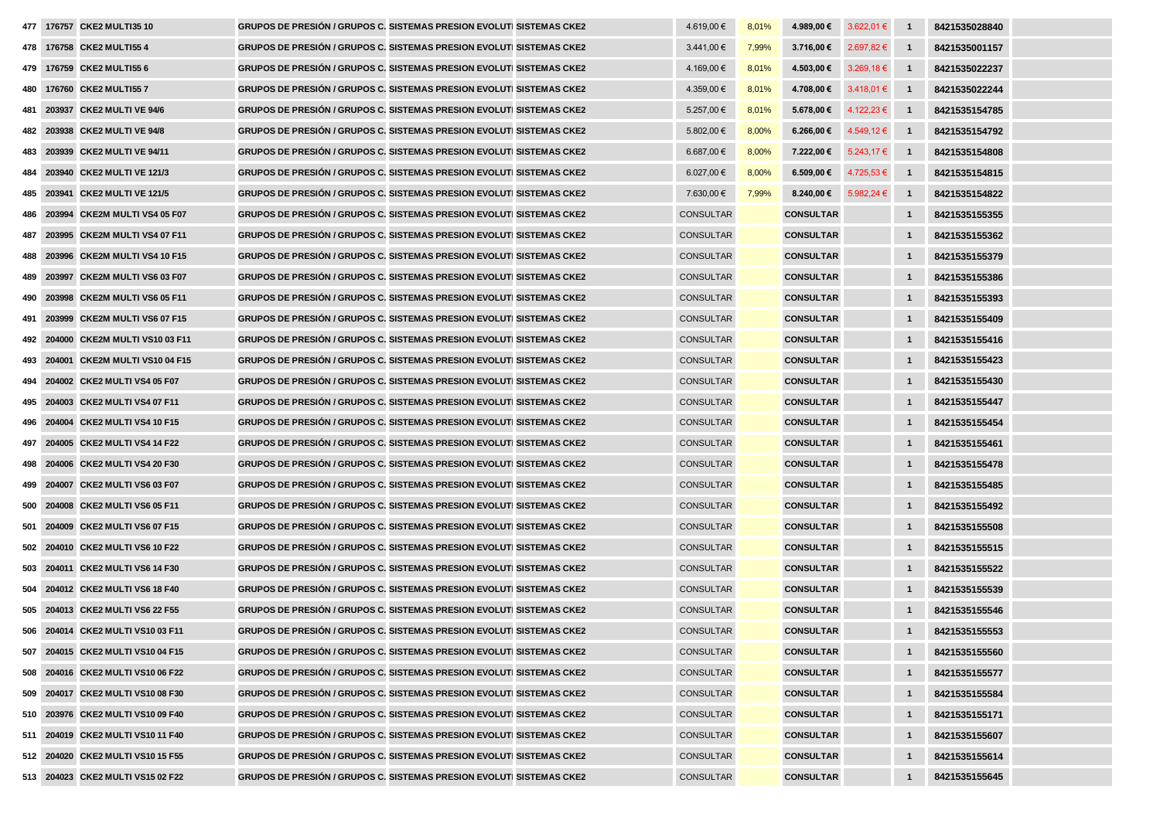|  | 477 176757 CKE2 MULTI35 10         | <b>GRUPOS DE PRESION / GRUPOS C. SISTEMAS PRESION EVOLUTI SISTEMAS CKE2</b> |  | 4.619,00 €       | 8,01% | 4.989,00 €            | 3.622,01 €     | $\blacksquare$ | 8421535028840 |  |
|--|------------------------------------|-----------------------------------------------------------------------------|--|------------------|-------|-----------------------|----------------|----------------|---------------|--|
|  | 478 176758 CKE2 MULTI55 4          | <b>GRUPOS DE PRESIÓN / GRUPOS C. SISTEMAS PRESION EVOLUTI SISTEMAS CKE2</b> |  | 3.441,00 €       | 7,99% | 3.716,00 €            | 2.697,82 €     | $\blacksquare$ | 8421535001157 |  |
|  | 479 176759 CKE2 MULTI55 6          | <b>GRUPOS DE PRESIÓN / GRUPOS C. SISTEMAS PRESION EVOLUTI SISTEMAS CKE2</b> |  | 4.169,00 €       | 8,01% | 4.503,00 €            | $3.269,18 \in$ | $\blacksquare$ | 8421535022237 |  |
|  | 480 176760 CKE2 MULTI55 7          | <b>GRUPOS DE PRESIÓN / GRUPOS C. SISTEMAS PRESION EVOLUTI SISTEMAS CKE2</b> |  | 4.359,00 €       | 8,01% | 4.708,00 €            | $3.418,01 \in$ | $\blacksquare$ | 8421535022244 |  |
|  | 481 203937 CKE2 MULTI VE 94/6      | <b>GRUPOS DE PRESIÓN / GRUPOS C. SISTEMAS PRESION EVOLUTI SISTEMAS CKE2</b> |  | 5.257,00 €       | 8,01% | 5.678,00 € 4.122,23 € |                | $\blacksquare$ | 8421535154785 |  |
|  | 482 203938 CKE2 MULTI VE 94/8      | <b>GRUPOS DE PRESIÓN / GRUPOS C. SISTEMAS PRESION EVOLUTI SISTEMAS CKE2</b> |  | 5.802,00 €       | 8,00% | 6.266,00 €            | 4.549,12 €     | $\blacksquare$ | 8421535154792 |  |
|  | 483 203939 CKE2 MULTI VE 94/11     | <b>GRUPOS DE PRESIÓN / GRUPOS C. SISTEMAS PRESION EVOLUTI SISTEMAS CKE2</b> |  | 6.687,00 €       | 8,00% | 7.222,00 €            | 5.243,17 €     | $\blacksquare$ | 8421535154808 |  |
|  | 484 203940 CKE2 MULTI VE 121/3     | <b>GRUPOS DE PRESIÓN / GRUPOS C. SISTEMAS PRESION EVOLUTI SISTEMAS CKE2</b> |  | 6.027,00 €       | 8,00% | 6.509,00 € 4.725,53 € |                | $\blacksquare$ | 8421535154815 |  |
|  | 485 203941 CKE2 MULTI VE 121/5     | <b>GRUPOS DE PRESIÓN / GRUPOS C. SISTEMAS PRESION EVOLUTI SISTEMAS CKE2</b> |  | 7.630,00 €       | 7,99% | 8.240,00 € 5.982,24 € |                | $\overline{1}$ | 8421535154822 |  |
|  | 486 203994 CKE2M MULTI VS4 05 F07  | <b>GRUPOS DE PRESIÓN / GRUPOS C. SISTEMAS PRESION EVOLUTI SISTEMAS CKE2</b> |  | <b>CONSULTAR</b> |       | <b>CONSULTAR</b>      |                | $\overline{1}$ | 8421535155355 |  |
|  | 487 203995 CKE2M MULTI VS4 07 F11  | <b>GRUPOS DE PRESIÓN / GRUPOS C. SISTEMAS PRESION EVOLUTI SISTEMAS CKE2</b> |  | <b>CONSULTAR</b> |       | <b>CONSULTAR</b>      |                | $\mathbf{1}$   | 8421535155362 |  |
|  | 488 203996 CKE2M MULTI VS4 10 F15  | <b>GRUPOS DE PRESIÓN / GRUPOS C. SISTEMAS PRESION EVOLUTI SISTEMAS CKE2</b> |  | <b>CONSULTAR</b> |       | <b>CONSULTAR</b>      |                | $\overline{1}$ | 8421535155379 |  |
|  | 489 203997 CKE2M MULTI VS6 03 F07  | <b>GRUPOS DE PRESIÓN / GRUPOS C. SISTEMAS PRESION EVOLUTI SISTEMAS CKE2</b> |  | CONSULTAR        |       | <b>CONSULTAR</b>      |                | $\mathbf 1$    | 8421535155386 |  |
|  | 490 203998 CKE2M MULTI VS6 05 F11  | <b>GRUPOS DE PRESIÓN / GRUPOS C. SISTEMAS PRESION EVOLUTI SISTEMAS CKE2</b> |  | <b>CONSULTAR</b> |       | <b>CONSULTAR</b>      |                | $\mathbf{1}$   | 8421535155393 |  |
|  | 491 203999 CKE2M MULTI VS6 07 F15  | <b>GRUPOS DE PRESIÓN / GRUPOS C. SISTEMAS PRESION EVOLUTI SISTEMAS CKE2</b> |  | <b>CONSULTAR</b> |       | <b>CONSULTAR</b>      |                | $\mathbf 1$    | 8421535155409 |  |
|  | 492 204000 CKE2M MULTI VS10 03 F11 | <b>GRUPOS DE PRESIÓN / GRUPOS C. SISTEMAS PRESION EVOLUTI SISTEMAS CKE2</b> |  | <b>CONSULTAR</b> |       | <b>CONSULTAR</b>      |                | $\overline{1}$ | 8421535155416 |  |
|  | 493 204001 CKE2M MULTI VS10 04 F15 | <b>GRUPOS DE PRESIÓN / GRUPOS C. SISTEMAS PRESION EVOLUTI SISTEMAS CKE2</b> |  | <b>CONSULTAR</b> |       | <b>CONSULTAR</b>      |                | $\overline{1}$ | 8421535155423 |  |
|  | 494 204002 CKE2 MULTI VS4 05 F07   | <b>GRUPOS DE PRESIÓN / GRUPOS C. SISTEMAS PRESION EVOLUTI SISTEMAS CKE2</b> |  | <b>CONSULTAR</b> |       | <b>CONSULTAR</b>      |                | $\mathbf{1}$   | 8421535155430 |  |
|  | 495 204003 CKE2 MULTI VS4 07 F11   | <b>GRUPOS DE PRESIÓN / GRUPOS C. SISTEMAS PRESION EVOLUTI SISTEMAS CKE2</b> |  | CONSULTAR        |       | <b>CONSULTAR</b>      |                | $\overline{1}$ | 8421535155447 |  |
|  | 496 204004 CKE2 MULTI VS4 10 F15   | <b>GRUPOS DE PRESIÓN / GRUPOS C. SISTEMAS PRESION EVOLUTI SISTEMAS CKE2</b> |  | <b>CONSULTAR</b> |       | <b>CONSULTAR</b>      |                | $\overline{1}$ | 8421535155454 |  |
|  | 497 204005 CKE2 MULTI VS4 14 F22   | <b>GRUPOS DE PRESIÓN / GRUPOS C. SISTEMAS PRESION EVOLUTI SISTEMAS CKE2</b> |  | <b>CONSULTAR</b> |       | <b>CONSULTAR</b>      |                | $\overline{1}$ | 8421535155461 |  |
|  | 498 204006 CKE2 MULTI VS4 20 F30   | <b>GRUPOS DE PRESIÓN / GRUPOS C. SISTEMAS PRESION EVOLUTI SISTEMAS CKE2</b> |  | <b>CONSULTAR</b> |       | <b>CONSULTAR</b>      |                | $\overline{1}$ | 8421535155478 |  |
|  | 499 204007 CKE2 MULTI VS6 03 F07   | <b>GRUPOS DE PRESIÓN / GRUPOS C. SISTEMAS PRESION EVOLUTI SISTEMAS CKE2</b> |  | <b>CONSULTAR</b> |       | <b>CONSULTAR</b>      |                | $\overline{1}$ | 8421535155485 |  |
|  | 500 204008 CKE2 MULTI VS6 05 F11   | <b>GRUPOS DE PRESIÓN / GRUPOS C. SISTEMAS PRESION EVOLUTI SISTEMAS CKE2</b> |  | <b>CONSULTAR</b> |       | <b>CONSULTAR</b>      |                | $\mathbf{1}$   | 8421535155492 |  |
|  | 501 204009 CKE2 MULTI VS6 07 F15   | <b>GRUPOS DE PRESIÓN / GRUPOS C. SISTEMAS PRESION EVOLUTI SISTEMAS CKE2</b> |  | <b>CONSULTAR</b> |       | <b>CONSULTAR</b>      |                | $\overline{1}$ | 8421535155508 |  |
|  | 502 204010 CKE2 MULTI VS6 10 F22   | <b>GRUPOS DE PRESIÓN / GRUPOS C. SISTEMAS PRESION EVOLUTI SISTEMAS CKE2</b> |  | <b>CONSULTAR</b> |       | <b>CONSULTAR</b>      |                | $\mathbf{1}$   | 8421535155515 |  |
|  | 503 204011 CKE2 MULTI VS6 14 F30   | <b>GRUPOS DE PRESIÓN / GRUPOS C. SISTEMAS PRESION EVOLUTI SISTEMAS CKE2</b> |  | <b>CONSULTAR</b> |       | <b>CONSULTAR</b>      |                | $\overline{1}$ | 8421535155522 |  |
|  | 504 204012 CKE2 MULTI VS6 18 F40   | <b>GRUPOS DE PRESIÓN / GRUPOS C. SISTEMAS PRESION EVOLUTI SISTEMAS CKE2</b> |  | <b>CONSULTAR</b> |       | <b>CONSULTAR</b>      |                | $\mathbf{1}$   | 8421535155539 |  |
|  | 505 204013 CKE2 MULTI VS6 22 F55   | <b>GRUPOS DE PRESIÓN / GRUPOS C. SISTEMAS PRESION EVOLUTI SISTEMAS CKE2</b> |  | <b>CONSULTAR</b> |       | <b>CONSULTAR</b>      |                | $\overline{1}$ | 8421535155546 |  |
|  | 506 204014 CKE2 MULTI VS10 03 F11  | <b>GRUPOS DE PRESIÓN / GRUPOS C. SISTEMAS PRESION EVOLUTI SISTEMAS CKE2</b> |  | <b>CONSULTAR</b> |       | <b>CONSULTAR</b>      |                |                | 8421535155553 |  |
|  | 507 204015 CKE2 MULTI VS10 04 F15  | GRUPOS DE PRESIÓN / GRUPOS C. SISTEMAS PRESION EVOLUTI SISTEMAS CKE2        |  | CONSULTAR        |       | <b>CONSULTAR</b>      |                | $\overline{1}$ | 8421535155560 |  |
|  | 508 204016 CKE2 MULTI VS10 06 F22  | <b>GRUPOS DE PRESIÓN / GRUPOS C. SISTEMAS PRESION EVOLUTI SISTEMAS CKE2</b> |  | CONSULTAR        |       | <b>CONSULTAR</b>      |                | $\mathbf{1}$   | 8421535155577 |  |
|  | 509 204017 CKE2 MULTI VS10 08 F30  | <b>GRUPOS DE PRESIÓN / GRUPOS C. SISTEMAS PRESION EVOLUTI SISTEMAS CKE2</b> |  | CONSULTAR        |       | <b>CONSULTAR</b>      |                | $\overline{1}$ | 8421535155584 |  |
|  | 510 203976 CKE2 MULTI VS10 09 F40  | <b>GRUPOS DE PRESIÓN / GRUPOS C. SISTEMAS PRESION EVOLUTI SISTEMAS CKE2</b> |  | CONSULTAR        |       | <b>CONSULTAR</b>      |                | $\mathbf{1}$   | 8421535155171 |  |
|  | 511 204019 CKE2 MULTI VS10 11 F40  | <b>GRUPOS DE PRESIÓN / GRUPOS C. SISTEMAS PRESION EVOLUTI SISTEMAS CKE2</b> |  | <b>CONSULTAR</b> |       | <b>CONSULTAR</b>      |                | $\mathbf{1}$   | 8421535155607 |  |
|  | 512 204020 CKE2 MULTI VS10 15 F55  | <b>GRUPOS DE PRESIÓN / GRUPOS C. SISTEMAS PRESION EVOLUTI SISTEMAS CKE2</b> |  | <b>CONSULTAR</b> |       | <b>CONSULTAR</b>      |                | $\mathbf 1$    | 8421535155614 |  |
|  | 513 204023 CKE2 MULTI VS15 02 F22  | <b>GRUPOS DE PRESIÓN / GRUPOS C. SISTEMAS PRESION EVOLUTI SISTEMAS CKE2</b> |  | CONSULTAR        |       | <b>CONSULTAR</b>      |                | $\mathbf{1}$   | 8421535155645 |  |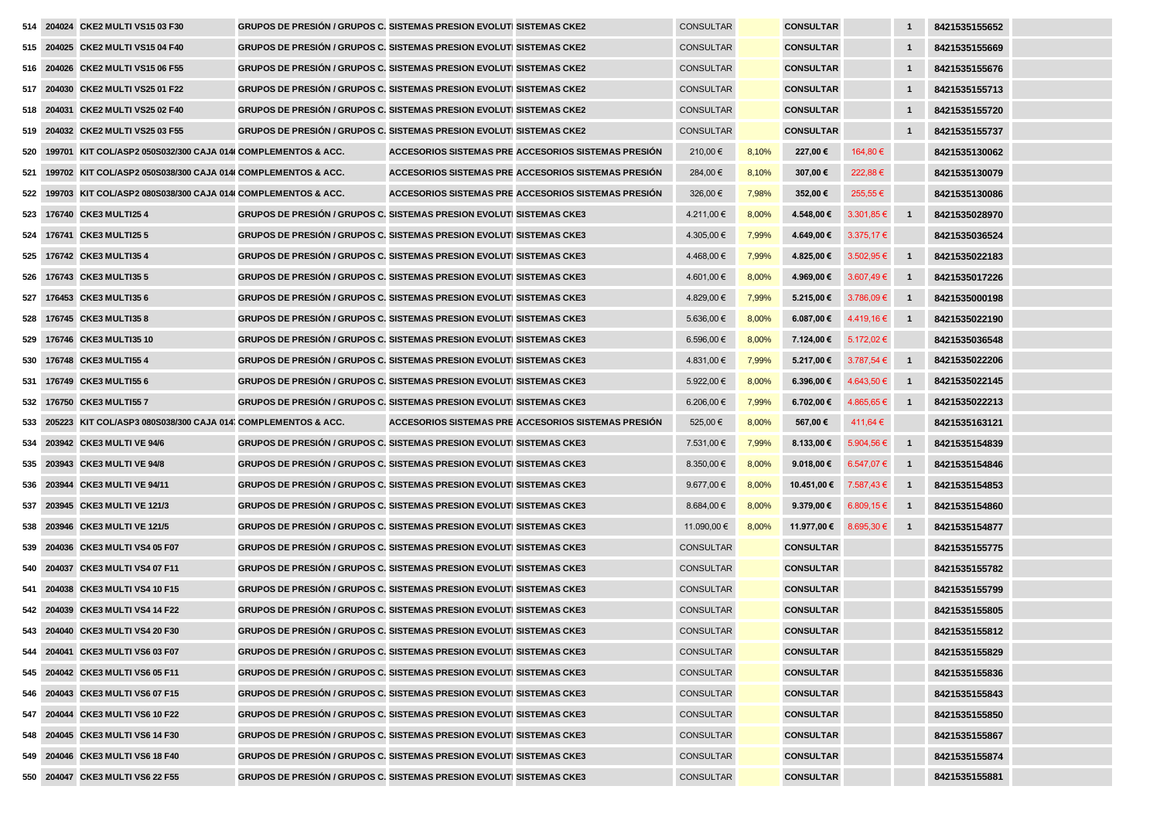|     | 514 204024 CKE2 MULTI VS15 03 F30                                 | <b>GRUPOS DE PRESION / GRUPOS C. SISTEMAS PRESION EVOLUTI SISTEMAS CKE2</b> |                                                     | <b>CONSULTAR</b> |       | <b>CONSULTAR</b>       |                | $\mathbf 1$              | 8421535155652 |  |
|-----|-------------------------------------------------------------------|-----------------------------------------------------------------------------|-----------------------------------------------------|------------------|-------|------------------------|----------------|--------------------------|---------------|--|
|     | 515 204025 CKE2 MULTI VS15 04 F40                                 | <b>GRUPOS DE PRESIÓN / GRUPOS C. SISTEMAS PRESION EVOLUTI SISTEMAS CKE2</b> |                                                     | <b>CONSULTAR</b> |       | <b>CONSULTAR</b>       |                | $\overline{\mathbf{1}}$  | 8421535155669 |  |
|     | 516 204026 CKE2 MULTI VS15 06 F55                                 | <b>GRUPOS DE PRESIÓN / GRUPOS C. SISTEMAS PRESION EVOLUTI SISTEMAS CKE2</b> |                                                     | <b>CONSULTAR</b> |       | <b>CONSULTAR</b>       |                | $\mathbf{1}$             | 8421535155676 |  |
|     | 517 204030 CKE2 MULTI VS25 01 F22                                 | <b>GRUPOS DE PRESIÓN / GRUPOS C. SISTEMAS PRESION EVOLUTI SISTEMAS CKE2</b> |                                                     | <b>CONSULTAR</b> |       | <b>CONSULTAR</b>       |                | $\overline{1}$           | 8421535155713 |  |
|     | 518 204031 CKE2 MULTI VS25 02 F40                                 | <b>GRUPOS DE PRESIÓN / GRUPOS C. SISTEMAS PRESION EVOLUTI SISTEMAS CKE2</b> |                                                     | <b>CONSULTAR</b> |       | <b>CONSULTAR</b>       |                | $\overline{1}$           | 8421535155720 |  |
|     | 519 204032 CKE2 MULTI VS25 03 F55                                 | <b>GRUPOS DE PRESIÓN / GRUPOS C. SISTEMAS PRESION EVOLUTI SISTEMAS CKE2</b> |                                                     | <b>CONSULTAR</b> |       | <b>CONSULTAR</b>       |                | $\overline{1}$           | 8421535155737 |  |
|     | 520 199701 KIT COL/ASP2 050S032/300 CAJA 014I COMPLEMENTOS & ACC. |                                                                             | ACCESORIOS SISTEMAS PRE ACCESORIOS SISTEMAS PRESIÓN | 210,00 €         | 8,10% | 227,00 €               | 164,80 €       |                          | 8421535130062 |  |
| 521 | 199702 KIT COL/ASP2 050S038/300 CAJA 014 COMPLEMENTOS & ACC.      |                                                                             | ACCESORIOS SISTEMAS PRE ACCESORIOS SISTEMAS PRESIÓN | 284,00 €         | 8,10% | 307,00 €               | 222,88€        |                          | 8421535130079 |  |
|     | 522 199703 KIT COL/ASP2 080S038/300 CAJA 014/ COMPLEMENTOS & ACC. |                                                                             | ACCESORIOS SISTEMAS PRE ACCESORIOS SISTEMAS PRESIÓN | 326,00 €         | 7,98% | 352,00€                | 255,55€        |                          | 8421535130086 |  |
| 523 | 176740 CKE3 MULTI25 4                                             | <b>GRUPOS DE PRESIÓN / GRUPOS C. SISTEMAS PRESION EVOLUTI SISTEMAS CKE3</b> |                                                     | 4.211,00 €       | 8,00% | 4.548,00 €             | $3.301,85 \in$ | $\blacksquare$           | 8421535028970 |  |
|     | 524 176741 CKE3 MULTI25 5                                         | <b>GRUPOS DE PRESIÓN / GRUPOS C. SISTEMAS PRESION EVOLUTI SISTEMAS CKE3</b> |                                                     | 4.305,00 €       | 7,99% | 4.649,00 €             | $3.375,17 \in$ |                          | 8421535036524 |  |
|     | 525 176742 CKE3 MULTI35 4                                         | <b>GRUPOS DE PRESIÓN / GRUPOS C. SISTEMAS PRESION EVOLUTI SISTEMAS CKE3</b> |                                                     | 4.468,00 €       | 7,99% | 4.825,00 €             | $3.502,95 \in$ | $\blacksquare$           | 8421535022183 |  |
|     | 526 176743 CKE3 MULTI35 5                                         | <b>GRUPOS DE PRESIÓN / GRUPOS C. SISTEMAS PRESION EVOLUTI SISTEMAS CKE3</b> |                                                     | 4.601,00 €       | 8,00% | 4.969,00 €             | $3.607,49 \in$ | $\blacksquare$           | 8421535017226 |  |
|     | 527 176453 CKE3 MULTI35 6                                         | <b>GRUPOS DE PRESIÓN / GRUPOS C. SISTEMAS PRESION EVOLUTI SISTEMAS CKE3</b> |                                                     | 4.829,00 €       | 7,99% | 5.215,00 € 3.786,09 €  |                | $\blacksquare$           | 8421535000198 |  |
|     | 528 176745 CKE3 MULTI358                                          | <b>GRUPOS DE PRESIÓN / GRUPOS C. SISTEMAS PRESION EVOLUTI SISTEMAS CKE3</b> |                                                     | 5.636,00 €       | 8,00% | 6.087,00 €             | 4.419,16€      | $\blacksquare$           | 8421535022190 |  |
|     | 529 176746 CKE3 MULTI35 10                                        | <b>GRUPOS DE PRESIÓN / GRUPOS C. SISTEMAS PRESION EVOLUTI SISTEMAS CKE3</b> |                                                     | 6.596,00 €       | 8,00% | 7.124,00 € 5.172,02 €  |                |                          | 8421535036548 |  |
|     | 530 176748 CKE3 MULTI55 4                                         | <b>GRUPOS DE PRESIÓN / GRUPOS C. SISTEMAS PRESION EVOLUTI SISTEMAS CKE3</b> |                                                     | 4.831,00 €       | 7,99% | 5.217,00 €             | $3.787,54 \in$ | $\blacksquare$           | 8421535022206 |  |
| 531 | 176749 CKE3 MULTI55 6                                             | <b>GRUPOS DE PRESIÓN / GRUPOS C. SISTEMAS PRESION EVOLUTI SISTEMAS CKE3</b> |                                                     | 5.922,00 €       | 8,00% | 6.396,00 €             | 4.643,50 €     | $\overline{\phantom{0}}$ | 8421535022145 |  |
|     | 532 176750 CKE3 MULTI55 7                                         | <b>GRUPOS DE PRESIÓN / GRUPOS C. SISTEMAS PRESION EVOLUTI SISTEMAS CKE3</b> |                                                     | 6.206,00 €       | 7,99% | 6.702,00 €             | $4.865,65 \in$ | $\blacksquare$           | 8421535022213 |  |
|     | 533 205223 KIT COL/ASP3 080S038/300 CAJA 014 COMPLEMENTOS & ACC.  |                                                                             | ACCESORIOS SISTEMAS PRE ACCESORIOS SISTEMAS PRESION | 525,00€          | 8,00% | 567,00 €               | 411,64 €       |                          | 8421535163121 |  |
|     | 534 203942 CKE3 MULTI VE 94/6                                     | <b>GRUPOS DE PRESIÓN / GRUPOS C. SISTEMAS PRESION EVOLUTI SISTEMAS CKE3</b> |                                                     | 7.531,00 €       | 7,99% | 8.133,00 €             | 5.904,56 €     | $\blacksquare$           | 8421535154839 |  |
|     | 535 203943 CKE3 MULTI VE 94/8                                     | <b>GRUPOS DE PRESIÓN / GRUPOS C. SISTEMAS PRESION EVOLUTI SISTEMAS CKE3</b> |                                                     | 8.350,00 €       | 8,00% | 9.018,00 € 6.547,07 €  |                | $\overline{\phantom{0}}$ | 8421535154846 |  |
|     | 536 203944 CKE3 MULTI VE 94/11                                    | <b>GRUPOS DE PRESIÓN / GRUPOS C. SISTEMAS PRESION EVOLUTI SISTEMAS CKE3</b> |                                                     | 9.677,00 €       | 8,00% | 10.451,00 €            | 7.587,43 €     | $\blacksquare$           | 8421535154853 |  |
|     | 537 203945 CKE3 MULTI VE 121/3                                    | <b>GRUPOS DE PRESIÓN / GRUPOS C. SISTEMAS PRESION EVOLUTI SISTEMAS CKE3</b> |                                                     | 8.684,00 €       | 8,00% | 9.379,00 € 6.809,15 €  |                | $\blacksquare$           | 8421535154860 |  |
|     | 538 203946 CKE3 MULTI VE 121/5                                    | <b>GRUPOS DE PRESIÓN / GRUPOS C. SISTEMAS PRESION EVOLUTI SISTEMAS CKE3</b> |                                                     | 11.090,00 €      | 8,00% | 11.977,00 € 8.695,30 € |                | $\blacksquare$           | 8421535154877 |  |
|     | 539 204036 CKE3 MULTI VS4 05 F07                                  | <b>GRUPOS DE PRESIÓN / GRUPOS C. SISTEMAS PRESION EVOLUTI SISTEMAS CKE3</b> |                                                     | <b>CONSULTAR</b> |       | <b>CONSULTAR</b>       |                |                          | 8421535155775 |  |
|     | 540 204037 CKE3 MULTI VS4 07 F11                                  | <b>GRUPOS DE PRESIÓN / GRUPOS C. SISTEMAS PRESION EVOLUTI SISTEMAS CKE3</b> |                                                     | <b>CONSULTAR</b> |       | <b>CONSULTAR</b>       |                |                          | 8421535155782 |  |
|     | 541 204038 CKE3 MULTI VS4 10 F15                                  | <b>GRUPOS DE PRESIÓN / GRUPOS C. SISTEMAS PRESION EVOLUTI SISTEMAS CKE3</b> |                                                     | <b>CONSULTAR</b> |       | <b>CONSULTAR</b>       |                |                          | 8421535155799 |  |
|     | 542 204039 CKE3 MULTI VS4 14 F22                                  | <b>GRUPOS DE PRESIÓN / GRUPOS C. SISTEMAS PRESION EVOLUTI SISTEMAS CKE3</b> |                                                     | <b>CONSULTAR</b> |       | <b>CONSULTAR</b>       |                |                          | 8421535155805 |  |
|     | 543 204040 CKE3 MULTI VS4 20 F30                                  | <b>GRUPOS DE PRESIÓN / GRUPOS C. SISTEMAS PRESION EVOLUTI SISTEMAS CKE3</b> |                                                     | <b>CONSULTAR</b> |       | <b>CONSULTAR</b>       |                |                          | 8421535155812 |  |
|     | 544 204041 CKE3 MULTI VS6 03 F07                                  | <b>GRUPOS DE PRESIÓN / GRUPOS C. SISTEMAS PRESION EVOLUTI SISTEMAS CKE3</b> |                                                     | CONSULTAR        |       | <b>CONSULTAR</b>       |                |                          | 8421535155829 |  |
|     | 545 204042 CKE3 MULTI VS6 05 F11                                  | <b>GRUPOS DE PRESIÓN / GRUPOS C. SISTEMAS PRESION EVOLUTI SISTEMAS CKE3</b> |                                                     | CONSULTAR        |       | <b>CONSULTAR</b>       |                |                          | 8421535155836 |  |
|     | 546 204043 CKE3 MULTI VS6 07 F15                                  | <b>GRUPOS DE PRESIÓN / GRUPOS C. SISTEMAS PRESION EVOLUTI SISTEMAS CKE3</b> |                                                     | CONSULTAR        |       | <b>CONSULTAR</b>       |                |                          | 8421535155843 |  |
|     | 547 204044 CKE3 MULTI VS6 10 F22                                  | <b>GRUPOS DE PRESIÓN / GRUPOS C. SISTEMAS PRESION EVOLUTI SISTEMAS CKE3</b> |                                                     | CONSULTAR        |       | <b>CONSULTAR</b>       |                |                          | 8421535155850 |  |
|     | 548 204045 CKE3 MULTI VS6 14 F30                                  | <b>GRUPOS DE PRESIÓN / GRUPOS C. SISTEMAS PRESION EVOLUTI SISTEMAS CKE3</b> |                                                     | <b>CONSULTAR</b> |       | <b>CONSULTAR</b>       |                |                          | 8421535155867 |  |
|     | 549 204046 CKE3 MULTI VS6 18 F40                                  | <b>GRUPOS DE PRESIÓN / GRUPOS C. SISTEMAS PRESION EVOLUTI SISTEMAS CKE3</b> |                                                     | <b>CONSULTAR</b> |       | <b>CONSULTAR</b>       |                |                          | 8421535155874 |  |
|     | 550 204047 CKE3 MULTI VS6 22 F55                                  | <b>GRUPOS DE PRESIÓN / GRUPOS C. SISTEMAS PRESION EVOLUTI SISTEMAS CKE3</b> |                                                     | <b>CONSULTAR</b> |       | <b>CONSULTAR</b>       |                |                          | 8421535155881 |  |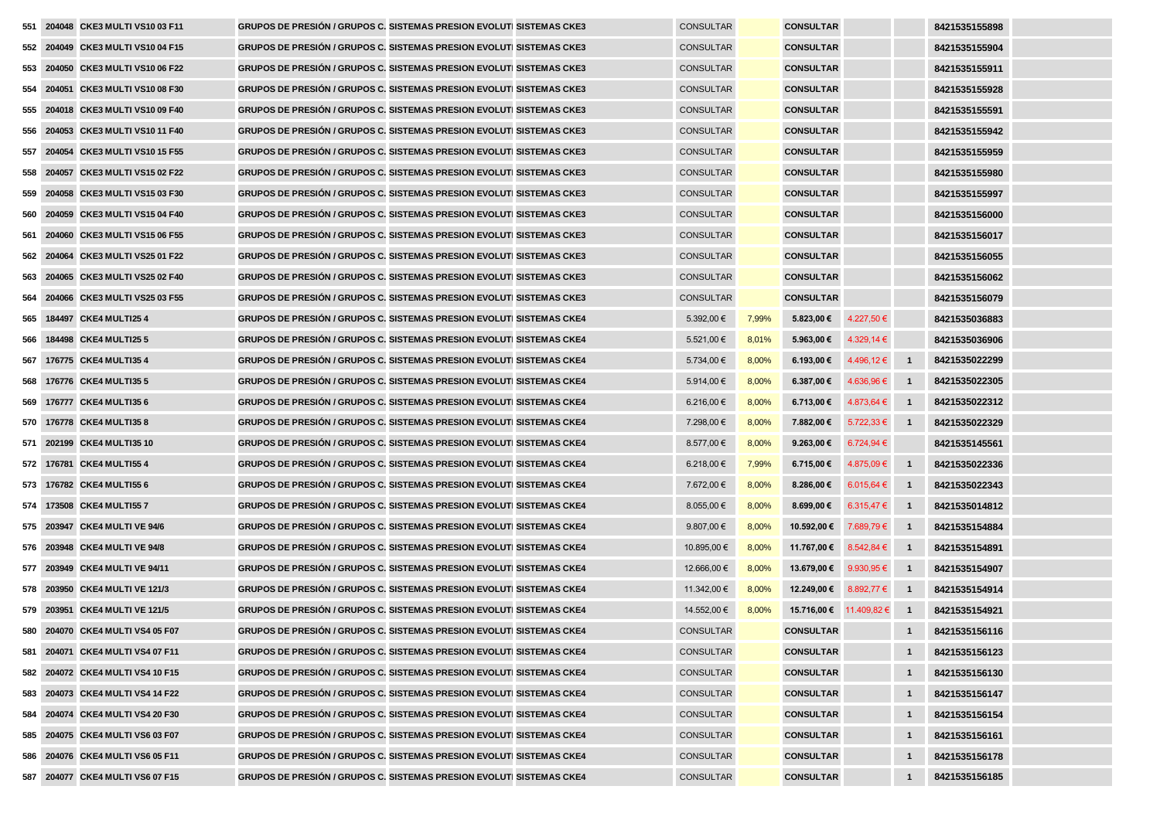|     | 551 204048 CKE3 MULTI VS10 03 F11 | <b>GRUPOS DE PRESION / GRUPOS C. SISTEMAS PRESION EVOLUTI SISTEMAS CKE3</b> |  | <b>CONSULTAR</b> |       | <b>CONSULTAR</b>        |                |                         | 8421535155898 |  |
|-----|-----------------------------------|-----------------------------------------------------------------------------|--|------------------|-------|-------------------------|----------------|-------------------------|---------------|--|
|     | 552 204049 CKE3 MULTI VS10 04 F15 | <b>GRUPOS DE PRESIÓN / GRUPOS C. SISTEMAS PRESION EVOLUTI SISTEMAS CKE3</b> |  | <b>CONSULTAR</b> |       | <b>CONSULTAR</b>        |                |                         | 8421535155904 |  |
|     | 553 204050 CKE3 MULTI VS10 06 F22 | <b>GRUPOS DE PRESIÓN / GRUPOS C. SISTEMAS PRESION EVOLUTI SISTEMAS CKE3</b> |  | <b>CONSULTAR</b> |       | <b>CONSULTAR</b>        |                |                         | 8421535155911 |  |
|     | 554 204051 CKE3 MULTI VS10 08 F30 | <b>GRUPOS DE PRESIÓN / GRUPOS C. SISTEMAS PRESION EVOLUTI SISTEMAS CKE3</b> |  | <b>CONSULTAR</b> |       | <b>CONSULTAR</b>        |                |                         | 8421535155928 |  |
|     | 555 204018 CKE3 MULTI VS10 09 F40 | <b>GRUPOS DE PRESIÓN / GRUPOS C. SISTEMAS PRESION EVOLUTI SISTEMAS CKE3</b> |  | <b>CONSULTAR</b> |       | <b>CONSULTAR</b>        |                |                         | 8421535155591 |  |
|     | 556 204053 CKE3 MULTI VS10 11 F40 | <b>GRUPOS DE PRESIÓN / GRUPOS C. SISTEMAS PRESION EVOLUTI SISTEMAS CKE3</b> |  | <b>CONSULTAR</b> |       | <b>CONSULTAR</b>        |                |                         | 8421535155942 |  |
|     | 557 204054 CKE3 MULTI VS10 15 F55 | <b>GRUPOS DE PRESIÓN / GRUPOS C. SISTEMAS PRESION EVOLUTI SISTEMAS CKE3</b> |  | <b>CONSULTAR</b> |       | <b>CONSULTAR</b>        |                |                         | 8421535155959 |  |
|     | 558 204057 CKE3 MULTI VS15 02 F22 | <b>GRUPOS DE PRESIÓN / GRUPOS C. SISTEMAS PRESION EVOLUTI SISTEMAS CKE3</b> |  | <b>CONSULTAR</b> |       | <b>CONSULTAR</b>        |                |                         | 8421535155980 |  |
|     | 559 204058 CKE3 MULTI VS15 03 F30 | <b>GRUPOS DE PRESIÓN / GRUPOS C. SISTEMAS PRESION EVOLUTI SISTEMAS CKE3</b> |  | <b>CONSULTAR</b> |       | <b>CONSULTAR</b>        |                |                         | 8421535155997 |  |
| 560 | 204059 CKE3 MULTI VS15 04 F40     | <b>GRUPOS DE PRESIÓN / GRUPOS C. SISTEMAS PRESION EVOLUTI SISTEMAS CKE3</b> |  | <b>CONSULTAR</b> |       | <b>CONSULTAR</b>        |                |                         | 8421535156000 |  |
|     | 561 204060 CKE3 MULTI VS15 06 F55 | <b>GRUPOS DE PRESIÓN / GRUPOS C. SISTEMAS PRESION EVOLUTI SISTEMAS CKE3</b> |  | <b>CONSULTAR</b> |       | <b>CONSULTAR</b>        |                |                         | 8421535156017 |  |
|     | 562 204064 CKE3 MULTI VS25 01 F22 | <b>GRUPOS DE PRESIÓN / GRUPOS C. SISTEMAS PRESION EVOLUTI SISTEMAS CKE3</b> |  | <b>CONSULTAR</b> |       | <b>CONSULTAR</b>        |                |                         | 8421535156055 |  |
|     | 563 204065 CKE3 MULTI VS25 02 F40 | <b>GRUPOS DE PRESIÓN / GRUPOS C. SISTEMAS PRESION EVOLUTI SISTEMAS CKE3</b> |  | <b>CONSULTAR</b> |       | <b>CONSULTAR</b>        |                |                         | 8421535156062 |  |
| 564 | 204066 CKE3 MULTI VS25 03 F55     | <b>GRUPOS DE PRESIÓN / GRUPOS C. SISTEMAS PRESION EVOLUTI SISTEMAS CKE3</b> |  | <b>CONSULTAR</b> |       | <b>CONSULTAR</b>        |                |                         | 8421535156079 |  |
|     | 565 184497 CKE4 MULTI25 4         | <b>GRUPOS DE PRESIÓN / GRUPOS C. SISTEMAS PRESION EVOLUTI SISTEMAS CKE4</b> |  | 5.392,00 €       | 7,99% | 5.823,00 €              | 4.227,50 €     |                         | 8421535036883 |  |
|     | 566 184498 CKE4 MULTI25 5         | <b>GRUPOS DE PRESIÓN / GRUPOS C. SISTEMAS PRESION EVOLUTI SISTEMAS CKE4</b> |  | 5.521,00 €       | 8,01% | 5.963,00 € 4.329,14 €   |                |                         | 8421535036906 |  |
|     | 567 176775 CKE4 MULTI35 4         | <b>GRUPOS DE PRESIÓN / GRUPOS C. SISTEMAS PRESION EVOLUTI SISTEMAS CKE4</b> |  | 5.734,00 €       | 8,00% | 6.193,00 €              | 4.496,12 €     | $\blacksquare$          | 8421535022299 |  |
| 568 | 176776 CKE4 MULTI35 5             | <b>GRUPOS DE PRESIÓN / GRUPOS C. SISTEMAS PRESION EVOLUTI SISTEMAS CKE4</b> |  | 5.914,00 €       | 8,00% | 6.387,00 € 4.636,96 €   |                | $\blacksquare$          | 8421535022305 |  |
|     | 569 176777 CKE4 MULTI35 6         | <b>GRUPOS DE PRESIÓN / GRUPOS C. SISTEMAS PRESION EVOLUTI SISTEMAS CKE4</b> |  | 6.216,00 €       | 8,00% | 6.713,00 €              | 4.873,64 €     | $\blacksquare$          | 8421535022312 |  |
|     | 570 176778 CKE4 MULTI358          | <b>GRUPOS DE PRESIÓN / GRUPOS C. SISTEMAS PRESION EVOLUTI SISTEMAS CKE4</b> |  | 7.298,00 €       | 8,00% | 7.882,00 € 5.722,33 €   |                | $\blacksquare$          | 8421535022329 |  |
|     | 571 202199 CKE4 MULTI35 10        | <b>GRUPOS DE PRESIÓN / GRUPOS C. SISTEMAS PRESION EVOLUTI SISTEMAS CKE4</b> |  | 8.577,00 €       | 8,00% | 9.263,00 € 6.724,94 €   |                |                         | 8421535145561 |  |
|     | 572 176781 CKE4 MULTI55 4         | <b>GRUPOS DE PRESIÓN / GRUPOS C. SISTEMAS PRESION EVOLUTI SISTEMAS CKE4</b> |  | 6.218,00 €       | 7,99% | 6.715,00 €              | 4.875,09 €     | $\overline{\mathbf{1}}$ | 8421535022336 |  |
|     | 573 176782 CKE4 MULTI55 6         | <b>GRUPOS DE PRESIÓN / GRUPOS C. SISTEMAS PRESION EVOLUTI SISTEMAS CKE4</b> |  | 7.672,00 €       | 8,00% | 8.286,00 €              | $6.015,64 \in$ | $\blacksquare$          | 8421535022343 |  |
|     | 574 173508 CKE4 MULTI55 7         | <b>GRUPOS DE PRESIÓN / GRUPOS C. SISTEMAS PRESION EVOLUTI SISTEMAS CKE4</b> |  | 8.055,00 €       | 8,00% | 8.699,00 € 6.315,47 €   |                | $\blacksquare$          | 8421535014812 |  |
|     | 575 203947 CKE4 MULTI VE 94/6     | <b>GRUPOS DE PRESIÓN / GRUPOS C. SISTEMAS PRESION EVOLUTI SISTEMAS CKE4</b> |  | 9.807,00 €       | 8,00% | 10.592,00 € 7.689,79 €  |                | $\blacksquare$          | 8421535154884 |  |
|     | 576 203948 CKE4 MULTI VE 94/8     | <b>GRUPOS DE PRESIÓN / GRUPOS C. SISTEMAS PRESION EVOLUTI SISTEMAS CKE4</b> |  | 10.895,00 €      | 8,00% | 11.767,00 € 8.542,84 €  |                | $\overline{1}$          | 8421535154891 |  |
|     | 577 203949 CKE4 MULTI VE 94/11    | <b>GRUPOS DE PRESIÓN / GRUPOS C. SISTEMAS PRESION EVOLUTI SISTEMAS CKE4</b> |  | 12.666,00 €      | 8,00% | 13.679,00 € 9.930,95 €  |                | $\overline{1}$          | 8421535154907 |  |
|     | 578 203950 CKE4 MULTI VE 121/3    | <b>GRUPOS DE PRESIÓN / GRUPOS C. SISTEMAS PRESION EVOLUTI SISTEMAS CKE4</b> |  | 11.342,00 €      | 8,00% | 12.249,00 € 8.892,77 €  |                | $\blacksquare$          | 8421535154914 |  |
|     | 579 203951 CKE4 MULTI VE 121/5    | <b>GRUPOS DE PRESIÓN / GRUPOS C. SISTEMAS PRESION EVOLUTI SISTEMAS CKE4</b> |  | 14.552,00 €      | 8,00% | 15.716,00 € 11.409,82 € |                | $\overline{\mathbf{1}}$ | 8421535154921 |  |
|     | 580 204070 CKE4 MULTI VS4 05 F07  | <b>GRUPOS DE PRESIÓN / GRUPOS C. SISTEMAS PRESION EVOLUTI SISTEMAS CKE4</b> |  | <b>CONSULTAR</b> |       | <b>CONSULTAR</b>        |                | $\mathbf{1}$            | 8421535156116 |  |
|     | 581 204071 CKE4 MULTI VS4 07 F11  | GRUPOS DE PRESIÓN / GRUPOS C. SISTEMAS PRESION EVOLUTI SISTEMAS CKE4        |  | <b>CONSULTAR</b> |       | <b>CONSULTAR</b>        |                | $\overline{\mathbf{1}}$ | 8421535156123 |  |
|     | 582 204072 CKE4 MULTI VS4 10 F15  | <b>GRUPOS DE PRESIÓN / GRUPOS C. SISTEMAS PRESION EVOLUTI SISTEMAS CKE4</b> |  | <b>CONSULTAR</b> |       | <b>CONSULTAR</b>        |                | $\mathbf{1}$            | 8421535156130 |  |
|     | 583 204073 CKE4 MULTI VS4 14 F22  | <b>GRUPOS DE PRESIÓN / GRUPOS C. SISTEMAS PRESION EVOLUTI SISTEMAS CKE4</b> |  | <b>CONSULTAR</b> |       | <b>CONSULTAR</b>        |                | $\overline{1}$          | 8421535156147 |  |
|     | 584 204074 CKE4 MULTI VS4 20 F30  | <b>GRUPOS DE PRESIÓN / GRUPOS C. SISTEMAS PRESION EVOLUTI SISTEMAS CKE4</b> |  | <b>CONSULTAR</b> |       | <b>CONSULTAR</b>        |                | $\mathbf{1}$            | 8421535156154 |  |
|     | 585 204075 CKE4 MULTI VS6 03 F07  | <b>GRUPOS DE PRESIÓN / GRUPOS C. SISTEMAS PRESION EVOLUTI SISTEMAS CKE4</b> |  | <b>CONSULTAR</b> |       | <b>CONSULTAR</b>        |                | $\mathbf{1}$            | 8421535156161 |  |
|     | 586 204076 CKE4 MULTI VS6 05 F11  | <b>GRUPOS DE PRESIÓN / GRUPOS C. SISTEMAS PRESION EVOLUTI SISTEMAS CKE4</b> |  | CONSULTAR        |       | <b>CONSULTAR</b>        |                | $\mathbf{1}$            | 8421535156178 |  |
|     | 587 204077 CKE4 MULTI VS6 07 F15  | <b>GRUPOS DE PRESIÓN / GRUPOS C. SISTEMAS PRESION EVOLUTI SISTEMAS CKE4</b> |  | <b>CONSULTAR</b> |       | <b>CONSULTAR</b>        |                | $\mathbf{1}$            | 8421535156185 |  |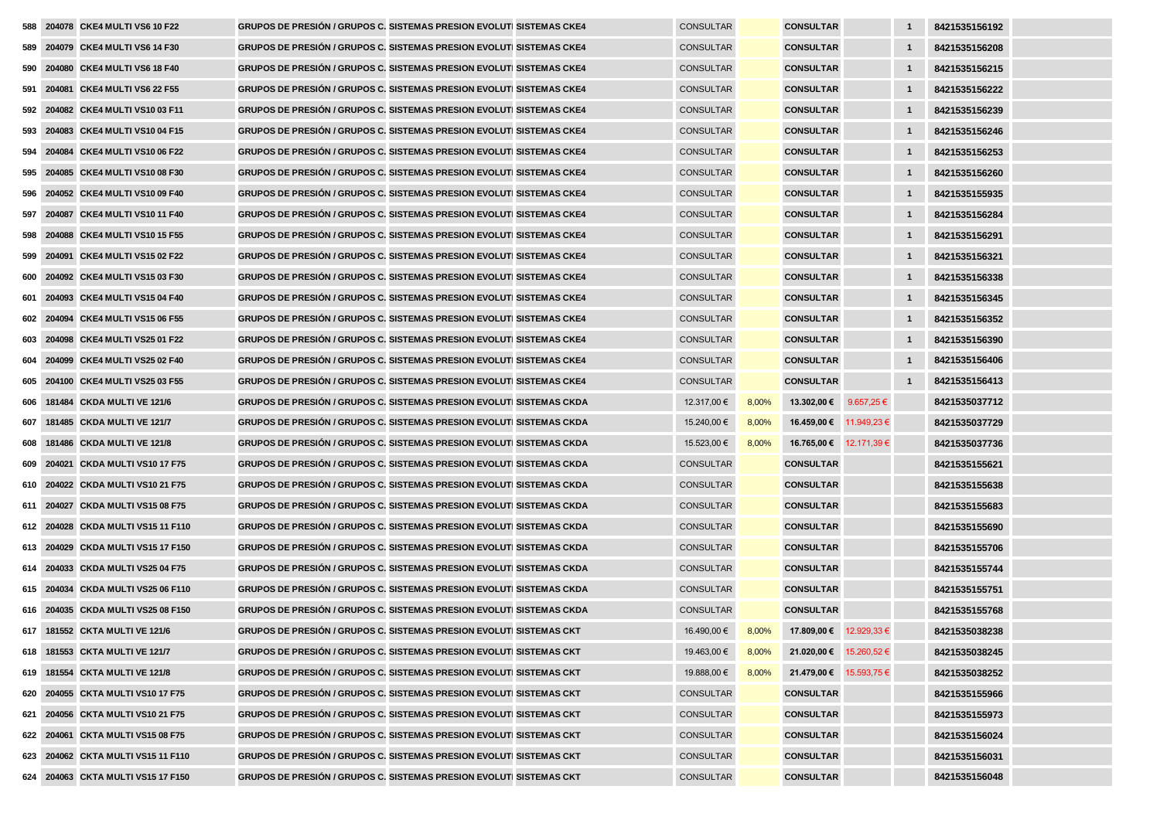|     | 588 204078 CKE4 MULTI VS6 10 F22   | <b>GRUPOS DE PRESION / GRUPOS C. SISTEMAS PRESION EVOLUTI SISTEMAS CKE4</b> |  | <b>CONSULTAR</b> |       | <b>CONSULTAR</b>        | $\overline{1}$          | 8421535156192 |  |
|-----|------------------------------------|-----------------------------------------------------------------------------|--|------------------|-------|-------------------------|-------------------------|---------------|--|
|     | 589 204079 CKE4 MULTI VS6 14 F30   | <b>GRUPOS DE PRESIÓN / GRUPOS C. SISTEMAS PRESION EVOLUTI SISTEMAS CKE4</b> |  | <b>CONSULTAR</b> |       | <b>CONSULTAR</b>        | $\overline{1}$          | 8421535156208 |  |
|     | 590 204080 CKE4 MULTI VS6 18 F40   | <b>GRUPOS DE PRESIÓN / GRUPOS C. SISTEMAS PRESION EVOLUTI SISTEMAS CKE4</b> |  | <b>CONSULTAR</b> |       | <b>CONSULTAR</b>        | $\overline{\mathbf{1}}$ | 8421535156215 |  |
|     | 591 204081 CKE4 MULTI VS6 22 F55   | <b>GRUPOS DE PRESIÓN / GRUPOS C. SISTEMAS PRESION EVOLUTI SISTEMAS CKE4</b> |  | <b>CONSULTAR</b> |       | <b>CONSULTAR</b>        | $\overline{1}$          | 8421535156222 |  |
|     | 592 204082 CKE4 MULTI VS10 03 F11  | <b>GRUPOS DE PRESIÓN / GRUPOS C. SISTEMAS PRESION EVOLUTI SISTEMAS CKE4</b> |  | CONSULTAR        |       | <b>CONSULTAR</b>        | $\overline{1}$          | 8421535156239 |  |
|     | 593 204083 CKE4 MULTI VS10 04 F15  | <b>GRUPOS DE PRESIÓN / GRUPOS C. SISTEMAS PRESION EVOLUTI SISTEMAS CKE4</b> |  | <b>CONSULTAR</b> |       | <b>CONSULTAR</b>        | $\overline{1}$          | 8421535156246 |  |
|     | 594 204084 CKE4 MULTI VS10 06 F22  | <b>GRUPOS DE PRESIÓN / GRUPOS C. SISTEMAS PRESION EVOLUTI SISTEMAS CKE4</b> |  | <b>CONSULTAR</b> |       | <b>CONSULTAR</b>        | $\overline{1}$          | 8421535156253 |  |
|     | 595 204085 CKE4 MULTI VS10 08 F30  | <b>GRUPOS DE PRESIÓN / GRUPOS C. SISTEMAS PRESION EVOLUTI SISTEMAS CKE4</b> |  | <b>CONSULTAR</b> |       | <b>CONSULTAR</b>        | $\overline{1}$          | 8421535156260 |  |
|     | 596 204052 CKE4 MULTI VS10 09 F40  | <b>GRUPOS DE PRESIÓN / GRUPOS C. SISTEMAS PRESION EVOLUTI SISTEMAS CKE4</b> |  | <b>CONSULTAR</b> |       | <b>CONSULTAR</b>        | $\overline{1}$          | 8421535155935 |  |
|     | 597 204087 CKE4 MULTI VS10 11 F40  | <b>GRUPOS DE PRESIÓN / GRUPOS C. SISTEMAS PRESION EVOLUTI SISTEMAS CKE4</b> |  | <b>CONSULTAR</b> |       | <b>CONSULTAR</b>        | $\overline{\mathbf{1}}$ | 8421535156284 |  |
|     | 598 204088 CKE4 MULTI VS10 15 F55  | <b>GRUPOS DE PRESIÓN / GRUPOS C. SISTEMAS PRESION EVOLUTI SISTEMAS CKE4</b> |  | <b>CONSULTAR</b> |       | <b>CONSULTAR</b>        | -1                      | 8421535156291 |  |
|     | 599 204091 CKE4 MULTI VS15 02 F22  | <b>GRUPOS DE PRESIÓN / GRUPOS C. SISTEMAS PRESION EVOLUTI SISTEMAS CKE4</b> |  | <b>CONSULTAR</b> |       | <b>CONSULTAR</b>        | $\overline{1}$          | 8421535156321 |  |
|     | 600 204092 CKE4 MULTI VS15 03 F30  | <b>GRUPOS DE PRESIÓN / GRUPOS C. SISTEMAS PRESION EVOLUTI SISTEMAS CKE4</b> |  | <b>CONSULTAR</b> |       | <b>CONSULTAR</b>        | $\overline{\mathbf{1}}$ | 8421535156338 |  |
| 601 | 204093 CKE4 MULTI VS15 04 F40      | <b>GRUPOS DE PRESIÓN / GRUPOS C. SISTEMAS PRESION EVOLUTI SISTEMAS CKE4</b> |  | <b>CONSULTAR</b> |       | <b>CONSULTAR</b>        | $\overline{\mathbf{1}}$ | 8421535156345 |  |
|     | 602 204094 CKE4 MULTI VS15 06 F55  | <b>GRUPOS DE PRESIÓN / GRUPOS C. SISTEMAS PRESION EVOLUTI SISTEMAS CKE4</b> |  | <b>CONSULTAR</b> |       | <b>CONSULTAR</b>        | $\mathbf{1}$            | 8421535156352 |  |
|     | 603 204098 CKE4 MULTI VS25 01 F22  | <b>GRUPOS DE PRESIÓN / GRUPOS C. SISTEMAS PRESION EVOLUTI SISTEMAS CKE4</b> |  | <b>CONSULTAR</b> |       | <b>CONSULTAR</b>        | $\overline{\mathbf{1}}$ | 8421535156390 |  |
|     | 604 204099 CKE4 MULTI VS25 02 F40  | <b>GRUPOS DE PRESIÓN / GRUPOS C. SISTEMAS PRESION EVOLUTI SISTEMAS CKE4</b> |  | <b>CONSULTAR</b> |       | <b>CONSULTAR</b>        | $\mathbf{1}$            | 8421535156406 |  |
|     | 605 204100 CKE4 MULTI VS25 03 F55  | <b>GRUPOS DE PRESIÓN / GRUPOS C. SISTEMAS PRESION EVOLUTI SISTEMAS CKE4</b> |  | <b>CONSULTAR</b> |       | <b>CONSULTAR</b>        | $\overline{1}$          | 8421535156413 |  |
|     | 606 181484 CKDA MULTI VE 121/6     | <b>GRUPOS DE PRESIÓN / GRUPOS C. SISTEMAS PRESION EVOLUTI SISTEMAS CKDA</b> |  | 12.317,00 €      | 8,00% | 13.302,00 € 9.657,25 €  |                         | 8421535037712 |  |
| 607 | 181485 CKDA MULTI VE 121/7         | <b>GRUPOS DE PRESIÓN / GRUPOS C. SISTEMAS PRESION EVOLUTI SISTEMAS CKDA</b> |  | 15.240,00 €      | 8,00% | 16.459,00 € 11.949,23 € |                         | 8421535037729 |  |
|     | 608 181486 CKDA MULTI VE 121/8     | <b>GRUPOS DE PRESIÓN / GRUPOS C. SISTEMAS PRESION EVOLUTI SISTEMAS CKDA</b> |  | 15.523,00 €      | 8,00% | 16.765,00 € 12.171,39 € |                         | 8421535037736 |  |
|     | 609 204021 CKDA MULTI VS10 17 F75  | <b>GRUPOS DE PRESIÓN / GRUPOS C. SISTEMAS PRESION EVOLUTI SISTEMAS CKDA</b> |  | <b>CONSULTAR</b> |       | <b>CONSULTAR</b>        |                         | 8421535155621 |  |
|     | 610 204022 CKDA MULTI VS10 21 F75  | <b>GRUPOS DE PRESIÓN / GRUPOS C. SISTEMAS PRESION EVOLUTI SISTEMAS CKDA</b> |  | <b>CONSULTAR</b> |       | <b>CONSULTAR</b>        |                         | 8421535155638 |  |
|     | 611 204027 CKDA MULTI VS15 08 F75  | <b>GRUPOS DE PRESIÓN / GRUPOS C. SISTEMAS PRESION EVOLUTI SISTEMAS CKDA</b> |  | <b>CONSULTAR</b> |       | <b>CONSULTAR</b>        |                         | 8421535155683 |  |
|     | 612 204028 CKDA MULTI VS15 11 F110 | <b>GRUPOS DE PRESIÓN / GRUPOS C. SISTEMAS PRESION EVOLUTI SISTEMAS CKDA</b> |  | <b>CONSULTAR</b> |       | <b>CONSULTAR</b>        |                         | 8421535155690 |  |
|     | 613 204029 CKDA MULTI VS15 17 F150 | <b>GRUPOS DE PRESIÓN / GRUPOS C. SISTEMAS PRESION EVOLUTI SISTEMAS CKDA</b> |  | <b>CONSULTAR</b> |       | <b>CONSULTAR</b>        |                         | 8421535155706 |  |
|     | 614 204033 CKDA MULTI VS25 04 F75  | <b>GRUPOS DE PRESIÓN / GRUPOS C. SISTEMAS PRESION EVOLUTI SISTEMAS CKDA</b> |  | <b>CONSULTAR</b> |       | <b>CONSULTAR</b>        |                         | 8421535155744 |  |
|     | 615 204034 CKDA MULTI VS25 06 F110 | <b>GRUPOS DE PRESIÓN / GRUPOS C. SISTEMAS PRESION EVOLUTI SISTEMAS CKDA</b> |  | CONSULTAR        |       | <b>CONSULTAR</b>        |                         | 8421535155751 |  |
|     | 616 204035 CKDA MULTI VS25 08 F150 | <b>GRUPOS DE PRESIÓN / GRUPOS C. SISTEMAS PRESION EVOLUTI SISTEMAS CKDA</b> |  | <b>CONSULTAR</b> |       | <b>CONSULTAR</b>        |                         | 8421535155768 |  |
|     | 617 181552 CKTA MULTI VE 121/6     | <b>GRUPOS DE PRESIÓN / GRUPOS C. SISTEMAS PRESION EVOLUTI SISTEMAS CKT</b>  |  | 16.490,00 €      | 8,00% | 17.809,00 € 12.929,33 € |                         | 8421535038238 |  |
|     | 618 181553 CKTA MULTI VE 121/7     | GRUPOS DE PRESIÓN / GRUPOS C. SISTEMAS PRESION EVOLUTI SISTEMAS CKT         |  | 19.463,00 €      | 8,00% | 21.020,00 € 15.260,52 € |                         | 8421535038245 |  |
|     | 619 181554 CKTA MULTI VE 121/8     | <b>GRUPOS DE PRESIÓN / GRUPOS C. SISTEMAS PRESION EVOLUTI SISTEMAS CKT</b>  |  | 19.888,00 €      | 8,00% | 21.479,00 € 15.593,75 € |                         | 8421535038252 |  |
|     | 620 204055 CKTA MULTI VS10 17 F75  | <b>GRUPOS DE PRESIÓN / GRUPOS C. SISTEMAS PRESION EVOLUTI SISTEMAS CKT</b>  |  | <b>CONSULTAR</b> |       | <b>CONSULTAR</b>        |                         | 8421535155966 |  |
|     | 621 204056 CKTA MULTI VS10 21 F75  | <b>GRUPOS DE PRESIÓN / GRUPOS C. SISTEMAS PRESION EVOLUTI SISTEMAS CKT</b>  |  | CONSULTAR        |       | <b>CONSULTAR</b>        |                         | 8421535155973 |  |
|     | 622 204061 CKTA MULTI VS15 08 F75  | <b>GRUPOS DE PRESIÓN / GRUPOS C. SISTEMAS PRESION EVOLUTI SISTEMAS CKT</b>  |  | CONSULTAR        |       | <b>CONSULTAR</b>        |                         | 8421535156024 |  |
|     | 623 204062 CKTA MULTI VS15 11 F110 | <b>GRUPOS DE PRESIÓN / GRUPOS C. SISTEMAS PRESION EVOLUTI SISTEMAS CKT</b>  |  | <b>CONSULTAR</b> |       | <b>CONSULTAR</b>        |                         | 8421535156031 |  |
|     | 624 204063 CKTA MULTI VS15 17 F150 | <b>GRUPOS DE PRESIÓN / GRUPOS C. SISTEMAS PRESION EVOLUTI SISTEMAS CKT</b>  |  | <b>CONSULTAR</b> |       | <b>CONSULTAR</b>        |                         | 8421535156048 |  |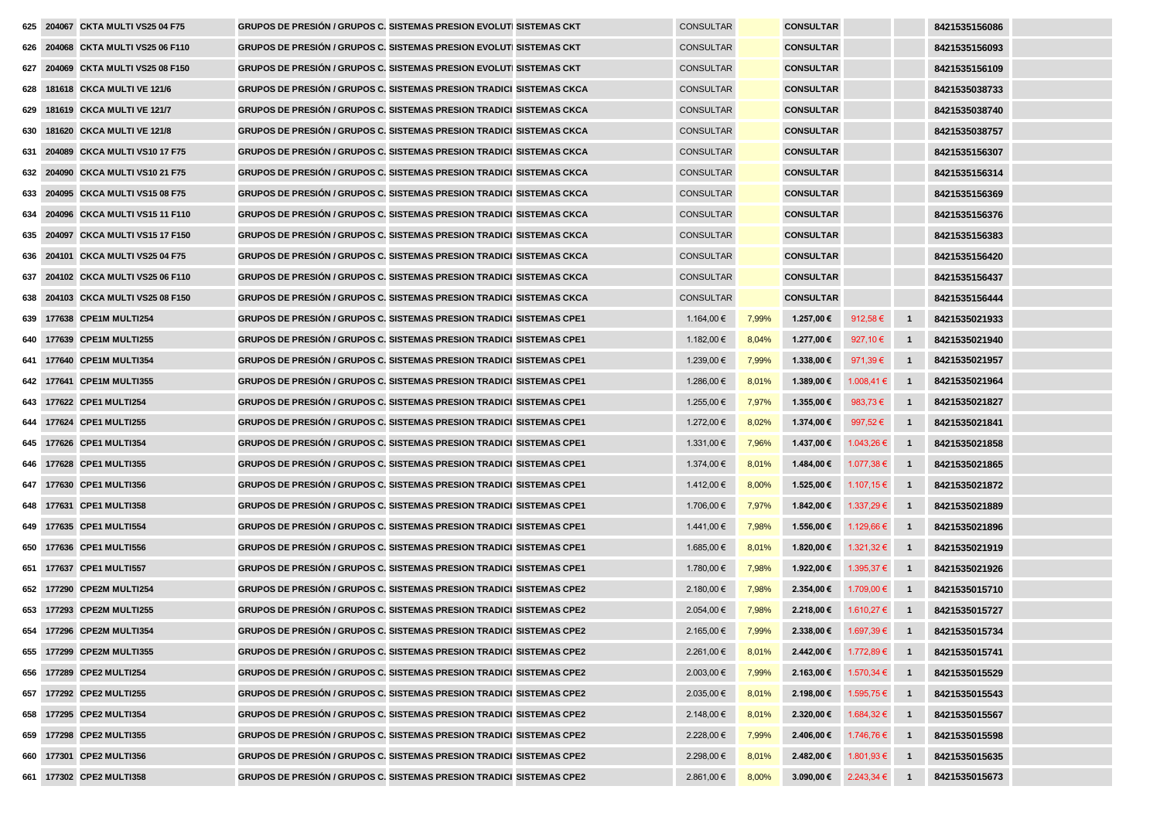|     | 625 204067 CKTA MULTI VS25 04 F75  | <b>GRUPOS DE PRESION / GRUPOS C. SISTEMAS PRESION EVOLUTI SISTEMAS CKT</b>  |  | <b>CONSULTAR</b> |       | <b>CONSULTAR</b>      |                |                         | 8421535156086 |  |
|-----|------------------------------------|-----------------------------------------------------------------------------|--|------------------|-------|-----------------------|----------------|-------------------------|---------------|--|
|     | 626 204068 CKTA MULTI VS25 06 F110 | <b>GRUPOS DE PRESIÓN / GRUPOS C. SISTEMAS PRESION EVOLUTI SISTEMAS CKT</b>  |  | <b>CONSULTAR</b> |       | <b>CONSULTAR</b>      |                |                         | 8421535156093 |  |
|     | 627 204069 CKTA MULTI VS25 08 F150 | <b>GRUPOS DE PRESIÓN / GRUPOS C. SISTEMAS PRESION EVOLUTI SISTEMAS CKT</b>  |  | <b>CONSULTAR</b> |       | <b>CONSULTAR</b>      |                |                         | 8421535156109 |  |
|     | 628 181618 CKCA MULTI VE 121/6     | <b>GRUPOS DE PRESIÓN / GRUPOS C. SISTEMAS PRESION TRADICI SISTEMAS CKCA</b> |  | <b>CONSULTAR</b> |       | <b>CONSULTAR</b>      |                |                         | 8421535038733 |  |
|     | 629 181619 CKCA MULTI VE 121/7     | <b>GRUPOS DE PRESIÓN / GRUPOS C. SISTEMAS PRESION TRADICI SISTEMAS CKCA</b> |  | CONSULTAR        |       | <b>CONSULTAR</b>      |                |                         | 8421535038740 |  |
| 630 | 181620 CKCA MULTI VE 121/8         | <b>GRUPOS DE PRESIÓN / GRUPOS C. SISTEMAS PRESION TRADICI SISTEMAS CKCA</b> |  | CONSULTAR        |       | <b>CONSULTAR</b>      |                |                         | 8421535038757 |  |
|     | 631 204089 CKCA MULTI VS10 17 F75  | <b>GRUPOS DE PRESIÓN / GRUPOS C. SISTEMAS PRESION TRADICI SISTEMAS CKCA</b> |  | <b>CONSULTAR</b> |       | <b>CONSULTAR</b>      |                |                         | 8421535156307 |  |
|     | 632 204090 CKCA MULTI VS10 21 F75  | GRUPOS DE PRESIÓN / GRUPOS C. SISTEMAS PRESION TRADICI SISTEMAS CKCA        |  | <b>CONSULTAR</b> |       | <b>CONSULTAR</b>      |                |                         | 8421535156314 |  |
|     | 633 204095 CKCA MULTI VS15 08 F75  | <b>GRUPOS DE PRESIÓN / GRUPOS C. SISTEMAS PRESION TRADICI SISTEMAS CKCA</b> |  | <b>CONSULTAR</b> |       | <b>CONSULTAR</b>      |                |                         | 8421535156369 |  |
|     | 634 204096 CKCA MULTI VS15 11 F110 | <b>GRUPOS DE PRESIÓN / GRUPOS C. SISTEMAS PRESION TRADICI SISTEMAS CKCA</b> |  | <b>CONSULTAR</b> |       | <b>CONSULTAR</b>      |                |                         | 8421535156376 |  |
|     | 635 204097 CKCA MULTI VS15 17 F150 | <b>GRUPOS DE PRESIÓN / GRUPOS C. SISTEMAS PRESION TRADICI SISTEMAS CKCA</b> |  | <b>CONSULTAR</b> |       | <b>CONSULTAR</b>      |                |                         | 8421535156383 |  |
|     | 636 204101 CKCA MULTI VS25 04 F75  | <b>GRUPOS DE PRESIÓN / GRUPOS C. SISTEMAS PRESION TRADICI SISTEMAS CKCA</b> |  | <b>CONSULTAR</b> |       | <b>CONSULTAR</b>      |                |                         | 8421535156420 |  |
|     | 637 204102 CKCA MULTI VS25 06 F110 | <b>GRUPOS DE PRESIÓN / GRUPOS C. SISTEMAS PRESION TRADICI SISTEMAS CKCA</b> |  | <b>CONSULTAR</b> |       | <b>CONSULTAR</b>      |                |                         | 8421535156437 |  |
|     | 638 204103 CKCA MULTI VS25 08 F150 | <b>GRUPOS DE PRESIÓN / GRUPOS C. SISTEMAS PRESION TRADICI SISTEMAS CKCA</b> |  | <b>CONSULTAR</b> |       | <b>CONSULTAR</b>      |                |                         | 8421535156444 |  |
|     | 639 177638 CPE1M MULTI254          | <b>GRUPOS DE PRESIÓN / GRUPOS C. SISTEMAS PRESION TRADICI SISTEMAS CPE1</b> |  | 1.164,00 €       | 7,99% | 1.257,00 €            | 912,58€        | $\blacksquare$          | 8421535021933 |  |
|     | 640 177639 CPE1M MULTI255          | <b>GRUPOS DE PRESIÓN / GRUPOS C. SISTEMAS PRESION TRADICI SISTEMAS CPE1</b> |  | 1.182,00 €       | 8,04% | 1.277,00 €            | 927,10 €       | $\blacksquare$          | 8421535021940 |  |
|     | 641 177640 CPE1M MULTI354          | <b>GRUPOS DE PRESIÓN / GRUPOS C. SISTEMAS PRESION TRADICI SISTEMAS CPE1</b> |  | 1.239,00 €       | 7,99% | 1.338,00 €            | 971,39€        | $\overline{1}$          | 8421535021957 |  |
|     | 642 177641 CPE1M MULTI355          | <b>GRUPOS DE PRESIÓN / GRUPOS C. SISTEMAS PRESION TRADICI SISTEMAS CPE1</b> |  | 1.286,00 €       | 8,01% | 1.389,00 €            | 1.008,41€      | $\overline{\mathbf{1}}$ | 8421535021964 |  |
|     | 643 177622 CPE1 MULTI254           | <b>GRUPOS DE PRESIÓN / GRUPOS C. SISTEMAS PRESION TRADICI SISTEMAS CPE1</b> |  | 1.255,00 €       | 7,97% | 1.355,00 €            | 983,73 €       | $\overline{1}$          | 8421535021827 |  |
| 644 | 177624 CPE1 MULTI255               | GRUPOS DE PRESIÓN / GRUPOS C. SISTEMAS PRESION TRADICI SISTEMAS CPE1        |  | 1.272,00 €       | 8,02% | 1.374,00 €            | 997,52 €       | $\blacksquare$          | 8421535021841 |  |
|     | 645 177626 CPE1 MULTI354           | <b>GRUPOS DE PRESIÓN / GRUPOS C. SISTEMAS PRESION TRADICI SISTEMAS CPE1</b> |  | 1.331,00 €       | 7,96% | 1.437,00 €            | 1.043,26 €     | $\blacksquare$          | 8421535021858 |  |
|     | 646 177628 CPE1 MULTI355           | <b>GRUPOS DE PRESIÓN / GRUPOS C. SISTEMAS PRESION TRADICI SISTEMAS CPE1</b> |  | 1.374,00 €       | 8,01% | 1.484,00 €            | $1.077,38 \in$ | $\overline{\mathbf{1}}$ | 8421535021865 |  |
|     | 647 177630 CPE1 MULTI356           | <b>GRUPOS DE PRESIÓN / GRUPOS C. SISTEMAS PRESION TRADICI SISTEMAS CPE1</b> |  | 1.412,00 €       | 8,00% | 1.525,00 €            | 1.107,15€      | $\blacksquare$          | 8421535021872 |  |
|     | 648 177631 CPE1 MULTI358           | <b>GRUPOS DE PRESIÓN / GRUPOS C. SISTEMAS PRESION TRADICI SISTEMAS CPE1</b> |  | 1.706,00 €       | 7,97% | 1.842,00 €            | 1.337,29 €     | $\blacksquare$          | 8421535021889 |  |
|     | 649 177635 CPE1 MULTI554           | <b>GRUPOS DE PRESIÓN / GRUPOS C. SISTEMAS PRESION TRADICI SISTEMAS CPE1</b> |  | 1.441,00 €       | 7,98% | 1.556,00 €            | 1.129,66 €     | $\blacksquare$          | 8421535021896 |  |
|     | 650 177636 CPE1 MULTI556           | <b>GRUPOS DE PRESIÓN / GRUPOS C. SISTEMAS PRESION TRADICI SISTEMAS CPE1</b> |  | 1.685,00 €       | 8,01% | 1.820,00 €            | 1.321,32 €     | $\blacksquare$          | 8421535021919 |  |
|     | 651 177637 CPE1 MULTI557           | <b>GRUPOS DE PRESIÓN / GRUPOS C. SISTEMAS PRESION TRADICI SISTEMAS CPE1</b> |  | 1.780,00 €       | 7,98% | 1.922,00 €            | 1.395,37 €     | $\blacksquare$          | 8421535021926 |  |
|     | 652 177290 CPE2M MULTI254          | <b>GRUPOS DE PRESIÓN / GRUPOS C. SISTEMAS PRESION TRADICI SISTEMAS CPE2</b> |  | 2.180,00 €       | 7,98% | 2.354,00 €            | 1.709,00 €     | $\blacksquare$          | 8421535015710 |  |
|     | 653 177293 CPE2M MULTI255          | <b>GRUPOS DE PRESIÓN / GRUPOS C. SISTEMAS PRESION TRADICI SISTEMAS CPE2</b> |  | 2.054,00 €       | 7,98% | 2.218,00 €            | 1.610,27 €     | $\overline{\mathbf{1}}$ | 8421535015727 |  |
|     | 654 177296 CPE2M MULTI354          | <b>GRUPOS DE PRESIÓN / GRUPOS C. SISTEMAS PRESION TRADICI SISTEMAS CPE2</b> |  | 2.165,00 €       | 7,99% | 2.338,00 € 1.697,39 € |                | $\overline{1}$          | 8421535015734 |  |
|     | 655 177299 CPE2M MULTI355          | <b>GRUPOS DE PRESIÓN / GRUPOS C. SISTEMAS PRESION TRADICI SISTEMAS CPE2</b> |  | 2.261,00 €       | 8,01% | 2.442,00 €            | 1.772,89 €     | $\blacksquare$          | 8421535015741 |  |
|     | 656 177289 CPE2 MULTI254           | <b>GRUPOS DE PRESIÓN / GRUPOS C. SISTEMAS PRESION TRADICI SISTEMAS CPE2</b> |  | 2.003,00 €       | 7,99% | 2.163,00 €            | 1.570,34 €     | $\overline{\mathbf{1}}$ | 8421535015529 |  |
| 657 | 177292 CPE2 MULTI255               | <b>GRUPOS DE PRESIÓN / GRUPOS C. SISTEMAS PRESION TRADICI SISTEMAS CPE2</b> |  | 2.035,00 €       | 8,01% | 2.198,00 €            | 1.595,75 €     | $\blacksquare$          | 8421535015543 |  |
|     | 658 177295 CPE2 MULTI354           | <b>GRUPOS DE PRESIÓN / GRUPOS C. SISTEMAS PRESION TRADICI SISTEMAS CPE2</b> |  | 2.148,00 €       | 8,01% | 2.320,00 €            | 1.684,32 €     | $\blacksquare$          | 8421535015567 |  |
|     | 659 177298 CPE2 MULTI355           | <b>GRUPOS DE PRESIÓN / GRUPOS C. SISTEMAS PRESION TRADICI SISTEMAS CPE2</b> |  | 2.228,00 €       | 7,99% | 2.406,00 €            | 1.746,76 €     | $\blacksquare$          | 8421535015598 |  |
|     | 660 177301 CPE2 MULTI356           | <b>GRUPOS DE PRESIÓN / GRUPOS C. SISTEMAS PRESION TRADICI SISTEMAS CPE2</b> |  | 2.298,00 €       | 8,01% | 2.482,00 €            | 1.801,93 €     | $\blacksquare$          | 8421535015635 |  |
|     | 661 177302 CPE2 MULTI358           | <b>GRUPOS DE PRESIÓN / GRUPOS C. SISTEMAS PRESION TRADICI SISTEMAS CPE2</b> |  | 2.861,00 €       | 8,00% | 3.090,00 € 2.243,34 € |                | $\blacksquare$          | 8421535015673 |  |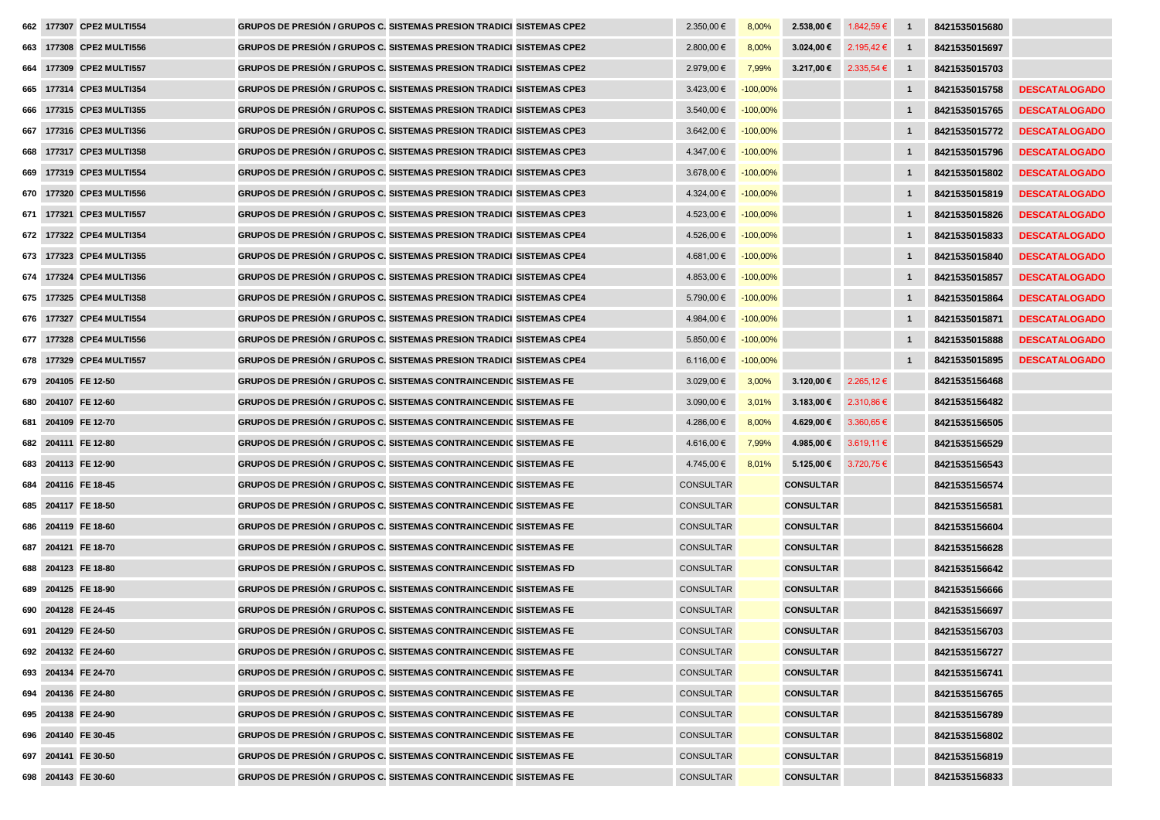|     | 662 177307 CPE2 MULTI554 | <b>GRUPOS DE PRESIÓN / GRUPOS C. SISTEMAS PRESION TRADICI SISTEMAS CPE2</b> |  | 2.350,00 €       | 8,00%       | 2.538,00 €            | 1.842,59 €     | $\blacksquare$           | 8421535015680 |                      |
|-----|--------------------------|-----------------------------------------------------------------------------|--|------------------|-------------|-----------------------|----------------|--------------------------|---------------|----------------------|
|     | 663 177308 CPE2 MULTI556 | <b>GRUPOS DE PRESIÓN / GRUPOS C. SISTEMAS PRESION TRADICI SISTEMAS CPE2</b> |  | 2.800,00 €       | 8,00%       | 3.024,00 €            | 2.195,42 €     | $\blacksquare$           | 8421535015697 |                      |
| 664 | 177309 CPE2 MULTI557     | <b>GRUPOS DE PRESIÓN / GRUPOS C. SISTEMAS PRESION TRADICI SISTEMAS CPE2</b> |  | 2.979,00 €       | 7,99%       | 3.217,00 € 2.335,54 € |                | $\overline{\phantom{0}}$ | 8421535015703 |                      |
|     | 665 177314 CPE3 MULTI354 | <b>GRUPOS DE PRESIÓN / GRUPOS C. SISTEMAS PRESION TRADICI SISTEMAS CPE3</b> |  | 3.423,00 €       | $-100,00%$  |                       |                | $\overline{1}$           | 8421535015758 | <b>DESCATALOGADO</b> |
|     | 666 177315 CPE3 MULTI355 | <b>GRUPOS DE PRESIÓN / GRUPOS C. SISTEMAS PRESION TRADICI SISTEMAS CPE3</b> |  | 3.540,00 €       | $-100,00\%$ |                       |                | $\overline{1}$           | 8421535015765 | <b>DESCATALOGADO</b> |
|     | 667 177316 CPE3 MULTI356 | <b>GRUPOS DE PRESIÓN / GRUPOS C. SISTEMAS PRESION TRADICI SISTEMAS CPE3</b> |  | 3.642,00 €       | $-100,00\%$ |                       |                | $\overline{1}$           | 8421535015772 | <b>DESCATALOGADO</b> |
|     | 668 177317 CPE3 MULTI358 | <b>GRUPOS DE PRESION / GRUPOS C. SISTEMAS PRESION TRADICI SISTEMAS CPE3</b> |  | 4.347,00 €       | $-100,00\%$ |                       |                | $\overline{1}$           | 8421535015796 | <b>DESCATALOGADO</b> |
|     | 669 177319 CPE3 MULTI554 | <b>GRUPOS DE PRESIÓN / GRUPOS C. SISTEMAS PRESION TRADICI SISTEMAS CPE3</b> |  | 3.678,00 €       | $-100,00\%$ |                       |                | $\overline{1}$           | 8421535015802 | <b>DESCATALOGADO</b> |
|     | 670 177320 CPE3 MULTI556 | <b>GRUPOS DE PRESIÓN / GRUPOS C. SISTEMAS PRESION TRADICI SISTEMAS CPE3</b> |  | 4.324,00 €       | $-100,00%$  |                       |                | $\mathbf{1}$             | 8421535015819 | <b>DESCATALOGADO</b> |
|     | 671 177321 CPE3 MULTI557 | <b>GRUPOS DE PRESIÓN / GRUPOS C. SISTEMAS PRESION TRADICI SISTEMAS CPE3</b> |  | 4.523,00 €       | $-100,00\%$ |                       |                | $\overline{1}$           | 8421535015826 | <b>DESCATALOGADO</b> |
|     | 672 177322 CPE4 MULTI354 | <b>GRUPOS DE PRESIÓN / GRUPOS C. SISTEMAS PRESION TRADICI SISTEMAS CPE4</b> |  | 4.526,00 €       | $-100,00\%$ |                       |                | $\mathbf{1}$             | 8421535015833 | <b>DESCATALOGADO</b> |
|     | 673 177323 CPE4 MULTI355 | <b>GRUPOS DE PRESIÓN / GRUPOS C. SISTEMAS PRESION TRADICI SISTEMAS CPE4</b> |  | 4.681,00 €       | $-100,00%$  |                       |                | $\overline{1}$           | 8421535015840 | <b>DESCATALOGADO</b> |
|     | 674 177324 CPE4 MULTI356 | <b>GRUPOS DE PRESIÓN / GRUPOS C. SISTEMAS PRESION TRADICI SISTEMAS CPE4</b> |  | 4.853,00 €       | $-100,00%$  |                       |                | $\mathbf{1}$             | 8421535015857 | <b>DESCATALOGADO</b> |
|     | 675 177325 CPE4 MULTI358 | <b>GRUPOS DE PRESIÓN / GRUPOS C. SISTEMAS PRESION TRADICI SISTEMAS CPE4</b> |  | 5.790,00 €       | $-100,00%$  |                       |                | $\overline{1}$           | 8421535015864 | <b>DESCATALOGADO</b> |
|     | 676 177327 CPE4 MULTI554 | <b>GRUPOS DE PRESIÓN / GRUPOS C. SISTEMAS PRESION TRADICI SISTEMAS CPE4</b> |  | 4.984,00 €       | $-100,00%$  |                       |                | $\mathbf{1}$             | 8421535015871 | <b>DESCATALOGADO</b> |
|     | 677 177328 CPE4 MULTI556 | <b>GRUPOS DE PRESIÓN / GRUPOS C. SISTEMAS PRESION TRADICI SISTEMAS CPE4</b> |  | 5.850,00 €       | $-100,00%$  |                       |                | $\overline{1}$           | 8421535015888 | <b>DESCATALOGADO</b> |
|     | 678 177329 CPE4 MULTI557 | <b>GRUPOS DE PRESIÓN / GRUPOS C. SISTEMAS PRESION TRADICI SISTEMAS CPE4</b> |  | 6.116,00 €       | $-100,00%$  |                       |                | $\mathbf{1}$             | 8421535015895 | <b>DESCATALOGADO</b> |
|     | 679 204105 FE 12-50      | <b>GRUPOS DE PRESIÓN / GRUPOS C. SISTEMAS CONTRAINCENDIC SISTEMAS FE</b>    |  | 3.029,00 €       | 3,00%       | 3.120,00 €            | 2.265,12 €     |                          | 8421535156468 |                      |
|     | 680 204107 FE 12-60      | <b>GRUPOS DE PRESIÓN / GRUPOS C. SISTEMAS CONTRAINCENDIC SISTEMAS FE</b>    |  | 3.090,00 €       | 3,01%       | 3.183,00 €            | 2.310,86 €     |                          | 8421535156482 |                      |
|     | 681 204109 FE 12-70      | <b>GRUPOS DE PRESIÓN / GRUPOS C. SISTEMAS CONTRAINCENDIC SISTEMAS FE</b>    |  | 4.286,00 €       | 8,00%       | 4.629,00 € 3.360,65 € |                |                          | 8421535156505 |                      |
|     | 682 204111 FE 12-80      | <b>GRUPOS DE PRESIÓN / GRUPOS C. SISTEMAS CONTRAINCENDIC SISTEMAS FE</b>    |  | 4.616,00 €       | 7,99%       | 4.985,00 €            | $3.619,11 \in$ |                          | 8421535156529 |                      |
|     | 683 204113 FE 12-90      | <b>GRUPOS DE PRESIÓN / GRUPOS C. SISTEMAS CONTRAINCENDIC SISTEMAS FE</b>    |  | 4.745,00 €       | 8,01%       | 5.125,00 € 3.720,75 € |                |                          | 8421535156543 |                      |
|     | 684 204116 FE 18-45      | <b>GRUPOS DE PRESIÓN / GRUPOS C. SISTEMAS CONTRAINCENDIC SISTEMAS FE</b>    |  | <b>CONSULTAR</b> |             | <b>CONSULTAR</b>      |                |                          | 8421535156574 |                      |
|     | 685 204117 FE 18-50      | <b>GRUPOS DE PRESIÓN / GRUPOS C. SISTEMAS CONTRAINCENDIC SISTEMAS FE</b>    |  | <b>CONSULTAR</b> |             | <b>CONSULTAR</b>      |                |                          | 8421535156581 |                      |
|     | 686 204119 FE 18-60      | <b>GRUPOS DE PRESIÓN / GRUPOS C. SISTEMAS CONTRAINCENDIC SISTEMAS FE</b>    |  | <b>CONSULTAR</b> |             | <b>CONSULTAR</b>      |                |                          | 8421535156604 |                      |
|     | 687 204121 FE 18-70      | GRUPOS DE PRESIÓN / GRUPOS C. SISTEMAS CONTRAINCENDIC SISTEMAS FE           |  | <b>CONSULTAR</b> |             | <b>CONSULTAR</b>      |                |                          | 8421535156628 |                      |
|     | 688 204123 FE 18-80      | <b>GRUPOS DE PRESIÓN / GRUPOS C. SISTEMAS CONTRAINCENDIC SISTEMAS FD</b>    |  | <b>CONSULTAR</b> |             | <b>CONSULTAR</b>      |                |                          | 8421535156642 |                      |
|     | 689 204125 FE 18-90      | <b>GRUPOS DE PRESIÓN / GRUPOS C. SISTEMAS CONTRAINCENDIC SISTEMAS FE</b>    |  | <b>CONSULTAR</b> |             | <b>CONSULTAR</b>      |                |                          | 8421535156666 |                      |
|     | 690 204128 FE 24-45      | <b>GRUPOS DE PRESIÓN / GRUPOS C. SISTEMAS CONTRAINCENDIC SISTEMAS FE</b>    |  | <b>CONSULTAR</b> |             | <b>CONSULTAR</b>      |                |                          | 8421535156697 |                      |
|     | 691 204129 FE 24-50      | <b>GRUPOS DE PRESIÓN / GRUPOS C. SISTEMAS CONTRAINCENDIC SISTEMAS FE</b>    |  | <b>CONSULTAR</b> |             | <b>CONSULTAR</b>      |                |                          | 8421535156703 |                      |
|     | 692 204132 FE 24-60      | <b>GRUPOS DE PRESIÓN / GRUPOS C. SISTEMAS CONTRAINCENDIC SISTEMAS FE</b>    |  | <b>CONSULTAR</b> |             | <b>CONSULTAR</b>      |                |                          | 8421535156727 |                      |
|     | 693 204134 FE 24-70      | <b>GRUPOS DE PRESIÓN / GRUPOS C. SISTEMAS CONTRAINCENDIC SISTEMAS FE</b>    |  | <b>CONSULTAR</b> |             | <b>CONSULTAR</b>      |                |                          | 8421535156741 |                      |
|     | 694 204136 FE 24-80      | <b>GRUPOS DE PRESIÓN / GRUPOS C. SISTEMAS CONTRAINCENDIC SISTEMAS FE</b>    |  | <b>CONSULTAR</b> |             | <b>CONSULTAR</b>      |                |                          | 8421535156765 |                      |
|     | 695 204138 FE 24-90      | <b>GRUPOS DE PRESIÓN / GRUPOS C. SISTEMAS CONTRAINCENDIC SISTEMAS FE</b>    |  | <b>CONSULTAR</b> |             | <b>CONSULTAR</b>      |                |                          | 8421535156789 |                      |
|     | 696 204140 FE 30-45      | <b>GRUPOS DE PRESIÓN / GRUPOS C. SISTEMAS CONTRAINCENDIC SISTEMAS FE</b>    |  | CONSULTAR        |             | <b>CONSULTAR</b>      |                |                          | 8421535156802 |                      |
|     | 697 204141 FE 30-50      | <b>GRUPOS DE PRESIÓN / GRUPOS C. SISTEMAS CONTRAINCENDIC SISTEMAS FE</b>    |  | <b>CONSULTAR</b> |             | <b>CONSULTAR</b>      |                |                          | 8421535156819 |                      |
|     | 698 204143 FE 30-60      | <b>GRUPOS DE PRESIÓN / GRUPOS C. SISTEMAS CONTRAINCENDIC SISTEMAS FE</b>    |  | CONSULTAR        |             | <b>CONSULTAR</b>      |                |                          | 8421535156833 |                      |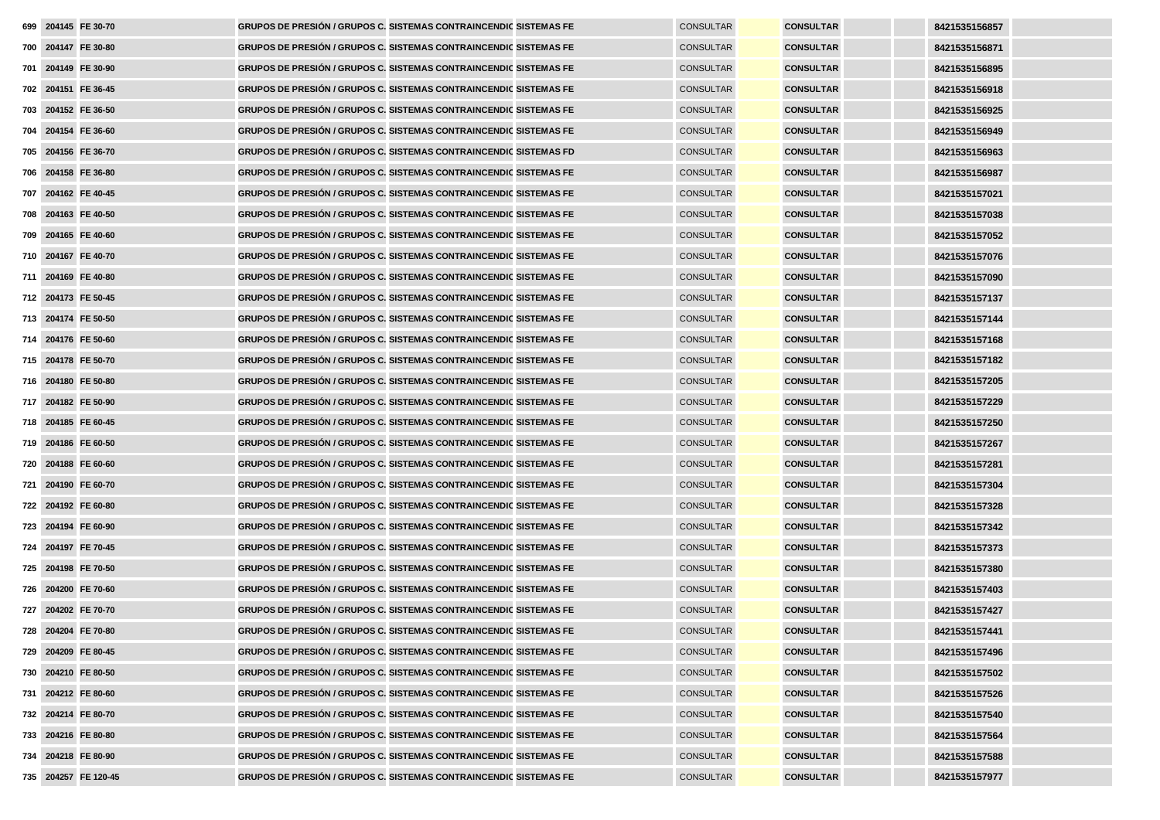| 699 204145 FE 30-70  | <b>GRUPOS DE PRESION / GRUPOS C. SISTEMAS CONTRAINCENDIC SISTEMAS FE</b> |  | <b>CONSULTAR</b> | <b>CONSULTAR</b> | 8421535156857 |
|----------------------|--------------------------------------------------------------------------|--|------------------|------------------|---------------|
| 700 204147 FE 30-80  | <b>GRUPOS DE PRESIÓN / GRUPOS C. SISTEMAS CONTRAINCENDIC SISTEMAS FE</b> |  | <b>CONSULTAR</b> | <b>CONSULTAR</b> | 8421535156871 |
| 701 204149 FE 30-90  | <b>GRUPOS DE PRESIÓN / GRUPOS C. SISTEMAS CONTRAINCENDIC SISTEMAS FE</b> |  | <b>CONSULTAR</b> | <b>CONSULTAR</b> | 8421535156895 |
| 702 204151 FE 36-45  | <b>GRUPOS DE PRESIÓN / GRUPOS C. SISTEMAS CONTRAINCENDIC SISTEMAS FE</b> |  | <b>CONSULTAR</b> | <b>CONSULTAR</b> | 8421535156918 |
| 703 204152 FE 36-50  | <b>GRUPOS DE PRESIÓN / GRUPOS C. SISTEMAS CONTRAINCENDIC SISTEMAS FE</b> |  | <b>CONSULTAR</b> | <b>CONSULTAR</b> | 8421535156925 |
| 704 204154 FE 36-60  | <b>GRUPOS DE PRESIÓN / GRUPOS C. SISTEMAS CONTRAINCENDIC SISTEMAS FE</b> |  | <b>CONSULTAR</b> | <b>CONSULTAR</b> | 8421535156949 |
| 705 204156 FE 36-70  | <b>GRUPOS DE PRESIÓN / GRUPOS C. SISTEMAS CONTRAINCENDIC SISTEMAS FD</b> |  | <b>CONSULTAR</b> | <b>CONSULTAR</b> | 8421535156963 |
| 706 204158 FE 36-80  | <b>GRUPOS DE PRESIÓN / GRUPOS C. SISTEMAS CONTRAINCENDIC SISTEMAS FE</b> |  | <b>CONSULTAR</b> | <b>CONSULTAR</b> | 8421535156987 |
| 707 204162 FE 40-45  | <b>GRUPOS DE PRESIÓN / GRUPOS C. SISTEMAS CONTRAINCENDIC SISTEMAS FE</b> |  | <b>CONSULTAR</b> | <b>CONSULTAR</b> | 8421535157021 |
| 708 204163 FE 40-50  | <b>GRUPOS DE PRESIÓN / GRUPOS C. SISTEMAS CONTRAINCENDIC SISTEMAS FE</b> |  | <b>CONSULTAR</b> | <b>CONSULTAR</b> | 8421535157038 |
| 709 204165 FE 40-60  | <b>GRUPOS DE PRESIÓN / GRUPOS C. SISTEMAS CONTRAINCENDIC SISTEMAS FE</b> |  | <b>CONSULTAR</b> | <b>CONSULTAR</b> | 8421535157052 |
| 710 204167 FE 40-70  | <b>GRUPOS DE PRESIÓN / GRUPOS C. SISTEMAS CONTRAINCENDIC SISTEMAS FE</b> |  | <b>CONSULTAR</b> | <b>CONSULTAR</b> | 8421535157076 |
| 711 204169 FE 40-80  | <b>GRUPOS DE PRESIÓN / GRUPOS C. SISTEMAS CONTRAINCENDIC SISTEMAS FE</b> |  | <b>CONSULTAR</b> | <b>CONSULTAR</b> | 8421535157090 |
| 712 204173 FE 50-45  | <b>GRUPOS DE PRESIÓN / GRUPOS C. SISTEMAS CONTRAINCENDIC SISTEMAS FE</b> |  | <b>CONSULTAR</b> | <b>CONSULTAR</b> | 8421535157137 |
| 713 204174 FE 50-50  | <b>GRUPOS DE PRESIÓN / GRUPOS C. SISTEMAS CONTRAINCENDIC SISTEMAS FE</b> |  | <b>CONSULTAR</b> | <b>CONSULTAR</b> | 8421535157144 |
| 714 204176 FE 50-60  | <b>GRUPOS DE PRESIÓN / GRUPOS C. SISTEMAS CONTRAINCENDIC SISTEMAS FE</b> |  | <b>CONSULTAR</b> | <b>CONSULTAR</b> | 8421535157168 |
| 715 204178 FE 50-70  | <b>GRUPOS DE PRESIÓN / GRUPOS C. SISTEMAS CONTRAINCENDIC SISTEMAS FE</b> |  | <b>CONSULTAR</b> | <b>CONSULTAR</b> | 8421535157182 |
| 716 204180 FE 50-80  | <b>GRUPOS DE PRESIÓN / GRUPOS C. SISTEMAS CONTRAINCENDIC SISTEMAS FE</b> |  | <b>CONSULTAR</b> | <b>CONSULTAR</b> | 8421535157205 |
| 717 204182 FE 50-90  | <b>GRUPOS DE PRESIÓN / GRUPOS C. SISTEMAS CONTRAINCENDIC SISTEMAS FE</b> |  | <b>CONSULTAR</b> | <b>CONSULTAR</b> | 8421535157229 |
| 718 204185 FE 60-45  | <b>GRUPOS DE PRESION / GRUPOS C. SISTEMAS CONTRAINCENDIC SISTEMAS FE</b> |  | <b>CONSULTAR</b> | <b>CONSULTAR</b> | 8421535157250 |
| 719 204186 FE 60-50  | <b>GRUPOS DE PRESIÓN / GRUPOS C. SISTEMAS CONTRAINCENDIC SISTEMAS FE</b> |  | <b>CONSULTAR</b> | <b>CONSULTAR</b> | 8421535157267 |
| 720 204188 FE 60-60  | <b>GRUPOS DE PRESIÓN / GRUPOS C. SISTEMAS CONTRAINCENDIC SISTEMAS FE</b> |  | <b>CONSULTAR</b> | <b>CONSULTAR</b> | 8421535157281 |
| 721 204190 FE 60-70  | <b>GRUPOS DE PRESIÓN / GRUPOS C. SISTEMAS CONTRAINCENDIC SISTEMAS FE</b> |  | <b>CONSULTAR</b> | <b>CONSULTAR</b> | 8421535157304 |
| 722 204192 FE 60-80  | <b>GRUPOS DE PRESIÓN / GRUPOS C. SISTEMAS CONTRAINCENDIC SISTEMAS FE</b> |  | <b>CONSULTAR</b> | <b>CONSULTAR</b> | 8421535157328 |
| 723 204194 FE 60-90  | <b>GRUPOS DE PRESIÓN / GRUPOS C. SISTEMAS CONTRAINCENDIC SISTEMAS FE</b> |  | <b>CONSULTAR</b> | <b>CONSULTAR</b> | 8421535157342 |
| 724 204197 FE 70-45  | <b>GRUPOS DE PRESIÓN / GRUPOS C. SISTEMAS CONTRAINCENDIC SISTEMAS FE</b> |  | <b>CONSULTAR</b> | <b>CONSULTAR</b> | 8421535157373 |
| 725 204198 FE 70-50  | <b>GRUPOS DE PRESIÓN / GRUPOS C. SISTEMAS CONTRAINCENDIC SISTEMAS FE</b> |  | <b>CONSULTAR</b> | <b>CONSULTAR</b> | 8421535157380 |
| 726 204200 FE 70-60  | <b>GRUPOS DE PRESIÓN / GRUPOS C. SISTEMAS CONTRAINCENDIC SISTEMAS FE</b> |  | <b>CONSULTAR</b> | <b>CONSULTAR</b> | 8421535157403 |
| 727 204202 FE 70-70  | <b>GRUPOS DE PRESIÓN / GRUPOS C. SISTEMAS CONTRAINCENDIC SISTEMAS FE</b> |  | <b>CONSULTAR</b> | <b>CONSULTAR</b> | 8421535157427 |
| 728 204204 FE 70-80  | GRUPOS DE PRESIÓN / GRUPOS C. SISTEMAS CONTRAINCENDIC SISTEMAS FE        |  | <b>CONSULTAR</b> | <b>CONSULTAR</b> | 8421535157441 |
| 729 204209 FE 80-45  | <b>GRUPOS DE PRESIÓN / GRUPOS C. SISTEMAS CONTRAINCENDIC SISTEMAS FE</b> |  | <b>CONSULTAR</b> | <b>CONSULTAR</b> | 8421535157496 |
| 730 204210 FE 80-50  | <b>GRUPOS DE PRESIÓN / GRUPOS C. SISTEMAS CONTRAINCENDIC SISTEMAS FE</b> |  | <b>CONSULTAR</b> | <b>CONSULTAR</b> | 8421535157502 |
| 731 204212 FE 80-60  | <b>GRUPOS DE PRESIÓN / GRUPOS C. SISTEMAS CONTRAINCENDIC SISTEMAS FE</b> |  | <b>CONSULTAR</b> | <b>CONSULTAR</b> | 8421535157526 |
| 732 204214 FE 80-70  | <b>GRUPOS DE PRESIÓN / GRUPOS C. SISTEMAS CONTRAINCENDIC SISTEMAS FE</b> |  | <b>CONSULTAR</b> | <b>CONSULTAR</b> | 8421535157540 |
| 733 204216 FE 80-80  | <b>GRUPOS DE PRESIÓN / GRUPOS C. SISTEMAS CONTRAINCENDIC SISTEMAS FE</b> |  | <b>CONSULTAR</b> | <b>CONSULTAR</b> | 8421535157564 |
| 734 204218 FE 80-90  | <b>GRUPOS DE PRESIÓN / GRUPOS C. SISTEMAS CONTRAINCENDIC SISTEMAS FE</b> |  | <b>CONSULTAR</b> | <b>CONSULTAR</b> | 8421535157588 |
| 735 204257 FE 120-45 | <b>GRUPOS DE PRESIÓN / GRUPOS C. SISTEMAS CONTRAINCENDIC SISTEMAS FE</b> |  | <b>CONSULTAR</b> | <b>CONSULTAR</b> | 8421535157977 |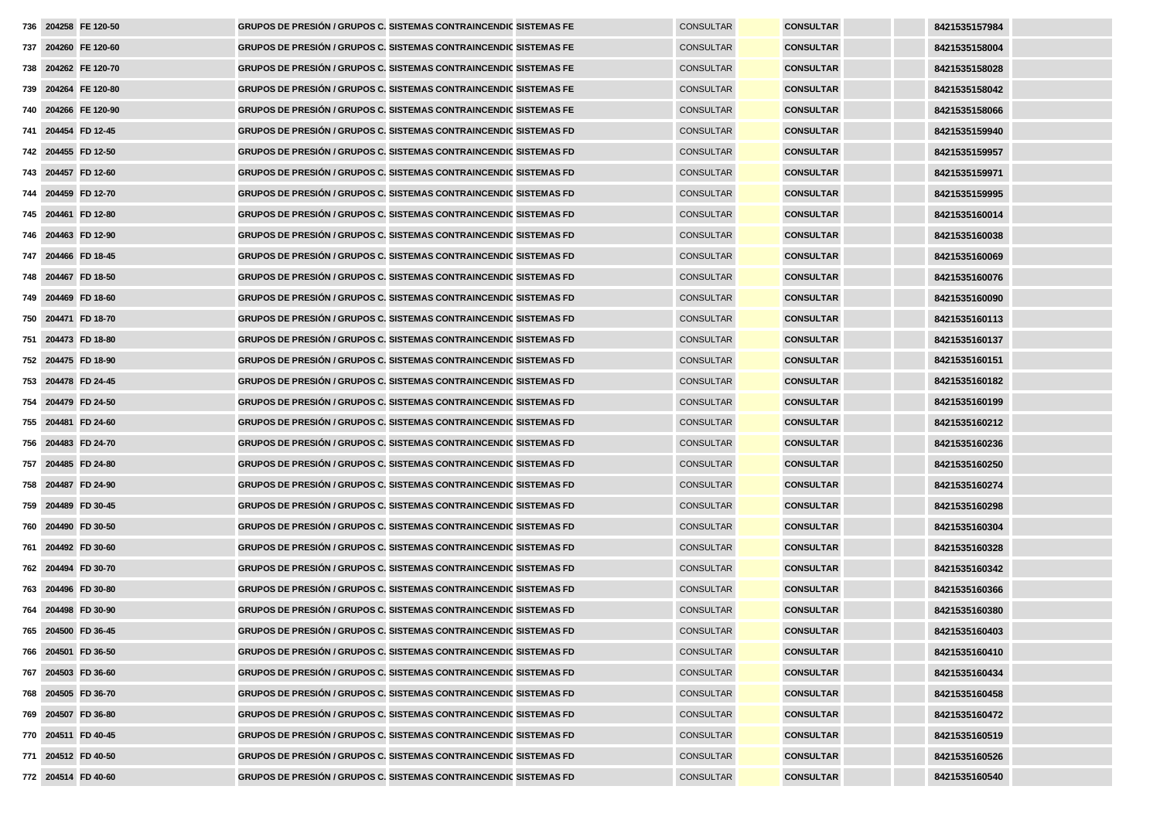| 736 204258 FE 120-50 | <b>GRUPOS DE PRESION / GRUPOS C. SISTEMAS CONTRAINCENDIC SISTEMAS FE</b> |  | <b>CONSULTAR</b> | <b>CONSULTAR</b> | 8421535157984 |
|----------------------|--------------------------------------------------------------------------|--|------------------|------------------|---------------|
| 737 204260 FE 120-60 | <b>GRUPOS DE PRESIÓN / GRUPOS C. SISTEMAS CONTRAINCENDIC SISTEMAS FE</b> |  | <b>CONSULTAR</b> | <b>CONSULTAR</b> | 8421535158004 |
| 738 204262 FE 120-70 | <b>GRUPOS DE PRESIÓN / GRUPOS C. SISTEMAS CONTRAINCENDIC SISTEMAS FE</b> |  | <b>CONSULTAR</b> | <b>CONSULTAR</b> | 8421535158028 |
| 739 204264 FE 120-80 | <b>GRUPOS DE PRESIÓN / GRUPOS C. SISTEMAS CONTRAINCENDIC SISTEMAS FE</b> |  | <b>CONSULTAR</b> | <b>CONSULTAR</b> | 8421535158042 |
| 740 204266 FE 120-90 | <b>GRUPOS DE PRESIÓN / GRUPOS C. SISTEMAS CONTRAINCENDIC SISTEMAS FE</b> |  | <b>CONSULTAR</b> | <b>CONSULTAR</b> | 8421535158066 |
| 741 204454 FD 12-45  | <b>GRUPOS DE PRESIÓN / GRUPOS C. SISTEMAS CONTRAINCENDIC SISTEMAS FD</b> |  | <b>CONSULTAR</b> | <b>CONSULTAR</b> | 8421535159940 |
| 742 204455 FD 12-50  | <b>GRUPOS DE PRESIÓN / GRUPOS C. SISTEMAS CONTRAINCENDIC SISTEMAS FD</b> |  | <b>CONSULTAR</b> | <b>CONSULTAR</b> | 8421535159957 |
| 743 204457 FD 12-60  | <b>GRUPOS DE PRESIÓN / GRUPOS C. SISTEMAS CONTRAINCENDIC SISTEMAS FD</b> |  | <b>CONSULTAR</b> | <b>CONSULTAR</b> | 8421535159971 |
| 744 204459 FD 12-70  | <b>GRUPOS DE PRESIÓN / GRUPOS C. SISTEMAS CONTRAINCENDIC SISTEMAS FD</b> |  | <b>CONSULTAR</b> | <b>CONSULTAR</b> | 8421535159995 |
| 745 204461 FD 12-80  | <b>GRUPOS DE PRESIÓN / GRUPOS C. SISTEMAS CONTRAINCENDIC SISTEMAS FD</b> |  | <b>CONSULTAR</b> | <b>CONSULTAR</b> | 8421535160014 |
| 746 204463 FD 12-90  | <b>GRUPOS DE PRESIÓN / GRUPOS C. SISTEMAS CONTRAINCENDIC SISTEMAS FD</b> |  | <b>CONSULTAR</b> | <b>CONSULTAR</b> | 8421535160038 |
| 747 204466 FD 18-45  | <b>GRUPOS DE PRESIÓN / GRUPOS C. SISTEMAS CONTRAINCENDIC SISTEMAS FD</b> |  | <b>CONSULTAR</b> | <b>CONSULTAR</b> | 8421535160069 |
| 748 204467 FD 18-50  | <b>GRUPOS DE PRESIÓN / GRUPOS C. SISTEMAS CONTRAINCENDIC SISTEMAS FD</b> |  | <b>CONSULTAR</b> | <b>CONSULTAR</b> | 8421535160076 |
| 749 204469 FD 18-60  | <b>GRUPOS DE PRESIÓN / GRUPOS C. SISTEMAS CONTRAINCENDIC SISTEMAS FD</b> |  | <b>CONSULTAR</b> | <b>CONSULTAR</b> | 8421535160090 |
| 750 204471 FD 18-70  | <b>GRUPOS DE PRESIÓN / GRUPOS C. SISTEMAS CONTRAINCENDIC SISTEMAS FD</b> |  | <b>CONSULTAR</b> | <b>CONSULTAR</b> | 8421535160113 |
| 751 204473 FD 18-80  | <b>GRUPOS DE PRESIÓN / GRUPOS C. SISTEMAS CONTRAINCENDIC SISTEMAS FD</b> |  | <b>CONSULTAR</b> | <b>CONSULTAR</b> | 8421535160137 |
| 752 204475 FD 18-90  | <b>GRUPOS DE PRESIÓN / GRUPOS C. SISTEMAS CONTRAINCENDIC SISTEMAS FD</b> |  | <b>CONSULTAR</b> | <b>CONSULTAR</b> | 8421535160151 |
| 753 204478 FD 24-45  | <b>GRUPOS DE PRESIÓN / GRUPOS C. SISTEMAS CONTRAINCENDIC SISTEMAS FD</b> |  | <b>CONSULTAR</b> | <b>CONSULTAR</b> | 8421535160182 |
| 754 204479 FD 24-50  | <b>GRUPOS DE PRESIÓN / GRUPOS C. SISTEMAS CONTRAINCENDIC SISTEMAS FD</b> |  | <b>CONSULTAR</b> | <b>CONSULTAR</b> | 8421535160199 |
| 755 204481 FD 24-60  | GRUPOS DE PRESIÓN / GRUPOS C. SISTEMAS CONTRAINCENDIC SISTEMAS FD        |  | <b>CONSULTAR</b> | <b>CONSULTAR</b> | 8421535160212 |
| 756 204483 FD 24-70  | <b>GRUPOS DE PRESIÓN / GRUPOS C. SISTEMAS CONTRAINCENDIC SISTEMAS FD</b> |  | <b>CONSULTAR</b> | <b>CONSULTAR</b> | 8421535160236 |
| 757 204485 FD 24-80  | <b>GRUPOS DE PRESION / GRUPOS C. SISTEMAS CONTRAINCENDIC SISTEMAS FD</b> |  | <b>CONSULTAR</b> | <b>CONSULTAR</b> | 8421535160250 |
| 758 204487 FD 24-90  | <b>GRUPOS DE PRESIÓN / GRUPOS C. SISTEMAS CONTRAINCENDIC SISTEMAS FD</b> |  | <b>CONSULTAR</b> | <b>CONSULTAR</b> | 8421535160274 |
| 759 204489 FD 30-45  | <b>GRUPOS DE PRESIÓN / GRUPOS C. SISTEMAS CONTRAINCENDIC SISTEMAS FD</b> |  | <b>CONSULTAR</b> | <b>CONSULTAR</b> | 8421535160298 |
| 760 204490 FD 30-50  | <b>GRUPOS DE PRESIÓN / GRUPOS C. SISTEMAS CONTRAINCENDIC SISTEMAS FD</b> |  | <b>CONSULTAR</b> | <b>CONSULTAR</b> | 8421535160304 |
| 761 204492 FD 30-60  | <b>GRUPOS DE PRESIÓN / GRUPOS C. SISTEMAS CONTRAINCENDIC SISTEMAS FD</b> |  | <b>CONSULTAR</b> | <b>CONSULTAR</b> | 8421535160328 |
| 762 204494 FD 30-70  | <b>GRUPOS DE PRESIÓN / GRUPOS C. SISTEMAS CONTRAINCENDIC SISTEMAS FD</b> |  | <b>CONSULTAR</b> | <b>CONSULTAR</b> | 8421535160342 |
| 763 204496 FD 30-80  | <b>GRUPOS DE PRESIÓN / GRUPOS C. SISTEMAS CONTRAINCENDIC SISTEMAS FD</b> |  | <b>CONSULTAR</b> | <b>CONSULTAR</b> | 8421535160366 |
| 764 204498 FD 30-90  | <b>GRUPOS DE PRESIÓN / GRUPOS C. SISTEMAS CONTRAINCENDIC SISTEMAS FD</b> |  | <b>CONSULTAR</b> | <b>CONSULTAR</b> | 8421535160380 |
| 765 204500 FD 36-45  | <b>GRUPOS DE PRESIÓN / GRUPOS C. SISTEMAS CONTRAINCENDIC SISTEMAS FD</b> |  | <b>CONSULTAR</b> | <b>CONSULTAR</b> | 8421535160403 |
| 766 204501 FD 36-50  | <b>GRUPOS DE PRESIÓN / GRUPOS C. SISTEMAS CONTRAINCENDIC SISTEMAS FD</b> |  | <b>CONSULTAR</b> | <b>CONSULTAR</b> | 8421535160410 |
| 767 204503 FD 36-60  | <b>GRUPOS DE PRESIÓN / GRUPOS C. SISTEMAS CONTRAINCENDIC SISTEMAS FD</b> |  | <b>CONSULTAR</b> | <b>CONSULTAR</b> | 8421535160434 |
| 768 204505 FD 36-70  | <b>GRUPOS DE PRESIÓN / GRUPOS C. SISTEMAS CONTRAINCENDIC SISTEMAS FD</b> |  | <b>CONSULTAR</b> | <b>CONSULTAR</b> | 8421535160458 |
| 769 204507 FD 36-80  | <b>GRUPOS DE PRESIÓN / GRUPOS C. SISTEMAS CONTRAINCENDIC SISTEMAS FD</b> |  | <b>CONSULTAR</b> | <b>CONSULTAR</b> | 8421535160472 |
| 770 204511 FD 40-45  | <b>GRUPOS DE PRESIÓN / GRUPOS C. SISTEMAS CONTRAINCENDIC SISTEMAS FD</b> |  | <b>CONSULTAR</b> | <b>CONSULTAR</b> | 8421535160519 |
| 771 204512 FD 40-50  | <b>GRUPOS DE PRESIÓN / GRUPOS C. SISTEMAS CONTRAINCENDIC SISTEMAS FD</b> |  | <b>CONSULTAR</b> | <b>CONSULTAR</b> | 8421535160526 |
| 772 204514 FD 40-60  | <b>GRUPOS DE PRESIÓN / GRUPOS C. SISTEMAS CONTRAINCENDIC SISTEMAS FD</b> |  | <b>CONSULTAR</b> | <b>CONSULTAR</b> | 8421535160540 |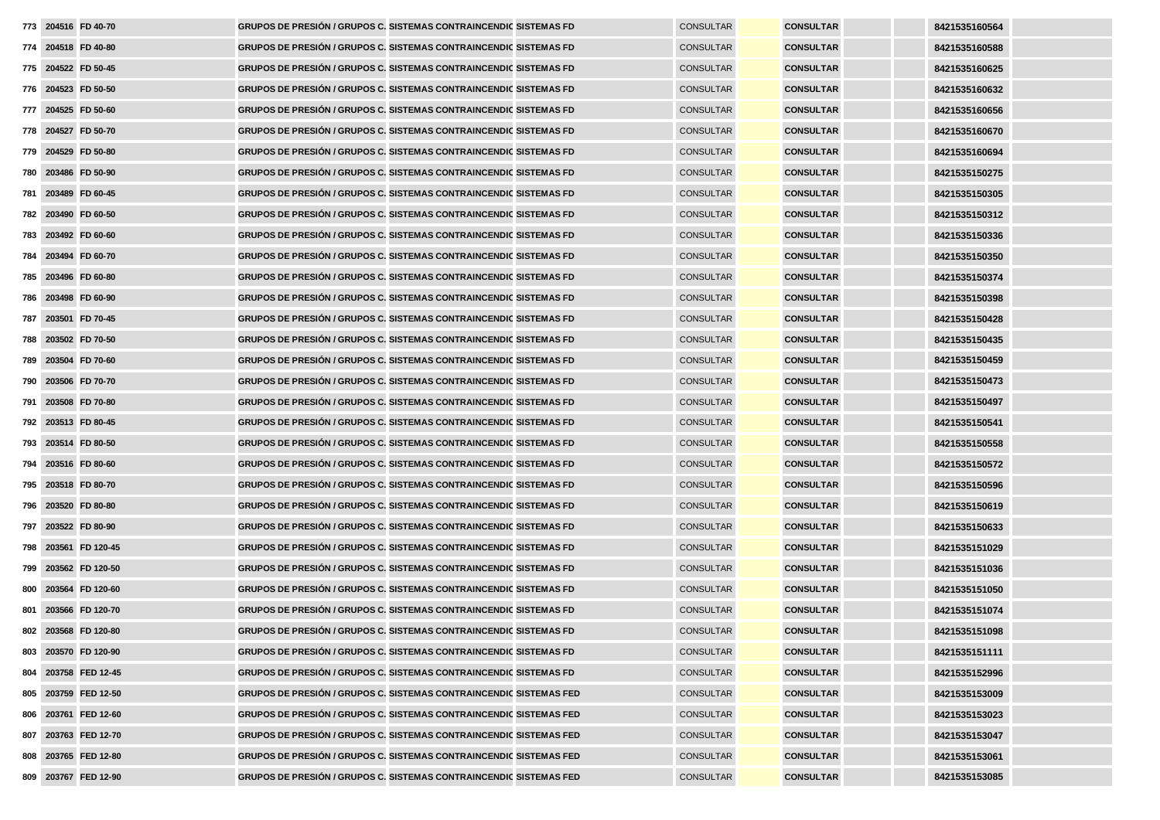| 773 204516 FD 40-70  | <b>GRUPOS DE PRESION / GRUPOS C. SISTEMAS CONTRAINCENDIC SISTEMAS FD</b>  | <b>CONSULTAR</b> | <b>CONSULTAR</b> | 8421535160564 |
|----------------------|---------------------------------------------------------------------------|------------------|------------------|---------------|
| 774 204518 FD 40-80  | <b>GRUPOS DE PRESIÓN / GRUPOS C. SISTEMAS CONTRAINCENDIC SISTEMAS FD</b>  | <b>CONSULTAR</b> | <b>CONSULTAR</b> | 8421535160588 |
| 775 204522 FD 50-45  | <b>GRUPOS DE PRESIÓN / GRUPOS C. SISTEMAS CONTRAINCENDIC SISTEMAS FD</b>  | <b>CONSULTAR</b> | <b>CONSULTAR</b> | 8421535160625 |
| 776 204523 FD 50-50  | <b>GRUPOS DE PRESIÓN / GRUPOS C. SISTEMAS CONTRAINCENDIC SISTEMAS FD</b>  | <b>CONSULTAR</b> | <b>CONSULTAR</b> | 8421535160632 |
| 777 204525 FD 50-60  | <b>GRUPOS DE PRESIÓN / GRUPOS C. SISTEMAS CONTRAINCENDIC SISTEMAS FD</b>  | <b>CONSULTAR</b> | <b>CONSULTAR</b> | 8421535160656 |
| 778 204527 FD 50-70  | <b>GRUPOS DE PRESIÓN / GRUPOS C. SISTEMAS CONTRAINCENDIC SISTEMAS FD</b>  | <b>CONSULTAR</b> | <b>CONSULTAR</b> | 8421535160670 |
| 779 204529 FD 50-80  | <b>GRUPOS DE PRESIÓN / GRUPOS C. SISTEMAS CONTRAINCENDIC SISTEMAS FD</b>  | <b>CONSULTAR</b> | <b>CONSULTAR</b> | 8421535160694 |
| 780 203486 FD 50-90  | <b>GRUPOS DE PRESIÓN / GRUPOS C. SISTEMAS CONTRAINCENDIC SISTEMAS FD</b>  | <b>CONSULTAR</b> | <b>CONSULTAR</b> | 8421535150275 |
| 781 203489 FD 60-45  | <b>GRUPOS DE PRESIÓN / GRUPOS C. SISTEMAS CONTRAINCENDIC SISTEMAS FD</b>  | <b>CONSULTAR</b> | <b>CONSULTAR</b> | 8421535150305 |
| 782 203490 FD 60-50  | <b>GRUPOS DE PRESIÓN / GRUPOS C. SISTEMAS CONTRAINCENDIC SISTEMAS FD</b>  | <b>CONSULTAR</b> | <b>CONSULTAR</b> | 8421535150312 |
| 783 203492 FD 60-60  | <b>GRUPOS DE PRESIÓN / GRUPOS C. SISTEMAS CONTRAINCENDIC SISTEMAS FD</b>  | <b>CONSULTAR</b> | <b>CONSULTAR</b> | 8421535150336 |
| 784 203494 FD 60-70  | <b>GRUPOS DE PRESIÓN / GRUPOS C. SISTEMAS CONTRAINCENDIC SISTEMAS FD</b>  | <b>CONSULTAR</b> | <b>CONSULTAR</b> | 8421535150350 |
| 785 203496 FD 60-80  | <b>GRUPOS DE PRESIÓN / GRUPOS C. SISTEMAS CONTRAINCENDIC SISTEMAS FD</b>  | <b>CONSULTAR</b> | <b>CONSULTAR</b> | 8421535150374 |
| 786 203498 FD 60-90  | <b>GRUPOS DE PRESIÓN / GRUPOS C. SISTEMAS CONTRAINCENDIC SISTEMAS FD</b>  | <b>CONSULTAR</b> | <b>CONSULTAR</b> | 8421535150398 |
| 787 203501 FD 70-45  | <b>GRUPOS DE PRESIÓN / GRUPOS C. SISTEMAS CONTRAINCENDIC SISTEMAS FD</b>  | <b>CONSULTAR</b> | <b>CONSULTAR</b> | 8421535150428 |
| 788 203502 FD 70-50  | <b>GRUPOS DE PRESIÓN / GRUPOS C. SISTEMAS CONTRAINCENDIC SISTEMAS FD</b>  | <b>CONSULTAR</b> | <b>CONSULTAR</b> | 8421535150435 |
| 789 203504 FD 70-60  | <b>GRUPOS DE PRESIÓN / GRUPOS C. SISTEMAS CONTRAINCENDIC SISTEMAS FD</b>  | <b>CONSULTAR</b> | <b>CONSULTAR</b> | 8421535150459 |
| 790 203506 FD 70-70  | <b>GRUPOS DE PRESIÓN / GRUPOS C. SISTEMAS CONTRAINCENDIC SISTEMAS FD</b>  | <b>CONSULTAR</b> | <b>CONSULTAR</b> | 8421535150473 |
| 791 203508 FD 70-80  | <b>GRUPOS DE PRESIÓN / GRUPOS C. SISTEMAS CONTRAINCENDIC SISTEMAS FD</b>  | <b>CONSULTAR</b> | <b>CONSULTAR</b> | 8421535150497 |
| 792 203513 FD 80-45  | <b>GRUPOS DE PRESION / GRUPOS C. SISTEMAS CONTRAINCENDIC SISTEMAS FD</b>  | <b>CONSULTAR</b> | <b>CONSULTAR</b> | 8421535150541 |
| 793 203514 FD 80-50  | GRUPOS DE PRESIÓN / GRUPOS C. SISTEMAS CONTRAINCENDIC SISTEMAS FD         | <b>CONSULTAR</b> | <b>CONSULTAR</b> | 8421535150558 |
| 794 203516 FD 80-60  | <b>GRUPOS DE PRESIÓN / GRUPOS C. SISTEMAS CONTRAINCENDIC SISTEMAS FD</b>  | <b>CONSULTAR</b> | <b>CONSULTAR</b> | 8421535150572 |
| 795 203518 FD 80-70  | <b>GRUPOS DE PRESIÓN / GRUPOS C. SISTEMAS CONTRAINCENDIC SISTEMAS FD</b>  | <b>CONSULTAR</b> | <b>CONSULTAR</b> | 8421535150596 |
| 796 203520 FD 80-80  | <b>GRUPOS DE PRESIÓN / GRUPOS C. SISTEMAS CONTRAINCENDIC SISTEMAS FD</b>  | <b>CONSULTAR</b> | <b>CONSULTAR</b> | 8421535150619 |
| 797 203522 FD 80-90  | <b>GRUPOS DE PRESIÓN / GRUPOS C. SISTEMAS CONTRAINCENDIC SISTEMAS FD</b>  | <b>CONSULTAR</b> | <b>CONSULTAR</b> | 8421535150633 |
| 798 203561 FD 120-45 | <b>GRUPOS DE PRESIÓN / GRUPOS C. SISTEMAS CONTRAINCENDIC SISTEMAS FD</b>  | <b>CONSULTAR</b> | <b>CONSULTAR</b> | 8421535151029 |
| 799 203562 FD 120-50 | <b>GRUPOS DE PRESIÓN / GRUPOS C. SISTEMAS CONTRAINCENDIC SISTEMAS FD</b>  | <b>CONSULTAR</b> | <b>CONSULTAR</b> | 8421535151036 |
| 800 203564 FD 120-60 | <b>GRUPOS DE PRESIÓN / GRUPOS C. SISTEMAS CONTRAINCENDIC SISTEMAS FD</b>  | <b>CONSULTAR</b> | <b>CONSULTAR</b> | 8421535151050 |
| 801 203566 FD 120-70 | <b>GRUPOS DE PRESIÓN / GRUPOS C. SISTEMAS CONTRAINCENDIC SISTEMAS FD</b>  | <b>CONSULTAR</b> | <b>CONSULTAR</b> | 8421535151074 |
| 802 203568 FD 120-80 | GRUPOS DE PRESIÓN / GRUPOS C. SISTEMAS CONTRAINCENDIC SISTEMAS FD         | <b>CONSULTAR</b> | <b>CONSULTAR</b> | 8421535151098 |
| 803 203570 FD 120-90 | <b>GRUPOS DE PRESIÓN / GRUPOS C. SISTEMAS CONTRAINCENDIC SISTEMAS FD</b>  | <b>CONSULTAR</b> | <b>CONSULTAR</b> | 8421535151111 |
| 804 203758 FED 12-45 | <b>GRUPOS DE PRESIÓN / GRUPOS C. SISTEMAS CONTRAINCENDIC SISTEMAS FD</b>  | <b>CONSULTAR</b> | <b>CONSULTAR</b> | 8421535152996 |
| 805 203759 FED 12-50 | <b>GRUPOS DE PRESIÓN / GRUPOS C. SISTEMAS CONTRAINCENDIC SISTEMAS FED</b> | <b>CONSULTAR</b> | <b>CONSULTAR</b> | 8421535153009 |
| 806 203761 FED 12-60 | <b>GRUPOS DE PRESIÓN / GRUPOS C. SISTEMAS CONTRAINCENDIC SISTEMAS FED</b> | <b>CONSULTAR</b> | <b>CONSULTAR</b> | 8421535153023 |
| 807 203763 FED 12-70 | <b>GRUPOS DE PRESIÓN / GRUPOS C. SISTEMAS CONTRAINCENDIC SISTEMAS FED</b> | <b>CONSULTAR</b> | <b>CONSULTAR</b> | 8421535153047 |
| 808 203765 FED 12-80 | <b>GRUPOS DE PRESIÓN / GRUPOS C. SISTEMAS CONTRAINCENDIC SISTEMAS FED</b> | <b>CONSULTAR</b> | <b>CONSULTAR</b> | 8421535153061 |
| 809 203767 FED 12-90 | <b>GRUPOS DE PRESIÓN / GRUPOS C. SISTEMAS CONTRAINCENDIC SISTEMAS FED</b> | <b>CONSULTAR</b> | <b>CONSULTAR</b> | 8421535153085 |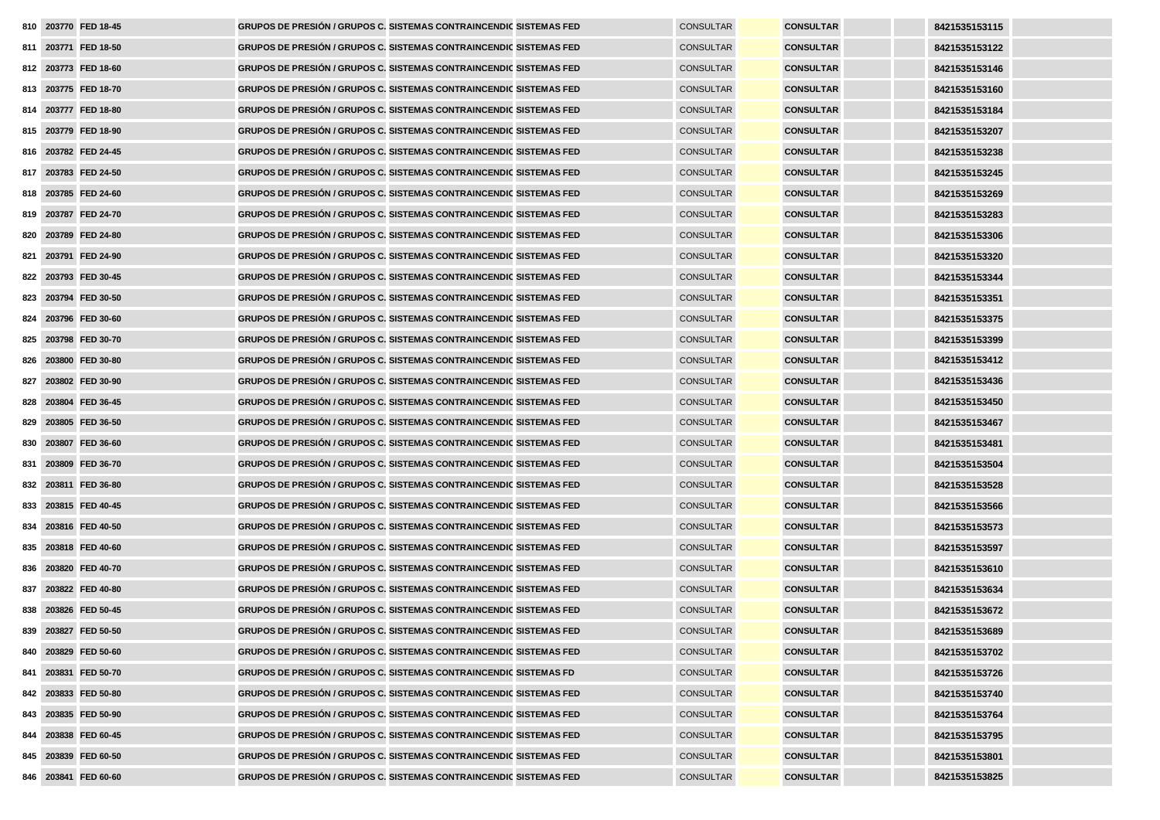| 810 203770 FED 18-45 | <b>GRUPOS DE PRESIÓN / GRUPOS C. SISTEMAS CONTRAINCENDIC SISTEMAS FED</b> |  | <b>CONSULTAR</b> | <b>CONSULTAR</b> | 8421535153115 |
|----------------------|---------------------------------------------------------------------------|--|------------------|------------------|---------------|
| 811 203771 FED 18-50 | <b>GRUPOS DE PRESIÓN / GRUPOS C. SISTEMAS CONTRAINCENDIC SISTEMAS FED</b> |  | <b>CONSULTAR</b> | <b>CONSULTAR</b> | 8421535153122 |
| 812 203773 FED 18-60 | <b>GRUPOS DE PRESIÓN / GRUPOS C. SISTEMAS CONTRAINCENDIC SISTEMAS FED</b> |  | <b>CONSULTAR</b> | <b>CONSULTAR</b> | 8421535153146 |
| 813 203775 FED 18-70 | <b>GRUPOS DE PRESIÓN / GRUPOS C. SISTEMAS CONTRAINCENDIC SISTEMAS FED</b> |  | <b>CONSULTAR</b> | <b>CONSULTAR</b> | 8421535153160 |
| 814 203777 FED 18-80 | <b>GRUPOS DE PRESIÓN / GRUPOS C. SISTEMAS CONTRAINCENDIC SISTEMAS FED</b> |  | <b>CONSULTAR</b> | <b>CONSULTAR</b> | 8421535153184 |
| 815 203779 FED 18-90 | <b>GRUPOS DE PRESIÓN / GRUPOS C. SISTEMAS CONTRAINCENDIC SISTEMAS FED</b> |  | <b>CONSULTAR</b> | <b>CONSULTAR</b> | 8421535153207 |
| 816 203782 FED 24-45 | <b>GRUPOS DE PRESIÓN / GRUPOS C. SISTEMAS CONTRAINCENDIC SISTEMAS FED</b> |  | <b>CONSULTAR</b> | <b>CONSULTAR</b> | 8421535153238 |
| 817 203783 FED 24-50 | <b>GRUPOS DE PRESIÓN / GRUPOS C. SISTEMAS CONTRAINCENDIC SISTEMAS FED</b> |  | CONSULTAR        | <b>CONSULTAR</b> | 8421535153245 |
| 818 203785 FED 24-60 | <b>GRUPOS DE PRESIÓN / GRUPOS C. SISTEMAS CONTRAINCENDIC SISTEMAS FED</b> |  | <b>CONSULTAR</b> | <b>CONSULTAR</b> | 8421535153269 |
| 819 203787 FED 24-70 | <b>GRUPOS DE PRESIÓN / GRUPOS C. SISTEMAS CONTRAINCENDIC SISTEMAS FED</b> |  | <b>CONSULTAR</b> | <b>CONSULTAR</b> | 8421535153283 |
| 820 203789 FED 24-80 | <b>GRUPOS DE PRESIÓN / GRUPOS C. SISTEMAS CONTRAINCENDIC SISTEMAS FED</b> |  | <b>CONSULTAR</b> | <b>CONSULTAR</b> | 8421535153306 |
| 821 203791 FED 24-90 | <b>GRUPOS DE PRESIÓN / GRUPOS C. SISTEMAS CONTRAINCENDIC SISTEMAS FED</b> |  | CONSULTAR        | <b>CONSULTAR</b> | 8421535153320 |
| 822 203793 FED 30-45 | <b>GRUPOS DE PRESIÓN / GRUPOS C. SISTEMAS CONTRAINCENDIC SISTEMAS FED</b> |  | <b>CONSULTAR</b> | <b>CONSULTAR</b> | 8421535153344 |
| 823 203794 FED 30-50 | <b>GRUPOS DE PRESIÓN / GRUPOS C. SISTEMAS CONTRAINCENDIC SISTEMAS FED</b> |  | <b>CONSULTAR</b> | <b>CONSULTAR</b> | 8421535153351 |
| 824 203796 FED 30-60 | <b>GRUPOS DE PRESIÓN / GRUPOS C. SISTEMAS CONTRAINCENDIC SISTEMAS FED</b> |  | <b>CONSULTAR</b> | <b>CONSULTAR</b> | 8421535153375 |
| 825 203798 FED 30-70 | <b>GRUPOS DE PRESIÓN / GRUPOS C. SISTEMAS CONTRAINCENDIC SISTEMAS FED</b> |  | <b>CONSULTAR</b> | <b>CONSULTAR</b> | 8421535153399 |
| 826 203800 FED 30-80 | <b>GRUPOS DE PRESIÓN / GRUPOS C. SISTEMAS CONTRAINCENDIC SISTEMAS FED</b> |  | <b>CONSULTAR</b> | <b>CONSULTAR</b> | 8421535153412 |
| 827 203802 FED 30-90 | <b>GRUPOS DE PRESIÓN / GRUPOS C. SISTEMAS CONTRAINCENDIC SISTEMAS FED</b> |  | <b>CONSULTAR</b> | <b>CONSULTAR</b> | 8421535153436 |
| 828 203804 FED 36-45 | <b>GRUPOS DE PRESIÓN / GRUPOS C. SISTEMAS CONTRAINCENDIC SISTEMAS FED</b> |  | <b>CONSULTAR</b> | <b>CONSULTAR</b> | 8421535153450 |
| 829 203805 FED 36-50 | <b>GRUPOS DE PRESIÓN / GRUPOS C. SISTEMAS CONTRAINCENDIC SISTEMAS FED</b> |  | <b>CONSULTAR</b> | <b>CONSULTAR</b> | 8421535153467 |
| 830 203807 FED 36-60 | <b>GRUPOS DE PRESIÓN / GRUPOS C. SISTEMAS CONTRAINCENDIC SISTEMAS FED</b> |  | <b>CONSULTAR</b> | <b>CONSULTAR</b> | 8421535153481 |
| 831 203809 FED 36-70 | <b>GRUPOS DE PRESIÓN / GRUPOS C. SISTEMAS CONTRAINCENDIC SISTEMAS FED</b> |  | <b>CONSULTAR</b> | <b>CONSULTAR</b> | 8421535153504 |
| 832 203811 FED 36-80 | <b>GRUPOS DE PRESIÓN / GRUPOS C. SISTEMAS CONTRAINCENDIC SISTEMAS FED</b> |  | <b>CONSULTAR</b> | <b>CONSULTAR</b> | 8421535153528 |
| 833 203815 FED 40-45 | <b>GRUPOS DE PRESIÓN / GRUPOS C. SISTEMAS CONTRAINCENDIC SISTEMAS FED</b> |  | <b>CONSULTAR</b> | <b>CONSULTAR</b> | 8421535153566 |
| 834 203816 FED 40-50 | <b>GRUPOS DE PRESIÓN / GRUPOS C. SISTEMAS CONTRAINCENDIC SISTEMAS FED</b> |  | <b>CONSULTAR</b> | <b>CONSULTAR</b> | 8421535153573 |
| 835 203818 FED 40-60 | <b>GRUPOS DE PRESIÓN / GRUPOS C. SISTEMAS CONTRAINCENDIC SISTEMAS FED</b> |  | <b>CONSULTAR</b> | <b>CONSULTAR</b> | 8421535153597 |
| 836 203820 FED 40-70 | <b>GRUPOS DE PRESIÓN / GRUPOS C. SISTEMAS CONTRAINCENDIC SISTEMAS FED</b> |  | <b>CONSULTAR</b> | <b>CONSULTAR</b> | 8421535153610 |
| 837 203822 FED 40-80 | <b>GRUPOS DE PRESIÓN / GRUPOS C. SISTEMAS CONTRAINCENDIC SISTEMAS FED</b> |  | <b>CONSULTAR</b> | <b>CONSULTAR</b> | 8421535153634 |
| 838 203826 FED 50-45 | <b>GRUPOS DE PRESIÓN / GRUPOS C. SISTEMAS CONTRAINCENDIC SISTEMAS FED</b> |  | <b>CONSULTAR</b> | <b>CONSULTAR</b> | 8421535153672 |
| 839 203827 FED 50-50 | <b>GRUPOS DE PRESIÓN / GRUPOS C. SISTEMAS CONTRAINCENDIC SISTEMAS FED</b> |  | <b>CONSULTAR</b> | <b>CONSULTAR</b> | 8421535153689 |
| 840 203829 FED 50-60 | <b>GRUPOS DE PRESIÓN / GRUPOS C. SISTEMAS CONTRAINCENDIC SISTEMAS FED</b> |  | <b>CONSULTAR</b> | <b>CONSULTAR</b> | 8421535153702 |
| 841 203831 FED 50-70 | <b>GRUPOS DE PRESIÓN / GRUPOS C. SISTEMAS CONTRAINCENDIC SISTEMAS FD</b>  |  | <b>CONSULTAR</b> | <b>CONSULTAR</b> | 8421535153726 |
| 842 203833 FED 50-80 | <b>GRUPOS DE PRESIÓN / GRUPOS C. SISTEMAS CONTRAINCENDIC SISTEMAS FED</b> |  | <b>CONSULTAR</b> | <b>CONSULTAR</b> | 8421535153740 |
| 843 203835 FED 50-90 | <b>GRUPOS DE PRESIÓN / GRUPOS C. SISTEMAS CONTRAINCENDIC SISTEMAS FED</b> |  | <b>CONSULTAR</b> | <b>CONSULTAR</b> | 8421535153764 |
| 844 203838 FED 60-45 | <b>GRUPOS DE PRESIÓN / GRUPOS C. SISTEMAS CONTRAINCENDIC SISTEMAS FED</b> |  | <b>CONSULTAR</b> | <b>CONSULTAR</b> | 8421535153795 |
| 845 203839 FED 60-50 | <b>GRUPOS DE PRESIÓN / GRUPOS C. SISTEMAS CONTRAINCENDIC SISTEMAS FED</b> |  | <b>CONSULTAR</b> | <b>CONSULTAR</b> | 8421535153801 |
| 846 203841 FED 60-60 | <b>GRUPOS DE PRESIÓN / GRUPOS C. SISTEMAS CONTRAINCENDIC SISTEMAS FED</b> |  | <b>CONSULTAR</b> | <b>CONSULTAR</b> | 8421535153825 |